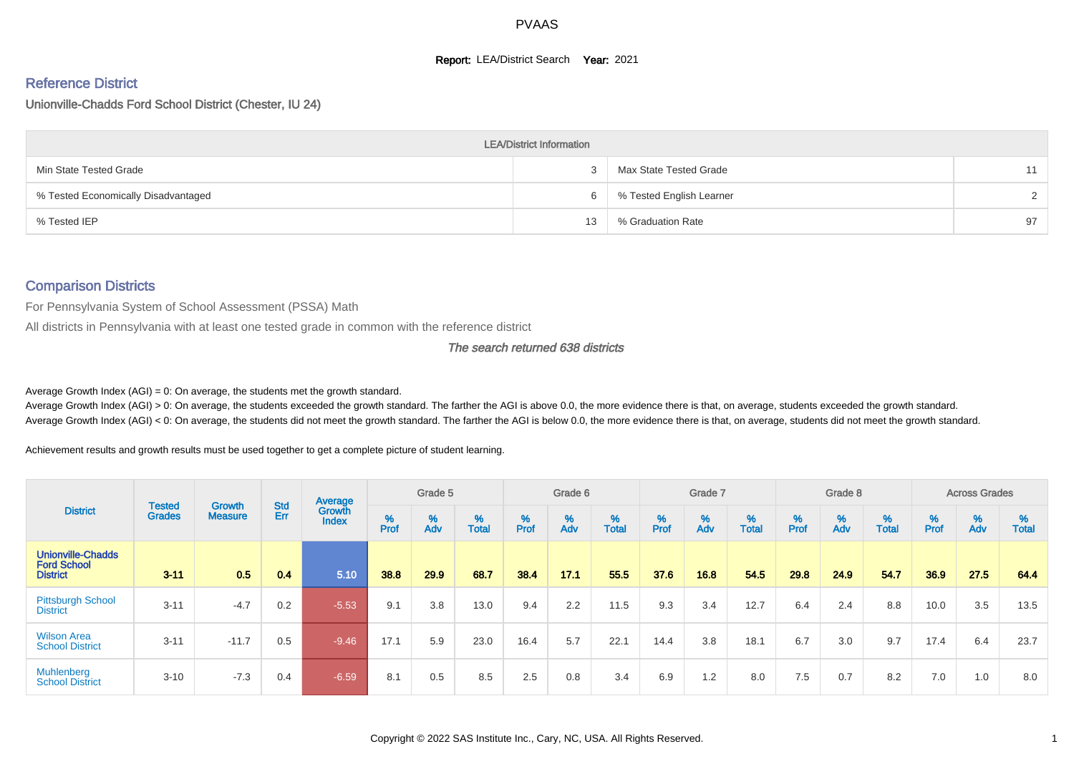#### **Report: LEA/District Search Year: 2021**

# Reference District

Unionville-Chadds Ford School District (Chester, IU 24)

|                                     | <b>LEA/District Information</b> |                          |               |
|-------------------------------------|---------------------------------|--------------------------|---------------|
| Min State Tested Grade              |                                 | Max State Tested Grade   | 11            |
| % Tested Economically Disadvantaged | 6                               | % Tested English Learner | $\mathcal{D}$ |
| % Tested IEP                        | 13                              | % Graduation Rate        | 97            |

#### Comparison Districts

For Pennsylvania System of School Assessment (PSSA) Math

All districts in Pennsylvania with at least one tested grade in common with the reference district

The search returned 638 districts

Average Growth Index  $(AGI) = 0$ : On average, the students met the growth standard.

Average Growth Index (AGI) > 0: On average, the students exceeded the growth standard. The farther the AGI is above 0.0, the more evidence there is that, on average, students exceeded the growth standard. Average Growth Index (AGI) < 0: On average, the students did not meet the growth standard. The farther the AGI is below 0.0, the more evidence there is that, on average, students did not meet the growth standard.

Achievement results and growth results must be used together to get a complete picture of student learning.

|                                                                   |                                |                                 |            | Average                |           | Grade 5  |                   |           | Grade 6  |                   |           | Grade 7  |                   |           | Grade 8  |                   |           | <b>Across Grades</b> |                   |
|-------------------------------------------------------------------|--------------------------------|---------------------------------|------------|------------------------|-----------|----------|-------------------|-----------|----------|-------------------|-----------|----------|-------------------|-----------|----------|-------------------|-----------|----------------------|-------------------|
| <b>District</b>                                                   | <b>Tested</b><br><b>Grades</b> | <b>Growth</b><br><b>Measure</b> | Std<br>Err | Growth<br><b>Index</b> | %<br>Prof | %<br>Adv | %<br><b>Total</b> | %<br>Prof | %<br>Adv | %<br><b>Total</b> | %<br>Prof | %<br>Adv | %<br><b>Total</b> | %<br>Prof | %<br>Adv | %<br><b>Total</b> | %<br>Prof | %<br>Adv             | %<br><b>Total</b> |
| <b>Unionville-Chadds</b><br><b>Ford School</b><br><b>District</b> | $3 - 11$                       | 0.5                             | 0.4        | 5.10                   | 38.8      | 29.9     | 68.7              | 38.4      | 17.1     | 55.5              | 37.6      | 16.8     | 54.5              | 29.8      | 24.9     | 54.7              | 36.9      | 27.5                 | 64.4              |
| <b>Pittsburgh School</b><br><b>District</b>                       | $3 - 11$                       | $-4.7$                          | 0.2        | $-5.53$                | 9.1       | 3.8      | 13.0              | 9.4       | 2.2      | 11.5              | 9.3       | 3.4      | 12.7              | 6.4       | 2.4      | 8.8               | 10.0      | 3.5                  | 13.5              |
| <b>Wilson Area</b><br><b>School District</b>                      | $3 - 11$                       | $-11.7$                         | 0.5        | $-9.46$                | 17.1      | 5.9      | 23.0              | 16.4      | 5.7      | 22.1              | 14.4      | 3.8      | 18.1              | 6.7       | 3.0      | 9.7               | 17.4      | 6.4                  | 23.7              |
| <b>Muhlenberg</b><br><b>School District</b>                       | $3 - 10$                       | $-7.3$                          | 0.4        | $-6.59$                | 8.1       | 0.5      | 8.5               | 2.5       | 0.8      | 3.4               | 6.9       | 1.2      | 8.0               | 7.5       | 0.7      | 8.2               | 7.0       | 1.0                  | 8.0               |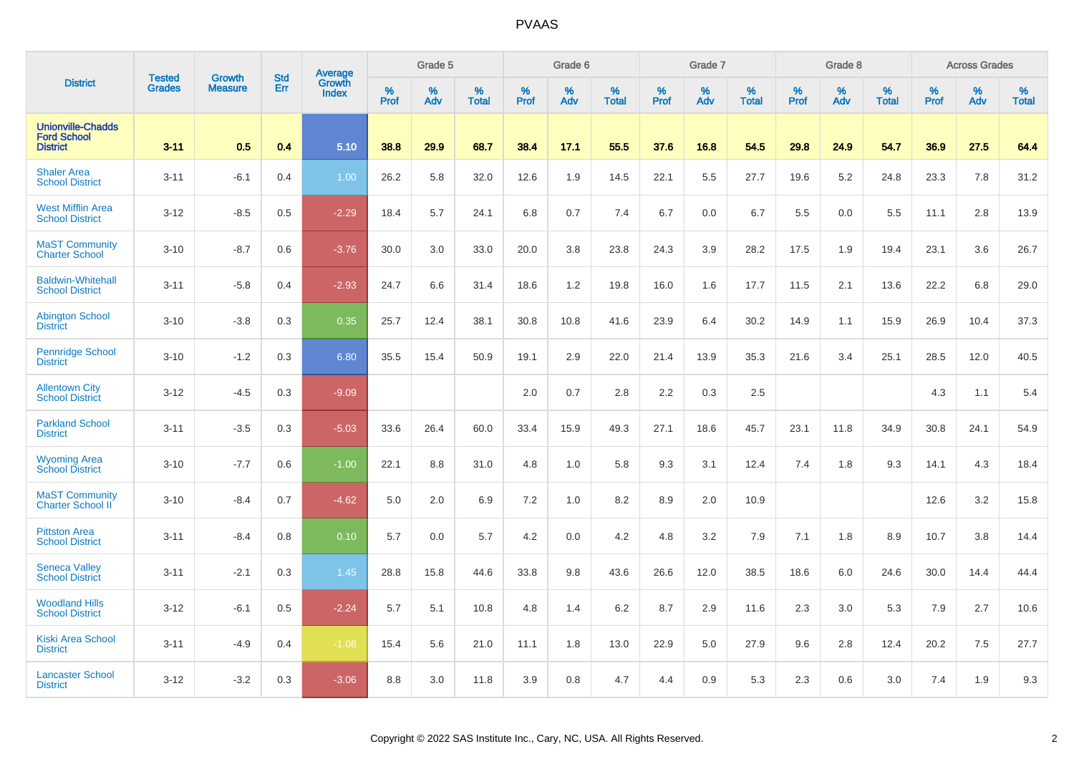| <b>District</b>                                                   | <b>Tested</b> | <b>Growth</b>  | <b>Std</b> | Average                |                     | Grade 5     |                      |                  | Grade 6     |                      |                     | Grade 7  |                      |              | Grade 8  |                      |                     | <b>Across Grades</b> |                      |
|-------------------------------------------------------------------|---------------|----------------|------------|------------------------|---------------------|-------------|----------------------|------------------|-------------|----------------------|---------------------|----------|----------------------|--------------|----------|----------------------|---------------------|----------------------|----------------------|
|                                                                   | <b>Grades</b> | <b>Measure</b> | Err        | Growth<br><b>Index</b> | $\%$<br><b>Prof</b> | $\%$<br>Adv | $\%$<br><b>Total</b> | %<br><b>Prof</b> | $\%$<br>Adv | $\%$<br><b>Total</b> | $\%$<br><b>Prof</b> | %<br>Adv | $\%$<br><b>Total</b> | $\%$<br>Prof | %<br>Adv | $\%$<br><b>Total</b> | $\%$<br><b>Prof</b> | $\%$<br>Adv          | $\%$<br><b>Total</b> |
| <b>Unionville-Chadds</b><br><b>Ford School</b><br><b>District</b> | $3 - 11$      | 0.5            | 0.4        | 5.10                   | 38.8                | 29.9        | 68.7                 | 38.4             | 17.1        | 55.5                 | 37.6                | 16.8     | 54.5                 | 29.8         | 24.9     | 54.7                 | 36.9                | 27.5                 | 64.4                 |
| <b>Shaler Area</b><br><b>School District</b>                      | $3 - 11$      | $-6.1$         | 0.4        | 1.00                   | 26.2                | 5.8         | 32.0                 | 12.6             | 1.9         | 14.5                 | 22.1                | 5.5      | 27.7                 | 19.6         | 5.2      | 24.8                 | 23.3                | 7.8                  | 31.2                 |
| <b>West Mifflin Area</b><br><b>School District</b>                | $3 - 12$      | $-8.5$         | 0.5        | $-2.29$                | 18.4                | 5.7         | 24.1                 | 6.8              | 0.7         | 7.4                  | 6.7                 | 0.0      | 6.7                  | 5.5          | 0.0      | 5.5                  | 11.1                | 2.8                  | 13.9                 |
| <b>MaST Community</b><br><b>Charter School</b>                    | $3 - 10$      | $-8.7$         | 0.6        | $-3.76$                | 30.0                | 3.0         | 33.0                 | 20.0             | 3.8         | 23.8                 | 24.3                | 3.9      | 28.2                 | 17.5         | 1.9      | 19.4                 | 23.1                | 3.6                  | 26.7                 |
| <b>Baldwin-Whitehall</b><br><b>School District</b>                | $3 - 11$      | $-5.8$         | 0.4        | $-2.93$                | 24.7                | 6.6         | 31.4                 | 18.6             | 1.2         | 19.8                 | 16.0                | 1.6      | 17.7                 | 11.5         | 2.1      | 13.6                 | 22.2                | 6.8                  | 29.0                 |
| <b>Abington School</b><br><b>District</b>                         | $3 - 10$      | $-3.8$         | 0.3        | 0.35                   | 25.7                | 12.4        | 38.1                 | 30.8             | 10.8        | 41.6                 | 23.9                | 6.4      | 30.2                 | 14.9         | 1.1      | 15.9                 | 26.9                | 10.4                 | 37.3                 |
| <b>Pennridge School</b><br><b>District</b>                        | $3 - 10$      | $-1.2$         | 0.3        | 6.80                   | 35.5                | 15.4        | 50.9                 | 19.1             | 2.9         | 22.0                 | 21.4                | 13.9     | 35.3                 | 21.6         | 3.4      | 25.1                 | 28.5                | 12.0                 | 40.5                 |
| <b>Allentown City</b><br><b>School District</b>                   | $3 - 12$      | $-4.5$         | 0.3        | $-9.09$                |                     |             |                      | 2.0              | 0.7         | 2.8                  | 2.2                 | 0.3      | 2.5                  |              |          |                      | 4.3                 | 1.1                  | 5.4                  |
| <b>Parkland School</b><br><b>District</b>                         | $3 - 11$      | $-3.5$         | 0.3        | $-5.03$                | 33.6                | 26.4        | 60.0                 | 33.4             | 15.9        | 49.3                 | 27.1                | 18.6     | 45.7                 | 23.1         | 11.8     | 34.9                 | 30.8                | 24.1                 | 54.9                 |
| Wyoming Area<br>School District                                   | $3 - 10$      | $-7.7$         | 0.6        | $-1.00$                | 22.1                | 8.8         | 31.0                 | 4.8              | 1.0         | 5.8                  | 9.3                 | 3.1      | 12.4                 | 7.4          | 1.8      | 9.3                  | 14.1                | 4.3                  | 18.4                 |
| <b>MaST Community</b><br><b>Charter School II</b>                 | $3 - 10$      | $-8.4$         | 0.7        | $-4.62$                | 5.0                 | 2.0         | 6.9                  | 7.2              | 1.0         | 8.2                  | 8.9                 | 2.0      | 10.9                 |              |          |                      | 12.6                | 3.2                  | 15.8                 |
| <b>Pittston Area</b><br><b>School District</b>                    | $3 - 11$      | $-8.4$         | 0.8        | 0.10                   | 5.7                 | 0.0         | 5.7                  | 4.2              | 0.0         | 4.2                  | 4.8                 | 3.2      | 7.9                  | 7.1          | 1.8      | 8.9                  | 10.7                | 3.8                  | 14.4                 |
| <b>Seneca Valley</b><br><b>School District</b>                    | $3 - 11$      | $-2.1$         | 0.3        | 1.45                   | 28.8                | 15.8        | 44.6                 | 33.8             | 9.8         | 43.6                 | 26.6                | 12.0     | 38.5                 | 18.6         | 6.0      | 24.6                 | 30.0                | 14.4                 | 44.4                 |
| <b>Woodland Hills</b><br><b>School District</b>                   | $3 - 12$      | $-6.1$         | 0.5        | $-2.24$                | 5.7                 | 5.1         | 10.8                 | 4.8              | 1.4         | 6.2                  | 8.7                 | 2.9      | 11.6                 | 2.3          | 3.0      | 5.3                  | 7.9                 | 2.7                  | 10.6                 |
| <b>Kiski Area School</b><br><b>District</b>                       | $3 - 11$      | $-4.9$         | 0.4        | $-1.08$                | 15.4                | 5.6         | 21.0                 | 11.1             | 1.8         | 13.0                 | 22.9                | 5.0      | 27.9                 | 9.6          | 2.8      | 12.4                 | 20.2                | 7.5                  | 27.7                 |
| <b>Lancaster School</b><br><b>District</b>                        | $3 - 12$      | $-3.2$         | 0.3        | $-3.06$                | 8.8                 | 3.0         | 11.8                 | 3.9              | 0.8         | 4.7                  | 4.4                 | 0.9      | 5.3                  | 2.3          | 0.6      | 3.0                  | 7.4                 | 1.9                  | 9.3                  |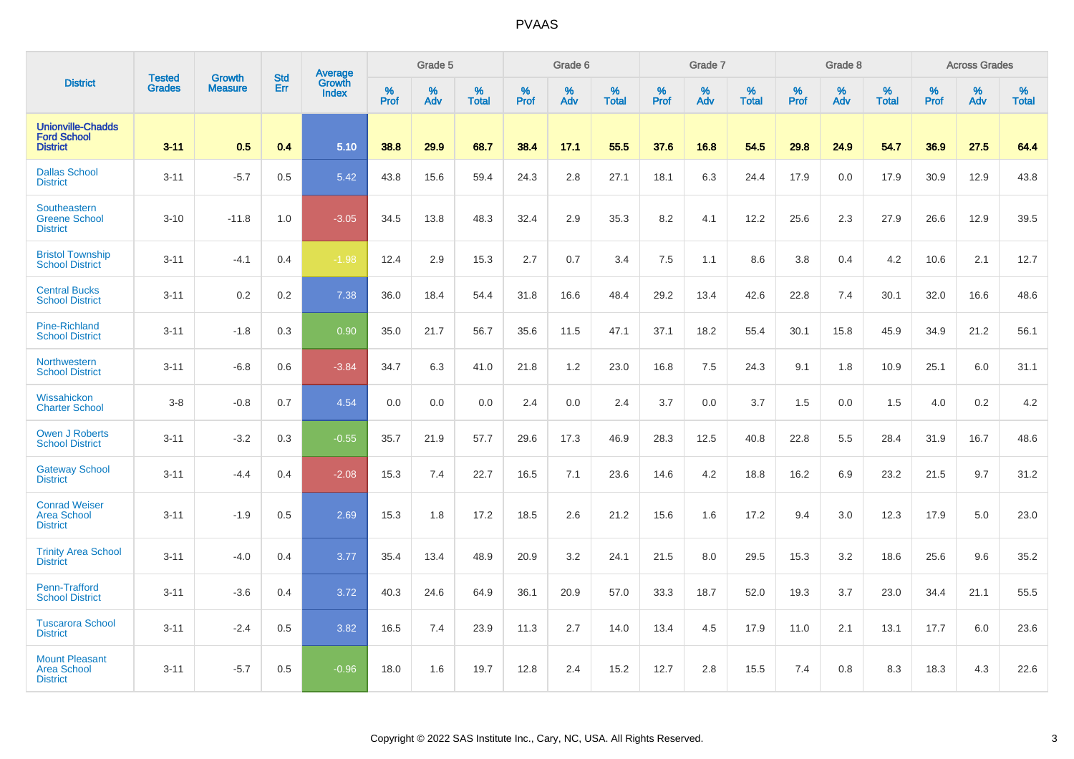| <b>District</b>                                                   | <b>Tested</b> |                                 | <b>Std</b> | Average                |                     | Grade 5  |                   |                  | Grade 6  |                   |                  | Grade 7  |                   |           | Grade 8  |                   |           | <b>Across Grades</b> |                   |
|-------------------------------------------------------------------|---------------|---------------------------------|------------|------------------------|---------------------|----------|-------------------|------------------|----------|-------------------|------------------|----------|-------------------|-----------|----------|-------------------|-----------|----------------------|-------------------|
|                                                                   | <b>Grades</b> | <b>Growth</b><br><b>Measure</b> | Err        | Growth<br><b>Index</b> | $\%$<br><b>Prof</b> | %<br>Adv | %<br><b>Total</b> | %<br><b>Prof</b> | %<br>Adv | %<br><b>Total</b> | %<br><b>Prof</b> | %<br>Adv | %<br><b>Total</b> | %<br>Prof | %<br>Adv | %<br><b>Total</b> | %<br>Prof | %<br>Adv             | %<br><b>Total</b> |
| <b>Unionville-Chadds</b><br><b>Ford School</b><br><b>District</b> | $3 - 11$      | 0.5                             | 0.4        | 5.10                   | 38.8                | 29.9     | 68.7              | 38.4             | 17.1     | 55.5              | 37.6             | 16.8     | 54.5              | 29.8      | 24.9     | 54.7              | 36.9      | 27.5                 | 64.4              |
| <b>Dallas School</b><br><b>District</b>                           | $3 - 11$      | $-5.7$                          | 0.5        | 5.42                   | 43.8                | 15.6     | 59.4              | 24.3             | 2.8      | 27.1              | 18.1             | 6.3      | 24.4              | 17.9      | 0.0      | 17.9              | 30.9      | 12.9                 | 43.8              |
| Southeastern<br><b>Greene School</b><br><b>District</b>           | $3 - 10$      | $-11.8$                         | 1.0        | $-3.05$                | 34.5                | 13.8     | 48.3              | 32.4             | 2.9      | 35.3              | 8.2              | 4.1      | 12.2              | 25.6      | 2.3      | 27.9              | 26.6      | 12.9                 | 39.5              |
| <b>Bristol Township</b><br><b>School District</b>                 | $3 - 11$      | $-4.1$                          | 0.4        | $-1.98$                | 12.4                | 2.9      | 15.3              | 2.7              | 0.7      | 3.4               | 7.5              | 1.1      | 8.6               | 3.8       | 0.4      | 4.2               | 10.6      | 2.1                  | 12.7              |
| <b>Central Bucks</b><br><b>School District</b>                    | $3 - 11$      | 0.2                             | $0.2\,$    | 7.38                   | 36.0                | 18.4     | 54.4              | 31.8             | 16.6     | 48.4              | 29.2             | 13.4     | 42.6              | 22.8      | 7.4      | 30.1              | 32.0      | 16.6                 | 48.6              |
| <b>Pine-Richland</b><br><b>School District</b>                    | $3 - 11$      | $-1.8$                          | 0.3        | 0.90                   | 35.0                | 21.7     | 56.7              | 35.6             | 11.5     | 47.1              | 37.1             | 18.2     | 55.4              | 30.1      | 15.8     | 45.9              | 34.9      | 21.2                 | 56.1              |
| Northwestern<br><b>School District</b>                            | $3 - 11$      | $-6.8$                          | 0.6        | $-3.84$                | 34.7                | 6.3      | 41.0              | 21.8             | 1.2      | 23.0              | 16.8             | 7.5      | 24.3              | 9.1       | 1.8      | 10.9              | 25.1      | 6.0                  | 31.1              |
| Wissahickon<br><b>Charter School</b>                              | $3 - 8$       | $-0.8$                          | 0.7        | 4.54                   | 0.0                 | 0.0      | 0.0               | 2.4              | 0.0      | 2.4               | 3.7              | 0.0      | 3.7               | 1.5       | 0.0      | 1.5               | 4.0       | 0.2                  | 4.2               |
| <b>Owen J Roberts</b><br><b>School District</b>                   | $3 - 11$      | $-3.2$                          | 0.3        | $-0.55$                | 35.7                | 21.9     | 57.7              | 29.6             | 17.3     | 46.9              | 28.3             | 12.5     | 40.8              | 22.8      | 5.5      | 28.4              | 31.9      | 16.7                 | 48.6              |
| <b>Gateway School</b><br><b>District</b>                          | $3 - 11$      | $-4.4$                          | 0.4        | $-2.08$                | 15.3                | 7.4      | 22.7              | 16.5             | 7.1      | 23.6              | 14.6             | 4.2      | 18.8              | 16.2      | 6.9      | 23.2              | 21.5      | 9.7                  | 31.2              |
| <b>Conrad Weiser</b><br><b>Area School</b><br><b>District</b>     | $3 - 11$      | $-1.9$                          | 0.5        | 2.69                   | 15.3                | 1.8      | 17.2              | 18.5             | 2.6      | 21.2              | 15.6             | 1.6      | 17.2              | 9.4       | 3.0      | 12.3              | 17.9      | 5.0                  | 23.0              |
| <b>Trinity Area School</b><br><b>District</b>                     | $3 - 11$      | $-4.0$                          | 0.4        | 3.77                   | 35.4                | 13.4     | 48.9              | 20.9             | 3.2      | 24.1              | 21.5             | 8.0      | 29.5              | 15.3      | 3.2      | 18.6              | 25.6      | 9.6                  | 35.2              |
| Penn-Trafford<br><b>School District</b>                           | $3 - 11$      | $-3.6$                          | 0.4        | 3.72                   | 40.3                | 24.6     | 64.9              | 36.1             | 20.9     | 57.0              | 33.3             | 18.7     | 52.0              | 19.3      | 3.7      | 23.0              | 34.4      | 21.1                 | 55.5              |
| <b>Tuscarora School</b><br><b>District</b>                        | $3 - 11$      | $-2.4$                          | 0.5        | 3.82                   | 16.5                | 7.4      | 23.9              | 11.3             | 2.7      | 14.0              | 13.4             | 4.5      | 17.9              | 11.0      | 2.1      | 13.1              | 17.7      | 6.0                  | 23.6              |
| <b>Mount Pleasant</b><br><b>Area School</b><br><b>District</b>    | $3 - 11$      | $-5.7$                          | 0.5        | $-0.96$                | 18.0                | 1.6      | 19.7              | 12.8             | 2.4      | 15.2              | 12.7             | 2.8      | 15.5              | 7.4       | 0.8      | 8.3               | 18.3      | 4.3                  | 22.6              |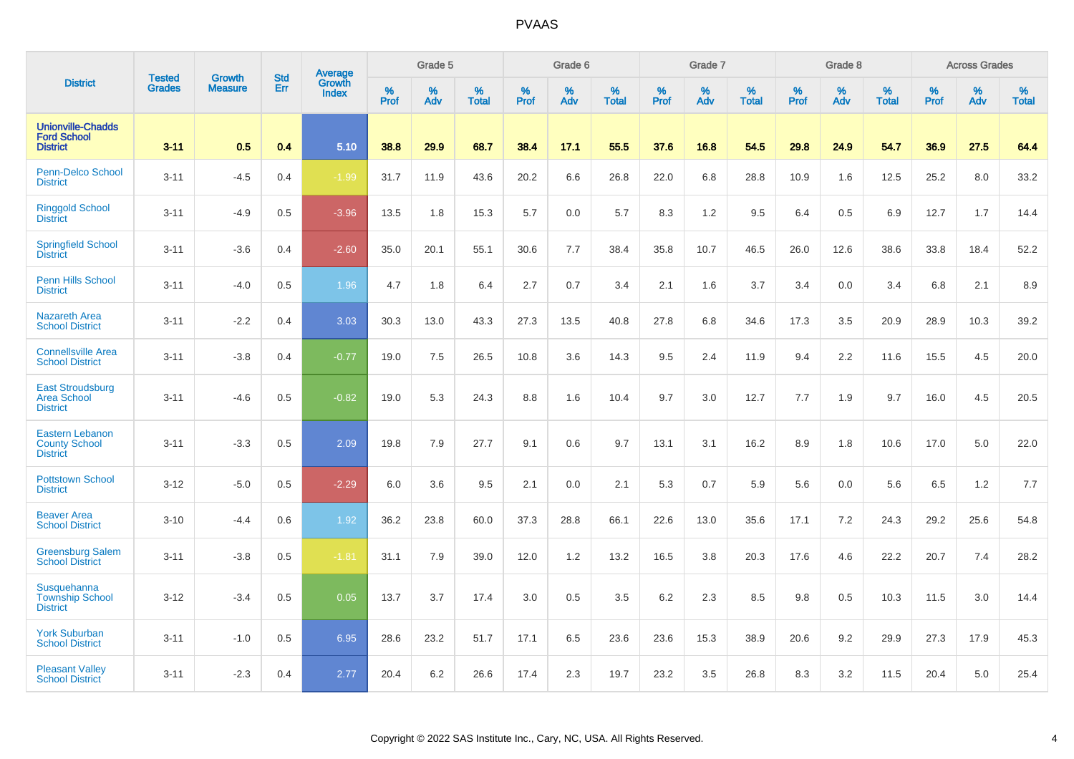| <b>District</b>                                                   | <b>Tested</b> | <b>Growth</b>  | <b>Std</b> | <b>Average</b><br>Growth |                     | Grade 5  |                   |           | Grade 6  |                   |                  | Grade 7  |                   |                  | Grade 8  |                   |                  | <b>Across Grades</b> |                   |
|-------------------------------------------------------------------|---------------|----------------|------------|--------------------------|---------------------|----------|-------------------|-----------|----------|-------------------|------------------|----------|-------------------|------------------|----------|-------------------|------------------|----------------------|-------------------|
|                                                                   | <b>Grades</b> | <b>Measure</b> | Err        | <b>Index</b>             | $\%$<br><b>Prof</b> | %<br>Adv | %<br><b>Total</b> | %<br>Prof | %<br>Adv | %<br><b>Total</b> | %<br><b>Prof</b> | %<br>Adv | %<br><b>Total</b> | %<br><b>Prof</b> | %<br>Adv | %<br><b>Total</b> | %<br><b>Prof</b> | %<br>Adv             | %<br><b>Total</b> |
| <b>Unionville-Chadds</b><br><b>Ford School</b><br><b>District</b> | $3 - 11$      | 0.5            | 0.4        | 5.10                     | 38.8                | 29.9     | 68.7              | 38.4      | 17.1     | 55.5              | 37.6             | 16.8     | 54.5              | 29.8             | 24.9     | 54.7              | 36.9             | 27.5                 | 64.4              |
| Penn-Delco School<br><b>District</b>                              | $3 - 11$      | $-4.5$         | 0.4        | $-1.99$                  | 31.7                | 11.9     | 43.6              | 20.2      | 6.6      | 26.8              | 22.0             | 6.8      | 28.8              | 10.9             | 1.6      | 12.5              | 25.2             | 8.0                  | 33.2              |
| <b>Ringgold School</b><br><b>District</b>                         | $3 - 11$      | $-4.9$         | 0.5        | $-3.96$                  | 13.5                | 1.8      | 15.3              | 5.7       | 0.0      | 5.7               | 8.3              | 1.2      | 9.5               | 6.4              | 0.5      | 6.9               | 12.7             | 1.7                  | 14.4              |
| <b>Springfield School</b><br><b>District</b>                      | $3 - 11$      | $-3.6$         | 0.4        | $-2.60$                  | 35.0                | 20.1     | 55.1              | 30.6      | 7.7      | 38.4              | 35.8             | 10.7     | 46.5              | 26.0             | 12.6     | 38.6              | 33.8             | 18.4                 | 52.2              |
| <b>Penn Hills School</b><br><b>District</b>                       | $3 - 11$      | $-4.0$         | 0.5        | 1.96                     | 4.7                 | 1.8      | 6.4               | 2.7       | 0.7      | 3.4               | 2.1              | 1.6      | 3.7               | 3.4              | 0.0      | 3.4               | 6.8              | 2.1                  | 8.9               |
| <b>Nazareth Area</b><br><b>School District</b>                    | $3 - 11$      | $-2.2$         | 0.4        | 3.03                     | 30.3                | 13.0     | 43.3              | 27.3      | 13.5     | 40.8              | 27.8             | 6.8      | 34.6              | 17.3             | 3.5      | 20.9              | 28.9             | 10.3                 | 39.2              |
| <b>Connellsville Area</b><br><b>School District</b>               | $3 - 11$      | $-3.8$         | 0.4        | $-0.77$                  | 19.0                | 7.5      | 26.5              | 10.8      | 3.6      | 14.3              | 9.5              | 2.4      | 11.9              | 9.4              | 2.2      | 11.6              | 15.5             | 4.5                  | 20.0              |
| <b>East Stroudsburg</b><br><b>Area School</b><br><b>District</b>  | $3 - 11$      | $-4.6$         | 0.5        | $-0.82$                  | 19.0                | 5.3      | 24.3              | 8.8       | 1.6      | 10.4              | 9.7              | 3.0      | 12.7              | 7.7              | 1.9      | 9.7               | 16.0             | 4.5                  | 20.5              |
| <b>Eastern Lebanon</b><br><b>County School</b><br><b>District</b> | $3 - 11$      | $-3.3$         | 0.5        | 2.09                     | 19.8                | 7.9      | 27.7              | 9.1       | 0.6      | 9.7               | 13.1             | 3.1      | 16.2              | 8.9              | 1.8      | 10.6              | 17.0             | 5.0                  | 22.0              |
| <b>Pottstown School</b><br><b>District</b>                        | $3 - 12$      | $-5.0$         | 0.5        | $-2.29$                  | 6.0                 | 3.6      | 9.5               | 2.1       | 0.0      | 2.1               | 5.3              | 0.7      | 5.9               | 5.6              | 0.0      | 5.6               | 6.5              | 1.2                  | 7.7               |
| <b>Beaver Area</b><br><b>School District</b>                      | $3 - 10$      | $-4.4$         | 0.6        | 1.92                     | 36.2                | 23.8     | 60.0              | 37.3      | 28.8     | 66.1              | 22.6             | 13.0     | 35.6              | 17.1             | 7.2      | 24.3              | 29.2             | 25.6                 | 54.8              |
| <b>Greensburg Salem</b><br><b>School District</b>                 | $3 - 11$      | $-3.8$         | 0.5        | $-1.81$                  | 31.1                | 7.9      | 39.0              | 12.0      | $1.2$    | 13.2              | 16.5             | 3.8      | 20.3              | 17.6             | 4.6      | 22.2              | 20.7             | 7.4                  | 28.2              |
| Susquehanna<br><b>Township School</b><br><b>District</b>          | $3 - 12$      | $-3.4$         | 0.5        | 0.05                     | 13.7                | 3.7      | 17.4              | 3.0       | 0.5      | 3.5               | 6.2              | 2.3      | 8.5               | 9.8              | 0.5      | 10.3              | 11.5             | 3.0                  | 14.4              |
| <b>York Suburban</b><br><b>School District</b>                    | $3 - 11$      | $-1.0$         | 0.5        | 6.95                     | 28.6                | 23.2     | 51.7              | 17.1      | 6.5      | 23.6              | 23.6             | 15.3     | 38.9              | 20.6             | 9.2      | 29.9              | 27.3             | 17.9                 | 45.3              |
| <b>Pleasant Valley</b><br><b>School District</b>                  | $3 - 11$      | $-2.3$         | 0.4        | 2.77                     | 20.4                | 6.2      | 26.6              | 17.4      | 2.3      | 19.7              | 23.2             | 3.5      | 26.8              | 8.3              | 3.2      | 11.5              | 20.4             | 5.0                  | 25.4              |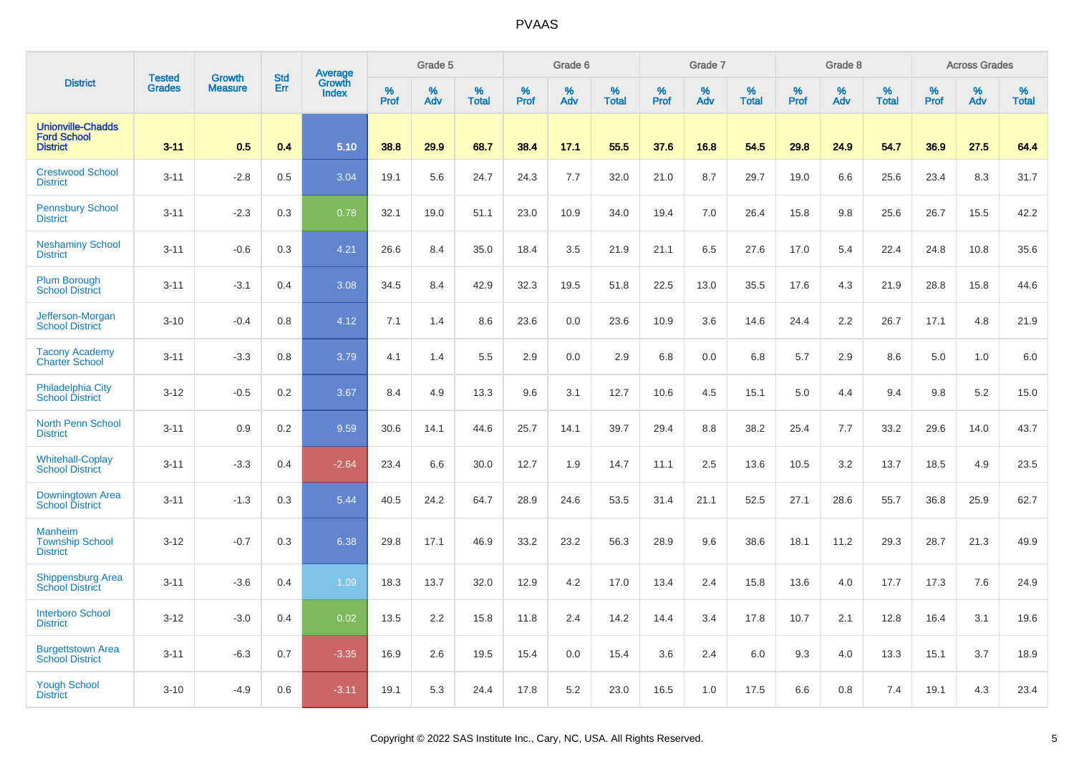| <b>District</b>                                                   | <b>Tested</b> | <b>Growth</b>  | <b>Std</b> | Average                |              | Grade 5  |                   |              | Grade 6  |                   |              | Grade 7  |                   |              | Grade 8  |                   |                     | <b>Across Grades</b> |                   |
|-------------------------------------------------------------------|---------------|----------------|------------|------------------------|--------------|----------|-------------------|--------------|----------|-------------------|--------------|----------|-------------------|--------------|----------|-------------------|---------------------|----------------------|-------------------|
|                                                                   | <b>Grades</b> | <b>Measure</b> | Err        | Growth<br><b>Index</b> | $\%$<br>Prof | %<br>Adv | %<br><b>Total</b> | $\%$<br>Prof | %<br>Adv | %<br><b>Total</b> | $\%$<br>Prof | %<br>Adv | %<br><b>Total</b> | $\%$<br>Prof | %<br>Adv | %<br><b>Total</b> | $\%$<br><b>Prof</b> | %<br>Adv             | %<br><b>Total</b> |
| <b>Unionville-Chadds</b><br><b>Ford School</b><br><b>District</b> | $3 - 11$      | 0.5            | 0.4        | 5.10                   | 38.8         | 29.9     | 68.7              | 38.4         | 17.1     | 55.5              | 37.6         | 16.8     | 54.5              | 29.8         | 24.9     | 54.7              | 36.9                | 27.5                 | 64.4              |
| <b>Crestwood School</b><br><b>District</b>                        | $3 - 11$      | $-2.8$         | 0.5        | 3.04                   | 19.1         | 5.6      | 24.7              | 24.3         | 7.7      | 32.0              | 21.0         | 8.7      | 29.7              | 19.0         | 6.6      | 25.6              | 23.4                | 8.3                  | 31.7              |
| <b>Pennsbury School</b><br><b>District</b>                        | $3 - 11$      | $-2.3$         | 0.3        | 0.78                   | 32.1         | 19.0     | 51.1              | 23.0         | 10.9     | 34.0              | 19.4         | 7.0      | 26.4              | 15.8         | 9.8      | 25.6              | 26.7                | 15.5                 | 42.2              |
| <b>Neshaminy School</b><br><b>District</b>                        | $3 - 11$      | $-0.6$         | 0.3        | 4.21                   | 26.6         | 8.4      | 35.0              | 18.4         | 3.5      | 21.9              | 21.1         | 6.5      | 27.6              | 17.0         | 5.4      | 22.4              | 24.8                | 10.8                 | 35.6              |
| <b>Plum Borough</b><br><b>School District</b>                     | $3 - 11$      | $-3.1$         | 0.4        | 3.08                   | 34.5         | 8.4      | 42.9              | 32.3         | 19.5     | 51.8              | 22.5         | 13.0     | 35.5              | 17.6         | 4.3      | 21.9              | 28.8                | 15.8                 | 44.6              |
| Jefferson-Morgan<br><b>School District</b>                        | $3 - 10$      | $-0.4$         | 0.8        | 4.12                   | 7.1          | 1.4      | 8.6               | 23.6         | 0.0      | 23.6              | 10.9         | 3.6      | 14.6              | 24.4         | 2.2      | 26.7              | 17.1                | 4.8                  | 21.9              |
| <b>Tacony Academy</b><br><b>Charter School</b>                    | $3 - 11$      | $-3.3$         | 0.8        | 3.79                   | 4.1          | 1.4      | 5.5               | 2.9          | 0.0      | 2.9               | 6.8          | 0.0      | 6.8               | 5.7          | 2.9      | 8.6               | 5.0                 | 1.0                  | 6.0               |
| <b>Philadelphia City</b><br><b>School District</b>                | $3 - 12$      | $-0.5$         | 0.2        | 3.67                   | 8.4          | 4.9      | 13.3              | 9.6          | 3.1      | 12.7              | 10.6         | 4.5      | 15.1              | 5.0          | 4.4      | 9.4               | 9.8                 | 5.2                  | 15.0              |
| <b>North Penn School</b><br><b>District</b>                       | $3 - 11$      | 0.9            | 0.2        | 9.59                   | 30.6         | 14.1     | 44.6              | 25.7         | 14.1     | 39.7              | 29.4         | 8.8      | 38.2              | 25.4         | 7.7      | 33.2              | 29.6                | 14.0                 | 43.7              |
| <b>Whitehall-Coplay</b><br><b>School District</b>                 | $3 - 11$      | $-3.3$         | 0.4        | $-2.64$                | 23.4         | 6.6      | 30.0              | 12.7         | 1.9      | 14.7              | 11.1         | 2.5      | 13.6              | 10.5         | 3.2      | 13.7              | 18.5                | 4.9                  | 23.5              |
| Downingtown Area<br><b>School District</b>                        | $3 - 11$      | $-1.3$         | 0.3        | 5.44                   | 40.5         | 24.2     | 64.7              | 28.9         | 24.6     | 53.5              | 31.4         | 21.1     | 52.5              | 27.1         | 28.6     | 55.7              | 36.8                | 25.9                 | 62.7              |
| <b>Manheim</b><br><b>Township School</b><br><b>District</b>       | $3 - 12$      | $-0.7$         | 0.3        | 6.38                   | 29.8         | 17.1     | 46.9              | 33.2         | 23.2     | 56.3              | 28.9         | 9.6      | 38.6              | 18.1         | 11.2     | 29.3              | 28.7                | 21.3                 | 49.9              |
| <b>Shippensburg Area</b><br><b>School District</b>                | $3 - 11$      | $-3.6$         | 0.4        | 1.09                   | 18.3         | 13.7     | 32.0              | 12.9         | 4.2      | 17.0              | 13.4         | 2.4      | 15.8              | 13.6         | 4.0      | 17.7              | 17.3                | 7.6                  | 24.9              |
| <b>Interboro School</b><br><b>District</b>                        | $3 - 12$      | $-3.0$         | 0.4        | 0.02                   | 13.5         | 2.2      | 15.8              | 11.8         | 2.4      | 14.2              | 14.4         | 3.4      | 17.8              | 10.7         | 2.1      | 12.8              | 16.4                | 3.1                  | 19.6              |
| <b>Burgettstown Area</b><br><b>School District</b>                | $3 - 11$      | $-6.3$         | 0.7        | $-3.35$                | 16.9         | 2.6      | 19.5              | 15.4         | 0.0      | 15.4              | 3.6          | 2.4      | 6.0               | 9.3          | 4.0      | 13.3              | 15.1                | 3.7                  | 18.9              |
| <b>Yough School</b><br><b>District</b>                            | $3 - 10$      | $-4.9$         | 0.6        | $-3.11$                | 19.1         | 5.3      | 24.4              | 17.8         | 5.2      | 23.0              | 16.5         | 1.0      | 17.5              | 6.6          | 0.8      | 7.4               | 19.1                | 4.3                  | 23.4              |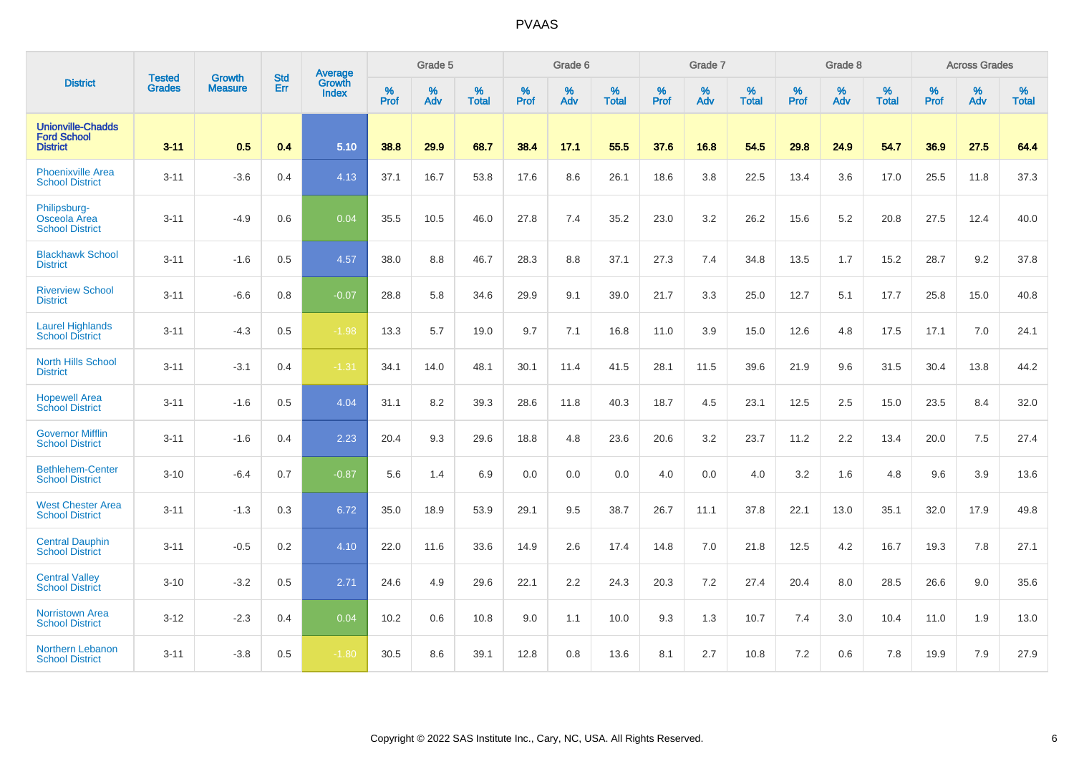| <b>District</b>                                                   |                                |                                 | <b>Std</b> | Average                |           | Grade 5  |                   |           | Grade 6  |                   |           | Grade 7  |                   |           | Grade 8  |                   |           | <b>Across Grades</b> |                   |
|-------------------------------------------------------------------|--------------------------------|---------------------------------|------------|------------------------|-----------|----------|-------------------|-----------|----------|-------------------|-----------|----------|-------------------|-----------|----------|-------------------|-----------|----------------------|-------------------|
|                                                                   | <b>Tested</b><br><b>Grades</b> | <b>Growth</b><br><b>Measure</b> | Err        | Growth<br><b>Index</b> | %<br>Prof | %<br>Adv | %<br><b>Total</b> | %<br>Prof | %<br>Adv | %<br><b>Total</b> | %<br>Prof | %<br>Adv | %<br><b>Total</b> | %<br>Prof | %<br>Adv | %<br><b>Total</b> | %<br>Prof | %<br>Adv             | %<br><b>Total</b> |
| <b>Unionville-Chadds</b><br><b>Ford School</b><br><b>District</b> | $3 - 11$                       | 0.5                             | 0.4        | 5.10                   | 38.8      | 29.9     | 68.7              | 38.4      | 17.1     | 55.5              | 37.6      | 16.8     | 54.5              | 29.8      | 24.9     | 54.7              | 36.9      | 27.5                 | 64.4              |
| <b>Phoenixville Area</b><br><b>School District</b>                | $3 - 11$                       | $-3.6$                          | 0.4        | 4.13                   | 37.1      | 16.7     | 53.8              | 17.6      | 8.6      | 26.1              | 18.6      | 3.8      | 22.5              | 13.4      | 3.6      | 17.0              | 25.5      | 11.8                 | 37.3              |
| Philipsburg-<br>Osceola Area<br><b>School District</b>            | $3 - 11$                       | $-4.9$                          | 0.6        | 0.04                   | 35.5      | 10.5     | 46.0              | 27.8      | 7.4      | 35.2              | 23.0      | 3.2      | 26.2              | 15.6      | 5.2      | 20.8              | 27.5      | 12.4                 | 40.0              |
| <b>Blackhawk School</b><br><b>District</b>                        | $3 - 11$                       | $-1.6$                          | 0.5        | 4.57                   | 38.0      | 8.8      | 46.7              | 28.3      | 8.8      | 37.1              | 27.3      | 7.4      | 34.8              | 13.5      | 1.7      | 15.2              | 28.7      | 9.2                  | 37.8              |
| <b>Riverview School</b><br><b>District</b>                        | $3 - 11$                       | $-6.6$                          | 0.8        | $-0.07$                | 28.8      | 5.8      | 34.6              | 29.9      | 9.1      | 39.0              | 21.7      | 3.3      | 25.0              | 12.7      | 5.1      | 17.7              | 25.8      | 15.0                 | 40.8              |
| <b>Laurel Highlands</b><br><b>School District</b>                 | $3 - 11$                       | $-4.3$                          | 0.5        | $-1.98$                | 13.3      | 5.7      | 19.0              | 9.7       | 7.1      | 16.8              | 11.0      | 3.9      | 15.0              | 12.6      | 4.8      | 17.5              | 17.1      | 7.0                  | 24.1              |
| North Hills School<br><b>District</b>                             | $3 - 11$                       | $-3.1$                          | 0.4        | $-1.31$                | 34.1      | 14.0     | 48.1              | 30.1      | 11.4     | 41.5              | 28.1      | 11.5     | 39.6              | 21.9      | 9.6      | 31.5              | 30.4      | 13.8                 | 44.2              |
| <b>Hopewell Area</b><br><b>School District</b>                    | $3 - 11$                       | $-1.6$                          | 0.5        | 4.04                   | 31.1      | 8.2      | 39.3              | 28.6      | 11.8     | 40.3              | 18.7      | 4.5      | 23.1              | 12.5      | 2.5      | 15.0              | 23.5      | 8.4                  | 32.0              |
| <b>Governor Mifflin</b><br><b>School District</b>                 | $3 - 11$                       | $-1.6$                          | 0.4        | 2.23                   | 20.4      | 9.3      | 29.6              | 18.8      | 4.8      | 23.6              | 20.6      | 3.2      | 23.7              | 11.2      | 2.2      | 13.4              | 20.0      | 7.5                  | 27.4              |
| <b>Bethlehem-Center</b><br><b>School District</b>                 | $3 - 10$                       | $-6.4$                          | 0.7        | $-0.87$                | 5.6       | 1.4      | 6.9               | 0.0       | 0.0      | 0.0               | 4.0       | 0.0      | 4.0               | 3.2       | 1.6      | 4.8               | 9.6       | 3.9                  | 13.6              |
| <b>West Chester Area</b><br><b>School District</b>                | $3 - 11$                       | $-1.3$                          | 0.3        | 6.72                   | 35.0      | 18.9     | 53.9              | 29.1      | 9.5      | 38.7              | 26.7      | 11.1     | 37.8              | 22.1      | 13.0     | 35.1              | 32.0      | 17.9                 | 49.8              |
| <b>Central Dauphin</b><br><b>School District</b>                  | $3 - 11$                       | $-0.5$                          | 0.2        | 4.10                   | 22.0      | 11.6     | 33.6              | 14.9      | 2.6      | 17.4              | 14.8      | 7.0      | 21.8              | 12.5      | 4.2      | 16.7              | 19.3      | 7.8                  | 27.1              |
| <b>Central Valley</b><br><b>School District</b>                   | $3 - 10$                       | $-3.2$                          | 0.5        | 2.71                   | 24.6      | 4.9      | 29.6              | 22.1      | 2.2      | 24.3              | 20.3      | 7.2      | 27.4              | 20.4      | 8.0      | 28.5              | 26.6      | 9.0                  | 35.6              |
| <b>Norristown Area</b><br><b>School District</b>                  | $3 - 12$                       | $-2.3$                          | 0.4        | 0.04                   | 10.2      | 0.6      | 10.8              | 9.0       | 1.1      | 10.0              | 9.3       | 1.3      | 10.7              | 7.4       | 3.0      | 10.4              | 11.0      | 1.9                  | 13.0              |
| Northern Lebanon<br><b>School District</b>                        | $3 - 11$                       | $-3.8$                          | 0.5        | $-1.80$                | 30.5      | 8.6      | 39.1              | 12.8      | 0.8      | 13.6              | 8.1       | 2.7      | 10.8              | 7.2       | 0.6      | 7.8               | 19.9      | 7.9                  | 27.9              |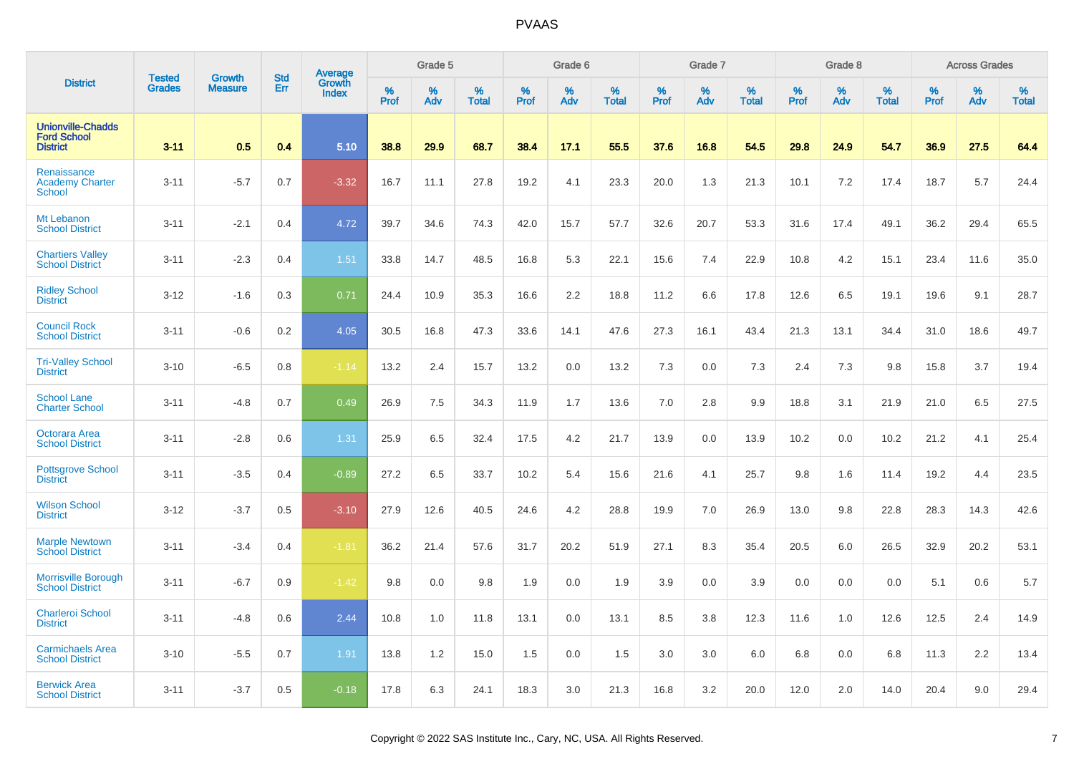|                                                                   | <b>Tested</b> | <b>Growth</b>  | <b>Std</b> | Average                |           | Grade 5  |                   |           | Grade 6  |                   |           | Grade 7  |                   |           | Grade 8  |                   |           | <b>Across Grades</b> |                   |
|-------------------------------------------------------------------|---------------|----------------|------------|------------------------|-----------|----------|-------------------|-----------|----------|-------------------|-----------|----------|-------------------|-----------|----------|-------------------|-----------|----------------------|-------------------|
| <b>District</b>                                                   | <b>Grades</b> | <b>Measure</b> | Err        | Growth<br><b>Index</b> | %<br>Prof | %<br>Adv | %<br><b>Total</b> | %<br>Prof | %<br>Adv | %<br><b>Total</b> | %<br>Prof | %<br>Adv | %<br><b>Total</b> | %<br>Prof | %<br>Adv | %<br><b>Total</b> | %<br>Prof | %<br>Adv             | %<br><b>Total</b> |
| <b>Unionville-Chadds</b><br><b>Ford School</b><br><b>District</b> | $3 - 11$      | 0.5            | 0.4        | 5.10                   | 38.8      | 29.9     | 68.7              | 38.4      | 17.1     | 55.5              | 37.6      | 16.8     | 54.5              | 29.8      | 24.9     | 54.7              | 36.9      | 27.5                 | 64.4              |
| Renaissance<br><b>Academy Charter</b><br><b>School</b>            | $3 - 11$      | $-5.7$         | 0.7        | $-3.32$                | 16.7      | 11.1     | 27.8              | 19.2      | 4.1      | 23.3              | 20.0      | 1.3      | 21.3              | 10.1      | 7.2      | 17.4              | 18.7      | 5.7                  | 24.4              |
| Mt Lebanon<br><b>School District</b>                              | $3 - 11$      | $-2.1$         | 0.4        | 4.72                   | 39.7      | 34.6     | 74.3              | 42.0      | 15.7     | 57.7              | 32.6      | 20.7     | 53.3              | 31.6      | 17.4     | 49.1              | 36.2      | 29.4                 | 65.5              |
| <b>Chartiers Valley</b><br><b>School District</b>                 | $3 - 11$      | $-2.3$         | 0.4        | 1.51                   | 33.8      | 14.7     | 48.5              | 16.8      | 5.3      | 22.1              | 15.6      | 7.4      | 22.9              | 10.8      | 4.2      | 15.1              | 23.4      | 11.6                 | 35.0              |
| <b>Ridley School</b><br><b>District</b>                           | $3 - 12$      | $-1.6$         | 0.3        | 0.71                   | 24.4      | 10.9     | 35.3              | 16.6      | 2.2      | 18.8              | 11.2      | 6.6      | 17.8              | 12.6      | 6.5      | 19.1              | 19.6      | 9.1                  | 28.7              |
| <b>Council Rock</b><br><b>School District</b>                     | $3 - 11$      | $-0.6$         | 0.2        | 4.05                   | 30.5      | 16.8     | 47.3              | 33.6      | 14.1     | 47.6              | 27.3      | 16.1     | 43.4              | 21.3      | 13.1     | 34.4              | 31.0      | 18.6                 | 49.7              |
| <b>Tri-Valley School</b><br><b>District</b>                       | $3 - 10$      | $-6.5$         | 0.8        | $-1.14$                | 13.2      | 2.4      | 15.7              | 13.2      | 0.0      | 13.2              | 7.3       | 0.0      | 7.3               | 2.4       | 7.3      | 9.8               | 15.8      | 3.7                  | 19.4              |
| <b>School Lane</b><br><b>Charter School</b>                       | $3 - 11$      | $-4.8$         | 0.7        | 0.49                   | 26.9      | 7.5      | 34.3              | 11.9      | 1.7      | 13.6              | 7.0       | 2.8      | 9.9               | 18.8      | 3.1      | 21.9              | 21.0      | 6.5                  | 27.5              |
| Octorara Area<br><b>School District</b>                           | $3 - 11$      | $-2.8$         | 0.6        | 1.31                   | 25.9      | 6.5      | 32.4              | 17.5      | 4.2      | 21.7              | 13.9      | 0.0      | 13.9              | 10.2      | 0.0      | 10.2              | 21.2      | 4.1                  | 25.4              |
| <b>Pottsgrove School</b><br><b>District</b>                       | $3 - 11$      | $-3.5$         | 0.4        | $-0.89$                | 27.2      | 6.5      | 33.7              | 10.2      | 5.4      | 15.6              | 21.6      | 4.1      | 25.7              | 9.8       | 1.6      | 11.4              | 19.2      | 4.4                  | 23.5              |
| <b>Wilson School</b><br><b>District</b>                           | $3 - 12$      | $-3.7$         | 0.5        | $-3.10$                | 27.9      | 12.6     | 40.5              | 24.6      | 4.2      | 28.8              | 19.9      | 7.0      | 26.9              | 13.0      | 9.8      | 22.8              | 28.3      | 14.3                 | 42.6              |
| <b>Marple Newtown</b><br><b>School District</b>                   | $3 - 11$      | $-3.4$         | 0.4        | $-1.81$                | 36.2      | 21.4     | 57.6              | 31.7      | 20.2     | 51.9              | 27.1      | 8.3      | 35.4              | 20.5      | 6.0      | 26.5              | 32.9      | 20.2                 | 53.1              |
| <b>Morrisville Borough</b><br><b>School District</b>              | $3 - 11$      | $-6.7$         | 0.9        | $-1.42$                | 9.8       | 0.0      | 9.8               | 1.9       | 0.0      | 1.9               | 3.9       | 0.0      | 3.9               | 0.0       | 0.0      | 0.0               | 5.1       | 0.6                  | 5.7               |
| <b>Charleroi School</b><br><b>District</b>                        | $3 - 11$      | $-4.8$         | 0.6        | 2.44                   | 10.8      | 1.0      | 11.8              | 13.1      | 0.0      | 13.1              | 8.5       | 3.8      | 12.3              | 11.6      | 1.0      | 12.6              | 12.5      | 2.4                  | 14.9              |
| <b>Carmichaels Area</b><br><b>School District</b>                 | $3 - 10$      | $-5.5$         | 0.7        | 1.91                   | 13.8      | 1.2      | 15.0              | 1.5       | 0.0      | 1.5               | 3.0       | 3.0      | 6.0               | 6.8       | 0.0      | 6.8               | 11.3      | 2.2                  | 13.4              |
| <b>Berwick Area</b><br><b>School District</b>                     | $3 - 11$      | $-3.7$         | 0.5        | $-0.18$                | 17.8      | 6.3      | 24.1              | 18.3      | 3.0      | 21.3              | 16.8      | 3.2      | 20.0              | 12.0      | 2.0      | 14.0              | 20.4      | 9.0                  | 29.4              |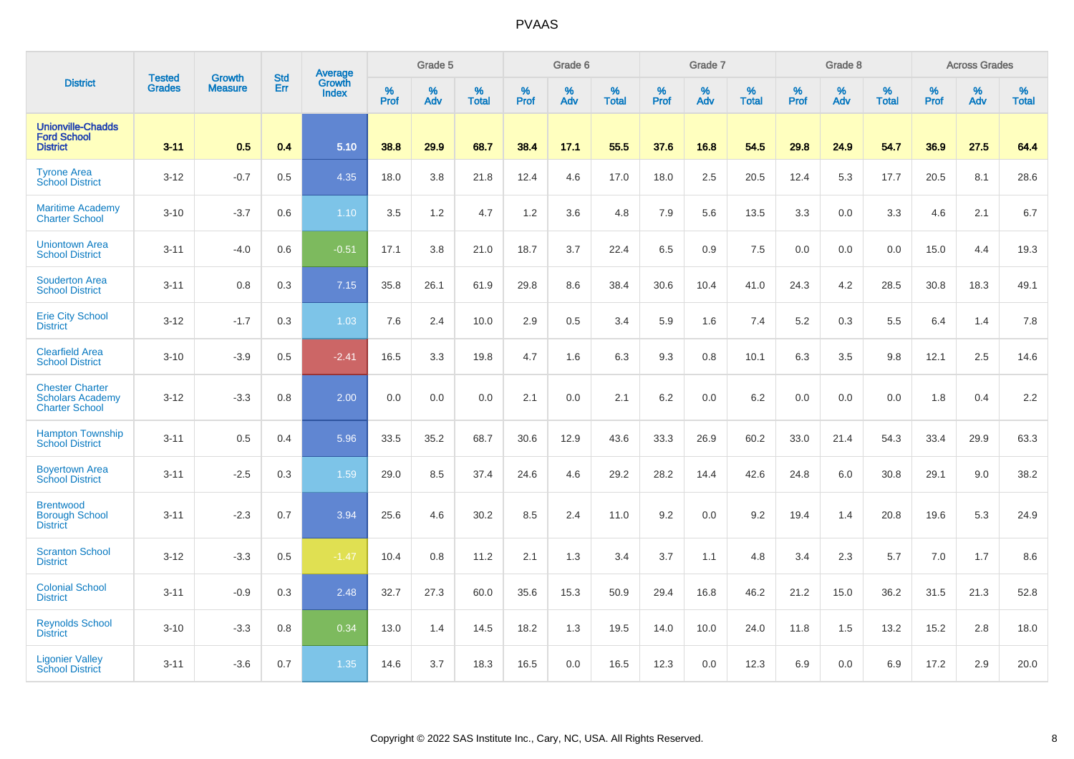| <b>District</b>                                                            | <b>Tested</b> | <b>Growth</b>  | <b>Std</b> | Average                       |           | Grade 5  |                   |           | Grade 6  |                   |           | Grade 7  |                   |           | Grade 8  |                   |           | <b>Across Grades</b> |                   |
|----------------------------------------------------------------------------|---------------|----------------|------------|-------------------------------|-----------|----------|-------------------|-----------|----------|-------------------|-----------|----------|-------------------|-----------|----------|-------------------|-----------|----------------------|-------------------|
|                                                                            | <b>Grades</b> | <b>Measure</b> | Err        | <b>Growth</b><br><b>Index</b> | %<br>Prof | %<br>Adv | %<br><b>Total</b> | %<br>Prof | %<br>Adv | %<br><b>Total</b> | %<br>Prof | %<br>Adv | %<br><b>Total</b> | %<br>Prof | %<br>Adv | %<br><b>Total</b> | %<br>Prof | %<br>Adv             | %<br><b>Total</b> |
| <b>Unionville-Chadds</b><br><b>Ford School</b><br><b>District</b>          | $3 - 11$      | 0.5            | 0.4        | 5.10                          | 38.8      | 29.9     | 68.7              | 38.4      | 17.1     | 55.5              | 37.6      | 16.8     | 54.5              | 29.8      | 24.9     | 54.7              | 36.9      | 27.5                 | 64.4              |
| <b>Tyrone Area</b><br><b>School District</b>                               | $3 - 12$      | $-0.7$         | 0.5        | 4.35                          | 18.0      | 3.8      | 21.8              | 12.4      | 4.6      | 17.0              | 18.0      | 2.5      | 20.5              | 12.4      | 5.3      | 17.7              | 20.5      | 8.1                  | 28.6              |
| <b>Maritime Academy</b><br><b>Charter School</b>                           | $3 - 10$      | $-3.7$         | 0.6        | 1.10                          | 3.5       | 1.2      | 4.7               | 1.2       | 3.6      | 4.8               | 7.9       | 5.6      | 13.5              | 3.3       | 0.0      | 3.3               | 4.6       | 2.1                  | 6.7               |
| <b>Uniontown Area</b><br><b>School District</b>                            | $3 - 11$      | $-4.0$         | 0.6        | $-0.51$                       | 17.1      | 3.8      | 21.0              | 18.7      | 3.7      | 22.4              | 6.5       | 0.9      | 7.5               | 0.0       | 0.0      | 0.0               | 15.0      | 4.4                  | 19.3              |
| <b>Souderton Area</b><br><b>School District</b>                            | $3 - 11$      | 0.8            | 0.3        | 7.15                          | 35.8      | 26.1     | 61.9              | 29.8      | 8.6      | 38.4              | 30.6      | 10.4     | 41.0              | 24.3      | 4.2      | 28.5              | 30.8      | 18.3                 | 49.1              |
| <b>Erie City School</b><br><b>District</b>                                 | $3 - 12$      | $-1.7$         | 0.3        | 1.03                          | 7.6       | 2.4      | 10.0              | 2.9       | 0.5      | 3.4               | 5.9       | 1.6      | 7.4               | 5.2       | 0.3      | 5.5               | 6.4       | 1.4                  | 7.8               |
| <b>Clearfield Area</b><br><b>School District</b>                           | $3 - 10$      | $-3.9$         | 0.5        | $-2.41$                       | 16.5      | 3.3      | 19.8              | 4.7       | 1.6      | 6.3               | 9.3       | 0.8      | 10.1              | 6.3       | 3.5      | 9.8               | 12.1      | 2.5                  | 14.6              |
| <b>Chester Charter</b><br><b>Scholars Academy</b><br><b>Charter School</b> | $3 - 12$      | $-3.3$         | 0.8        | 2.00                          | 0.0       | 0.0      | 0.0               | 2.1       | 0.0      | 2.1               | 6.2       | 0.0      | 6.2               | 0.0       | 0.0      | 0.0               | 1.8       | 0.4                  | 2.2               |
| <b>Hampton Township</b><br><b>School District</b>                          | $3 - 11$      | 0.5            | 0.4        | 5.96                          | 33.5      | 35.2     | 68.7              | 30.6      | 12.9     | 43.6              | 33.3      | 26.9     | 60.2              | 33.0      | 21.4     | 54.3              | 33.4      | 29.9                 | 63.3              |
| <b>Boyertown Area</b><br><b>School District</b>                            | $3 - 11$      | $-2.5$         | 0.3        | 1.59                          | 29.0      | 8.5      | 37.4              | 24.6      | 4.6      | 29.2              | 28.2      | 14.4     | 42.6              | 24.8      | 6.0      | 30.8              | 29.1      | 9.0                  | 38.2              |
| <b>Brentwood</b><br><b>Borough School</b><br><b>District</b>               | $3 - 11$      | $-2.3$         | 0.7        | 3.94                          | 25.6      | 4.6      | 30.2              | 8.5       | 2.4      | 11.0              | 9.2       | 0.0      | 9.2               | 19.4      | 1.4      | 20.8              | 19.6      | 5.3                  | 24.9              |
| <b>Scranton School</b><br><b>District</b>                                  | $3 - 12$      | $-3.3$         | 0.5        | $-1.47$                       | 10.4      | 0.8      | 11.2              | 2.1       | 1.3      | 3.4               | 3.7       | 1.1      | 4.8               | 3.4       | 2.3      | 5.7               | 7.0       | 1.7                  | 8.6               |
| <b>Colonial School</b><br><b>District</b>                                  | $3 - 11$      | $-0.9$         | 0.3        | 2.48                          | 32.7      | 27.3     | 60.0              | 35.6      | 15.3     | 50.9              | 29.4      | 16.8     | 46.2              | 21.2      | 15.0     | 36.2              | 31.5      | 21.3                 | 52.8              |
| <b>Reynolds School</b><br><b>District</b>                                  | $3 - 10$      | $-3.3$         | 0.8        | 0.34                          | 13.0      | 1.4      | 14.5              | 18.2      | 1.3      | 19.5              | 14.0      | 10.0     | 24.0              | 11.8      | 1.5      | 13.2              | 15.2      | 2.8                  | 18.0              |
| <b>Ligonier Valley</b><br><b>School District</b>                           | $3 - 11$      | $-3.6$         | 0.7        | 1.35                          | 14.6      | 3.7      | 18.3              | 16.5      | 0.0      | 16.5              | 12.3      | 0.0      | 12.3              | 6.9       | 0.0      | 6.9               | 17.2      | 2.9                  | 20.0              |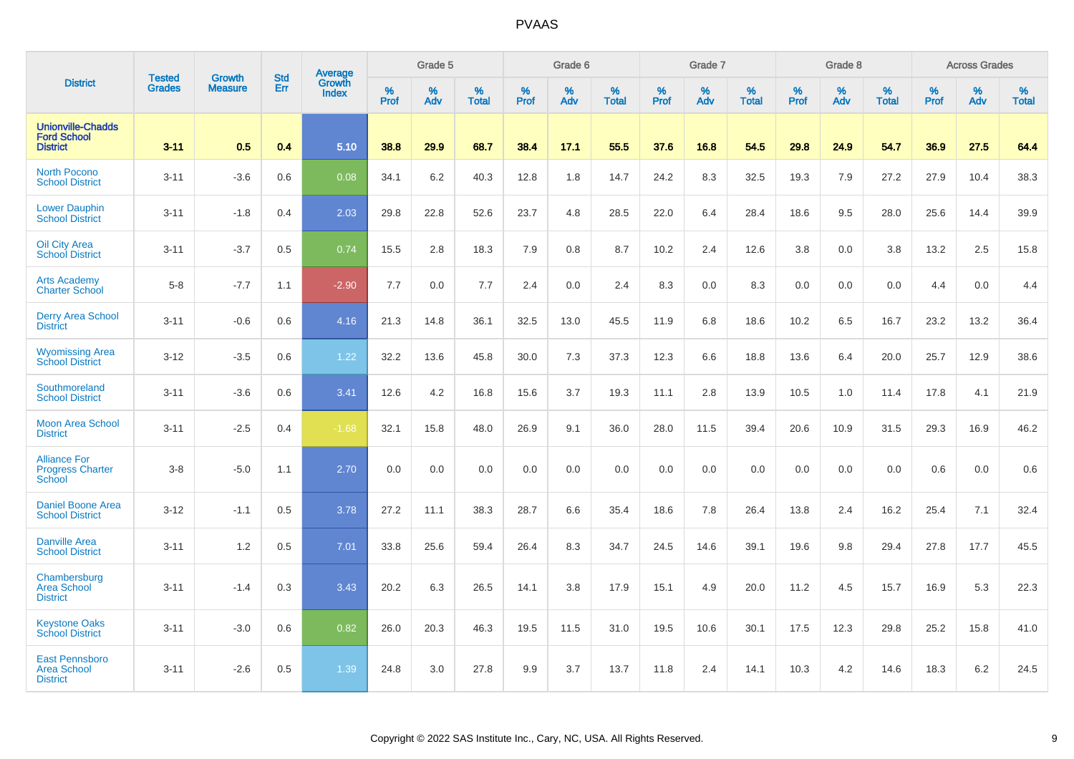| <b>District</b>                                                   |                                |                                 | <b>Std</b> | Average                |                     | Grade 5  |                   |                  | Grade 6  |                   |                  | Grade 7  |                   |           | Grade 8  |                   |           | <b>Across Grades</b> |                   |
|-------------------------------------------------------------------|--------------------------------|---------------------------------|------------|------------------------|---------------------|----------|-------------------|------------------|----------|-------------------|------------------|----------|-------------------|-----------|----------|-------------------|-----------|----------------------|-------------------|
|                                                                   | <b>Tested</b><br><b>Grades</b> | <b>Growth</b><br><b>Measure</b> | Err        | Growth<br><b>Index</b> | $\%$<br><b>Prof</b> | %<br>Adv | %<br><b>Total</b> | %<br><b>Prof</b> | %<br>Adv | %<br><b>Total</b> | %<br><b>Prof</b> | %<br>Adv | %<br><b>Total</b> | %<br>Prof | %<br>Adv | %<br><b>Total</b> | %<br>Prof | %<br>Adv             | %<br><b>Total</b> |
| <b>Unionville-Chadds</b><br><b>Ford School</b><br><b>District</b> | $3 - 11$                       | 0.5                             | 0.4        | 5.10                   | 38.8                | 29.9     | 68.7              | 38.4             | 17.1     | 55.5              | 37.6             | 16.8     | 54.5              | 29.8      | 24.9     | 54.7              | 36.9      | 27.5                 | 64.4              |
| <b>North Pocono</b><br><b>School District</b>                     | $3 - 11$                       | $-3.6$                          | 0.6        | 0.08                   | 34.1                | 6.2      | 40.3              | 12.8             | 1.8      | 14.7              | 24.2             | 8.3      | 32.5              | 19.3      | 7.9      | 27.2              | 27.9      | 10.4                 | 38.3              |
| <b>Lower Dauphin</b><br><b>School District</b>                    | $3 - 11$                       | $-1.8$                          | 0.4        | 2.03                   | 29.8                | 22.8     | 52.6              | 23.7             | 4.8      | 28.5              | 22.0             | 6.4      | 28.4              | 18.6      | 9.5      | 28.0              | 25.6      | 14.4                 | 39.9              |
| Oil City Area<br><b>School District</b>                           | $3 - 11$                       | $-3.7$                          | 0.5        | 0.74                   | 15.5                | 2.8      | 18.3              | 7.9              | 0.8      | 8.7               | 10.2             | 2.4      | 12.6              | 3.8       | 0.0      | 3.8               | 13.2      | 2.5                  | 15.8              |
| <b>Arts Academy</b><br><b>Charter School</b>                      | $5 - 8$                        | $-7.7$                          | 1.1        | $-2.90$                | 7.7                 | 0.0      | 7.7               | 2.4              | 0.0      | 2.4               | 8.3              | 0.0      | 8.3               | 0.0       | 0.0      | 0.0               | 4.4       | 0.0                  | 4.4               |
| <b>Derry Area School</b><br><b>District</b>                       | $3 - 11$                       | $-0.6$                          | 0.6        | 4.16                   | 21.3                | 14.8     | 36.1              | 32.5             | 13.0     | 45.5              | 11.9             | 6.8      | 18.6              | 10.2      | 6.5      | 16.7              | 23.2      | 13.2                 | 36.4              |
| <b>Wyomissing Area</b><br><b>School District</b>                  | $3 - 12$                       | $-3.5$                          | 0.6        | 1.22                   | 32.2                | 13.6     | 45.8              | 30.0             | 7.3      | 37.3              | 12.3             | 6.6      | 18.8              | 13.6      | 6.4      | 20.0              | 25.7      | 12.9                 | 38.6              |
| Southmoreland<br><b>School District</b>                           | $3 - 11$                       | $-3.6$                          | 0.6        | 3.41                   | 12.6                | 4.2      | 16.8              | 15.6             | 3.7      | 19.3              | 11.1             | 2.8      | 13.9              | 10.5      | 1.0      | 11.4              | 17.8      | 4.1                  | 21.9              |
| <b>Moon Area School</b><br><b>District</b>                        | $3 - 11$                       | $-2.5$                          | 0.4        | $-1.68$                | 32.1                | 15.8     | 48.0              | 26.9             | 9.1      | 36.0              | 28.0             | 11.5     | 39.4              | 20.6      | 10.9     | 31.5              | 29.3      | 16.9                 | 46.2              |
| <b>Alliance For</b><br><b>Progress Charter</b><br>School          | $3 - 8$                        | $-5.0$                          | 1.1        | 2.70                   | 0.0                 | 0.0      | 0.0               | 0.0              | 0.0      | 0.0               | 0.0              | 0.0      | 0.0               | 0.0       | 0.0      | 0.0               | 0.6       | 0.0                  | 0.6               |
| <b>Daniel Boone Area</b><br><b>School District</b>                | $3 - 12$                       | $-1.1$                          | 0.5        | 3.78                   | 27.2                | 11.1     | 38.3              | 28.7             | 6.6      | 35.4              | 18.6             | 7.8      | 26.4              | 13.8      | 2.4      | 16.2              | 25.4      | 7.1                  | 32.4              |
| <b>Danville Area</b><br><b>School District</b>                    | $3 - 11$                       | 1.2                             | 0.5        | 7.01                   | 33.8                | 25.6     | 59.4              | 26.4             | 8.3      | 34.7              | 24.5             | 14.6     | 39.1              | 19.6      | 9.8      | 29.4              | 27.8      | 17.7                 | 45.5              |
| Chambersburg<br><b>Area School</b><br><b>District</b>             | $3 - 11$                       | $-1.4$                          | 0.3        | 3.43                   | 20.2                | 6.3      | 26.5              | 14.1             | 3.8      | 17.9              | 15.1             | 4.9      | 20.0              | 11.2      | 4.5      | 15.7              | 16.9      | 5.3                  | 22.3              |
| <b>Keystone Oaks</b><br><b>School District</b>                    | $3 - 11$                       | $-3.0$                          | 0.6        | 0.82                   | 26.0                | 20.3     | 46.3              | 19.5             | 11.5     | 31.0              | 19.5             | 10.6     | 30.1              | 17.5      | 12.3     | 29.8              | 25.2      | 15.8                 | 41.0              |
| <b>East Pennsboro</b><br><b>Area School</b><br><b>District</b>    | $3 - 11$                       | $-2.6$                          | 0.5        | 1.39                   | 24.8                | 3.0      | 27.8              | 9.9              | 3.7      | 13.7              | 11.8             | 2.4      | 14.1              | 10.3      | 4.2      | 14.6              | 18.3      | 6.2                  | 24.5              |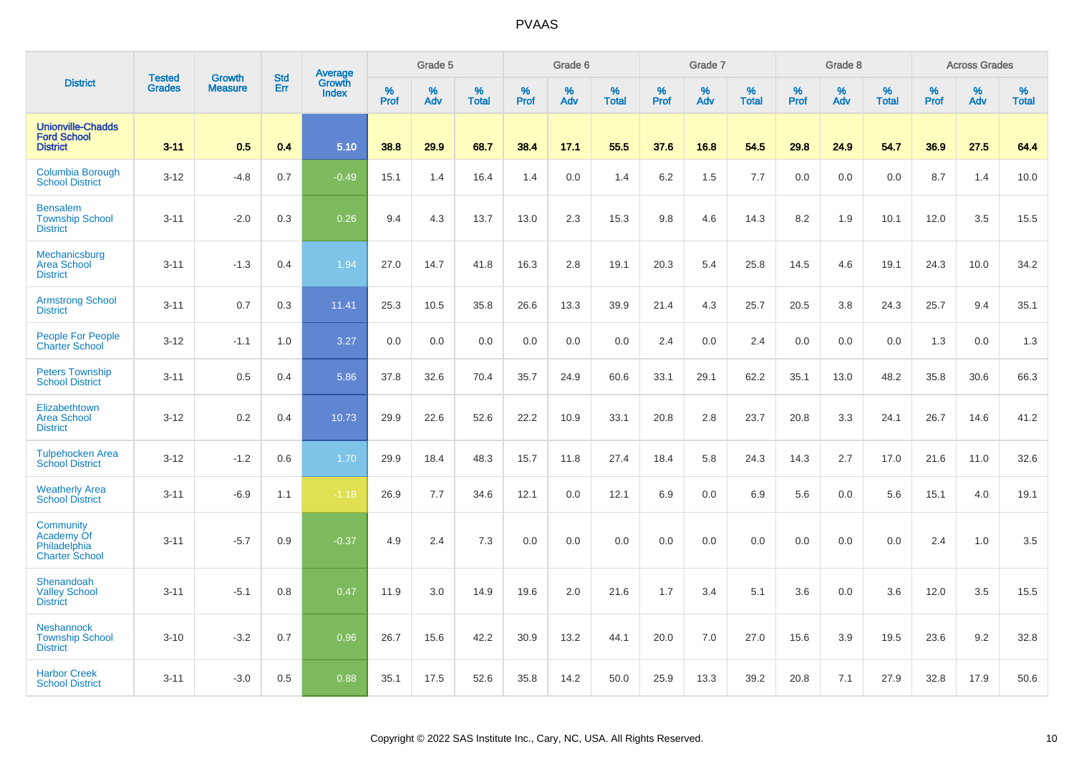| <b>District</b>                                                   | <b>Tested</b> | <b>Growth</b>  | <b>Std</b> | Average                |                     | Grade 5     |                      |                  | Grade 6  |                      |                     | Grade 7  |                      |              | Grade 8  |                   |              | <b>Across Grades</b> |                      |
|-------------------------------------------------------------------|---------------|----------------|------------|------------------------|---------------------|-------------|----------------------|------------------|----------|----------------------|---------------------|----------|----------------------|--------------|----------|-------------------|--------------|----------------------|----------------------|
|                                                                   | <b>Grades</b> | <b>Measure</b> | Err        | Growth<br><b>Index</b> | $\%$<br><b>Prof</b> | $\%$<br>Adv | $\%$<br><b>Total</b> | %<br><b>Prof</b> | %<br>Adv | $\%$<br><b>Total</b> | $\%$<br><b>Prof</b> | %<br>Adv | $\%$<br><b>Total</b> | $\%$<br>Prof | %<br>Adv | %<br><b>Total</b> | $\%$<br>Prof | %<br>Adv             | $\%$<br><b>Total</b> |
| <b>Unionville-Chadds</b><br><b>Ford School</b><br><b>District</b> | $3 - 11$      | 0.5            | 0.4        | 5.10                   | 38.8                | 29.9        | 68.7                 | 38.4             | 17.1     | 55.5                 | 37.6                | 16.8     | 54.5                 | 29.8         | 24.9     | 54.7              | 36.9         | 27.5                 | 64.4                 |
| Columbia Borough<br><b>School District</b>                        | $3-12$        | $-4.8$         | 0.7        | $-0.49$                | 15.1                | 1.4         | 16.4                 | 1.4              | 0.0      | 1.4                  | 6.2                 | 1.5      | 7.7                  | 0.0          | 0.0      | 0.0               | 8.7          | 1.4                  | 10.0                 |
| <b>Bensalem</b><br><b>Township School</b><br><b>District</b>      | $3 - 11$      | $-2.0$         | 0.3        | 0.26                   | 9.4                 | 4.3         | 13.7                 | 13.0             | 2.3      | 15.3                 | 9.8                 | 4.6      | 14.3                 | 8.2          | 1.9      | 10.1              | 12.0         | 3.5                  | 15.5                 |
| Mechanicsburg<br><b>Area School</b><br><b>District</b>            | $3 - 11$      | $-1.3$         | 0.4        | 1.94                   | 27.0                | 14.7        | 41.8                 | 16.3             | 2.8      | 19.1                 | 20.3                | 5.4      | 25.8                 | 14.5         | 4.6      | 19.1              | 24.3         | 10.0                 | 34.2                 |
| <b>Armstrong School</b><br><b>District</b>                        | $3 - 11$      | 0.7            | 0.3        | 11.41                  | 25.3                | 10.5        | 35.8                 | 26.6             | 13.3     | 39.9                 | 21.4                | 4.3      | 25.7                 | 20.5         | 3.8      | 24.3              | 25.7         | 9.4                  | 35.1                 |
| <b>People For People</b><br><b>Charter School</b>                 | $3 - 12$      | $-1.1$         | 1.0        | 3.27                   | 0.0                 | 0.0         | 0.0                  | 0.0              | 0.0      | 0.0                  | 2.4                 | 0.0      | 2.4                  | 0.0          | 0.0      | 0.0               | 1.3          | 0.0                  | 1.3                  |
| <b>Peters Township</b><br><b>School District</b>                  | $3 - 11$      | 0.5            | 0.4        | 5.86                   | 37.8                | 32.6        | 70.4                 | 35.7             | 24.9     | 60.6                 | 33.1                | 29.1     | 62.2                 | 35.1         | 13.0     | 48.2              | 35.8         | 30.6                 | 66.3                 |
| Elizabethtown<br><b>Area School</b><br><b>District</b>            | $3 - 12$      | 0.2            | 0.4        | 10.73                  | 29.9                | 22.6        | 52.6                 | 22.2             | 10.9     | 33.1                 | 20.8                | 2.8      | 23.7                 | 20.8         | 3.3      | 24.1              | 26.7         | 14.6                 | 41.2                 |
| <b>Tulpehocken Area</b><br><b>School District</b>                 | $3 - 12$      | $-1.2$         | 0.6        | 1.70                   | 29.9                | 18.4        | 48.3                 | 15.7             | 11.8     | 27.4                 | 18.4                | 5.8      | 24.3                 | 14.3         | 2.7      | 17.0              | 21.6         | 11.0                 | 32.6                 |
| <b>Weatherly Area</b><br><b>School District</b>                   | $3 - 11$      | $-6.9$         | 1.1        | $-1.18$                | 26.9                | 7.7         | 34.6                 | 12.1             | 0.0      | 12.1                 | 6.9                 | 0.0      | 6.9                  | 5.6          | 0.0      | 5.6               | 15.1         | 4.0                  | 19.1                 |
| Community<br>Academy Of<br>Philadelphia<br><b>Charter School</b>  | $3 - 11$      | $-5.7$         | 0.9        | $-0.37$                | 4.9                 | 2.4         | 7.3                  | 0.0              | 0.0      | 0.0                  | 0.0                 | 0.0      | 0.0                  | 0.0          | 0.0      | 0.0               | 2.4          | 1.0                  | 3.5                  |
| Shenandoah<br><b>Valley School</b><br><b>District</b>             | $3 - 11$      | $-5.1$         | 0.8        | 0.47                   | 11.9                | 3.0         | 14.9                 | 19.6             | 2.0      | 21.6                 | 1.7                 | 3.4      | 5.1                  | 3.6          | 0.0      | 3.6               | 12.0         | 3.5                  | 15.5                 |
| <b>Neshannock</b><br><b>Township School</b><br><b>District</b>    | $3 - 10$      | $-3.2$         | 0.7        | 0.96                   | 26.7                | 15.6        | 42.2                 | 30.9             | 13.2     | 44.1                 | 20.0                | 7.0      | 27.0                 | 15.6         | 3.9      | 19.5              | 23.6         | 9.2                  | 32.8                 |
| <b>Harbor Creek</b><br><b>School District</b>                     | $3 - 11$      | $-3.0$         | 0.5        | 0.88                   | 35.1                | 17.5        | 52.6                 | 35.8             | 14.2     | 50.0                 | 25.9                | 13.3     | 39.2                 | 20.8         | 7.1      | 27.9              | 32.8         | 17.9                 | 50.6                 |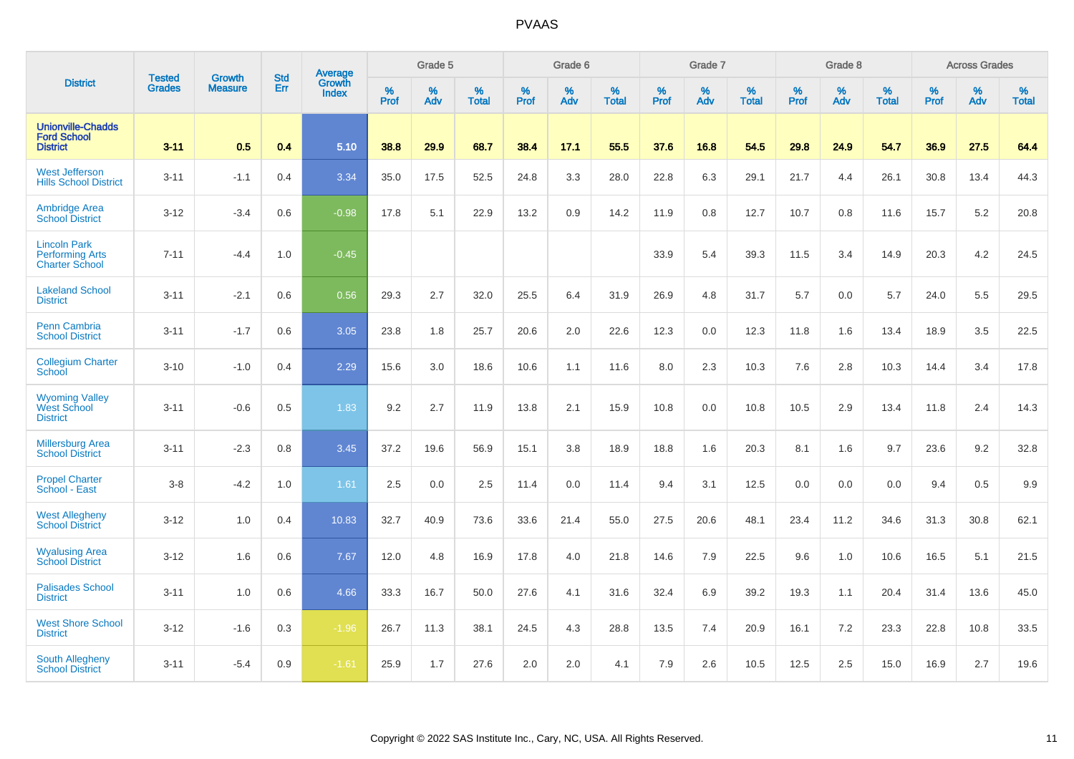| <b>District</b>                                                        |                                |                                 | <b>Std</b> | Average                |           | Grade 5  |                   |           | Grade 6  |                   |           | Grade 7  |                   |           | Grade 8  |                   |           | <b>Across Grades</b> |                   |
|------------------------------------------------------------------------|--------------------------------|---------------------------------|------------|------------------------|-----------|----------|-------------------|-----------|----------|-------------------|-----------|----------|-------------------|-----------|----------|-------------------|-----------|----------------------|-------------------|
|                                                                        | <b>Tested</b><br><b>Grades</b> | <b>Growth</b><br><b>Measure</b> | Err        | <b>Growth</b><br>Index | %<br>Prof | %<br>Adv | %<br><b>Total</b> | %<br>Prof | %<br>Adv | %<br><b>Total</b> | %<br>Prof | %<br>Adv | %<br><b>Total</b> | %<br>Prof | %<br>Adv | %<br><b>Total</b> | %<br>Prof | %<br>Adv             | %<br><b>Total</b> |
| <b>Unionville-Chadds</b><br><b>Ford School</b><br><b>District</b>      | $3 - 11$                       | 0.5                             | 0.4        | 5.10                   | 38.8      | 29.9     | 68.7              | 38.4      | 17.1     | 55.5              | 37.6      | 16.8     | 54.5              | 29.8      | 24.9     | 54.7              | 36.9      | 27.5                 | 64.4              |
| <b>West Jefferson</b><br><b>Hills School District</b>                  | $3 - 11$                       | $-1.1$                          | 0.4        | 3.34                   | 35.0      | 17.5     | 52.5              | 24.8      | 3.3      | 28.0              | 22.8      | 6.3      | 29.1              | 21.7      | 4.4      | 26.1              | 30.8      | 13.4                 | 44.3              |
| <b>Ambridge Area</b><br><b>School District</b>                         | $3 - 12$                       | $-3.4$                          | 0.6        | $-0.98$                | 17.8      | 5.1      | 22.9              | 13.2      | 0.9      | 14.2              | 11.9      | 0.8      | 12.7              | 10.7      | 0.8      | 11.6              | 15.7      | 5.2                  | 20.8              |
| <b>Lincoln Park</b><br><b>Performing Arts</b><br><b>Charter School</b> | $7 - 11$                       | $-4.4$                          | 1.0        | $-0.45$                |           |          |                   |           |          |                   | 33.9      | 5.4      | 39.3              | 11.5      | 3.4      | 14.9              | 20.3      | 4.2                  | 24.5              |
| <b>Lakeland School</b><br><b>District</b>                              | $3 - 11$                       | $-2.1$                          | 0.6        | 0.56                   | 29.3      | 2.7      | 32.0              | 25.5      | 6.4      | 31.9              | 26.9      | 4.8      | 31.7              | 5.7       | 0.0      | 5.7               | 24.0      | 5.5                  | 29.5              |
| Penn Cambria<br><b>School District</b>                                 | $3 - 11$                       | $-1.7$                          | 0.6        | 3.05                   | 23.8      | 1.8      | 25.7              | 20.6      | 2.0      | 22.6              | 12.3      | 0.0      | 12.3              | 11.8      | 1.6      | 13.4              | 18.9      | 3.5                  | 22.5              |
| <b>Collegium Charter</b><br>School                                     | $3 - 10$                       | $-1.0$                          | 0.4        | 2.29                   | 15.6      | 3.0      | 18.6              | 10.6      | 1.1      | 11.6              | 8.0       | 2.3      | 10.3              | 7.6       | 2.8      | 10.3              | 14.4      | 3.4                  | 17.8              |
| <b>Wyoming Valley</b><br>West School<br><b>District</b>                | $3 - 11$                       | $-0.6$                          | 0.5        | 1.83                   | 9.2       | 2.7      | 11.9              | 13.8      | 2.1      | 15.9              | 10.8      | 0.0      | 10.8              | 10.5      | 2.9      | 13.4              | 11.8      | 2.4                  | 14.3              |
| <b>Millersburg Area</b><br><b>School District</b>                      | $3 - 11$                       | $-2.3$                          | 0.8        | 3.45                   | 37.2      | 19.6     | 56.9              | 15.1      | 3.8      | 18.9              | 18.8      | 1.6      | 20.3              | 8.1       | 1.6      | 9.7               | 23.6      | 9.2                  | 32.8              |
| <b>Propel Charter</b><br>School - East                                 | $3 - 8$                        | $-4.2$                          | 1.0        | 1.61                   | 2.5       | 0.0      | 2.5               | 11.4      | 0.0      | 11.4              | 9.4       | 3.1      | 12.5              | 0.0       | 0.0      | 0.0               | 9.4       | 0.5                  | 9.9               |
| <b>West Allegheny</b><br><b>School District</b>                        | $3 - 12$                       | 1.0                             | 0.4        | 10.83                  | 32.7      | 40.9     | 73.6              | 33.6      | 21.4     | 55.0              | 27.5      | 20.6     | 48.1              | 23.4      | 11.2     | 34.6              | 31.3      | 30.8                 | 62.1              |
| <b>Wyalusing Area</b><br><b>School District</b>                        | $3 - 12$                       | 1.6                             | 0.6        | 7.67                   | 12.0      | 4.8      | 16.9              | 17.8      | 4.0      | 21.8              | 14.6      | 7.9      | 22.5              | 9.6       | 1.0      | 10.6              | 16.5      | 5.1                  | 21.5              |
| <b>Palisades School</b><br><b>District</b>                             | $3 - 11$                       | 1.0                             | 0.6        | 4.66                   | 33.3      | 16.7     | 50.0              | 27.6      | 4.1      | 31.6              | 32.4      | 6.9      | 39.2              | 19.3      | 1.1      | 20.4              | 31.4      | 13.6                 | 45.0              |
| <b>West Shore School</b><br><b>District</b>                            | $3 - 12$                       | $-1.6$                          | 0.3        | $-1.96$                | 26.7      | 11.3     | 38.1              | 24.5      | 4.3      | 28.8              | 13.5      | 7.4      | 20.9              | 16.1      | 7.2      | 23.3              | 22.8      | 10.8                 | 33.5              |
| South Allegheny<br><b>School District</b>                              | $3 - 11$                       | $-5.4$                          | 0.9        | $-1.61$                | 25.9      | 1.7      | 27.6              | 2.0       | 2.0      | 4.1               | 7.9       | 2.6      | 10.5              | 12.5      | 2.5      | 15.0              | 16.9      | 2.7                  | 19.6              |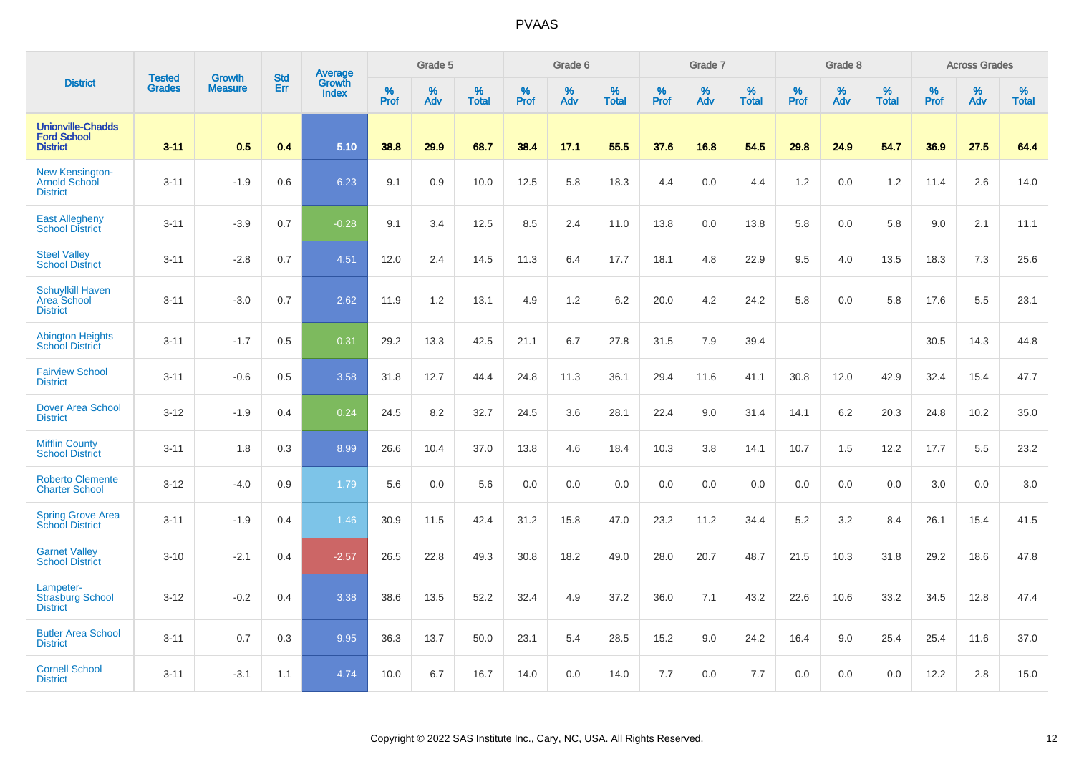|                                                                   | <b>Tested</b> | <b>Growth</b>  | <b>Std</b> | <b>Average</b>         |                     | Grade 5     |                   |                  | Grade 6  |                   |                  | Grade 7  |                   |           | Grade 8  |                   |                     | <b>Across Grades</b> |                   |
|-------------------------------------------------------------------|---------------|----------------|------------|------------------------|---------------------|-------------|-------------------|------------------|----------|-------------------|------------------|----------|-------------------|-----------|----------|-------------------|---------------------|----------------------|-------------------|
| <b>District</b>                                                   | <b>Grades</b> | <b>Measure</b> | Err        | Growth<br><b>Index</b> | $\%$<br><b>Prof</b> | $\%$<br>Adv | %<br><b>Total</b> | %<br><b>Prof</b> | %<br>Adv | %<br><b>Total</b> | %<br><b>Prof</b> | %<br>Adv | %<br><b>Total</b> | %<br>Prof | %<br>Adv | %<br><b>Total</b> | $\%$<br><b>Prof</b> | $\%$<br>Adv          | %<br><b>Total</b> |
| <b>Unionville-Chadds</b><br><b>Ford School</b><br><b>District</b> | $3 - 11$      | 0.5            | 0.4        | 5.10                   | 38.8                | 29.9        | 68.7              | 38.4             | 17.1     | 55.5              | 37.6             | 16.8     | 54.5              | 29.8      | 24.9     | 54.7              | 36.9                | 27.5                 | 64.4              |
| <b>New Kensington-</b><br><b>Arnold School</b><br><b>District</b> | $3 - 11$      | $-1.9$         | 0.6        | 6.23                   | 9.1                 | 0.9         | 10.0              | 12.5             | 5.8      | 18.3              | 4.4              | 0.0      | 4.4               | 1.2       | 0.0      | 1.2               | 11.4                | 2.6                  | 14.0              |
| <b>East Allegheny</b><br><b>School District</b>                   | $3 - 11$      | $-3.9$         | 0.7        | $-0.28$                | 9.1                 | 3.4         | 12.5              | 8.5              | 2.4      | 11.0              | 13.8             | 0.0      | 13.8              | 5.8       | 0.0      | 5.8               | 9.0                 | 2.1                  | 11.1              |
| <b>Steel Valley</b><br><b>School District</b>                     | $3 - 11$      | $-2.8$         | 0.7        | 4.51                   | 12.0                | 2.4         | 14.5              | 11.3             | 6.4      | 17.7              | 18.1             | $4.8\,$  | 22.9              | 9.5       | 4.0      | 13.5              | 18.3                | 7.3                  | 25.6              |
| <b>Schuylkill Haven</b><br>Area School<br><b>District</b>         | $3 - 11$      | $-3.0$         | 0.7        | 2.62                   | 11.9                | 1.2         | 13.1              | 4.9              | 1.2      | 6.2               | 20.0             | 4.2      | 24.2              | 5.8       | 0.0      | 5.8               | 17.6                | 5.5                  | 23.1              |
| <b>Abington Heights</b><br><b>School District</b>                 | $3 - 11$      | $-1.7$         | 0.5        | 0.31                   | 29.2                | 13.3        | 42.5              | 21.1             | 6.7      | 27.8              | 31.5             | 7.9      | 39.4              |           |          |                   | 30.5                | 14.3                 | 44.8              |
| <b>Fairview School</b><br><b>District</b>                         | $3 - 11$      | $-0.6$         | 0.5        | 3.58                   | 31.8                | 12.7        | 44.4              | 24.8             | 11.3     | 36.1              | 29.4             | 11.6     | 41.1              | 30.8      | 12.0     | 42.9              | 32.4                | 15.4                 | 47.7              |
| <b>Dover Area School</b><br><b>District</b>                       | $3 - 12$      | $-1.9$         | 0.4        | 0.24                   | 24.5                | 8.2         | 32.7              | 24.5             | 3.6      | 28.1              | 22.4             | 9.0      | 31.4              | 14.1      | 6.2      | 20.3              | 24.8                | 10.2                 | 35.0              |
| <b>Mifflin County</b><br><b>School District</b>                   | $3 - 11$      | 1.8            | 0.3        | 8.99                   | 26.6                | 10.4        | 37.0              | 13.8             | 4.6      | 18.4              | 10.3             | 3.8      | 14.1              | 10.7      | 1.5      | 12.2              | 17.7                | 5.5                  | 23.2              |
| <b>Roberto Clemente</b><br><b>Charter School</b>                  | $3 - 12$      | $-4.0$         | 0.9        | 1.79                   | 5.6                 | 0.0         | 5.6               | 0.0              | 0.0      | 0.0               | 0.0              | 0.0      | 0.0               | 0.0       | 0.0      | 0.0               | 3.0                 | 0.0                  | 3.0               |
| <b>Spring Grove Area</b><br><b>School District</b>                | $3 - 11$      | $-1.9$         | 0.4        | 1.46                   | 30.9                | 11.5        | 42.4              | 31.2             | 15.8     | 47.0              | 23.2             | 11.2     | 34.4              | 5.2       | 3.2      | 8.4               | 26.1                | 15.4                 | 41.5              |
| <b>Garnet Valley</b><br><b>School District</b>                    | $3 - 10$      | $-2.1$         | 0.4        | $-2.57$                | 26.5                | 22.8        | 49.3              | 30.8             | 18.2     | 49.0              | 28.0             | 20.7     | 48.7              | 21.5      | 10.3     | 31.8              | 29.2                | 18.6                 | 47.8              |
| Lampeter-<br><b>Strasburg School</b><br><b>District</b>           | $3 - 12$      | $-0.2$         | 0.4        | 3.38                   | 38.6                | 13.5        | 52.2              | 32.4             | 4.9      | 37.2              | 36.0             | 7.1      | 43.2              | 22.6      | 10.6     | 33.2              | 34.5                | 12.8                 | 47.4              |
| <b>Butler Area School</b><br><b>District</b>                      | $3 - 11$      | 0.7            | 0.3        | 9.95                   | 36.3                | 13.7        | 50.0              | 23.1             | 5.4      | 28.5              | 15.2             | 9.0      | 24.2              | 16.4      | 9.0      | 25.4              | 25.4                | 11.6                 | 37.0              |
| <b>Cornell School</b><br><b>District</b>                          | $3 - 11$      | $-3.1$         | 1.1        | 4.74                   | 10.0                | 6.7         | 16.7              | 14.0             | 0.0      | 14.0              | 7.7              | 0.0      | 7.7               | 0.0       | 0.0      | 0.0               | 12.2                | 2.8                  | 15.0              |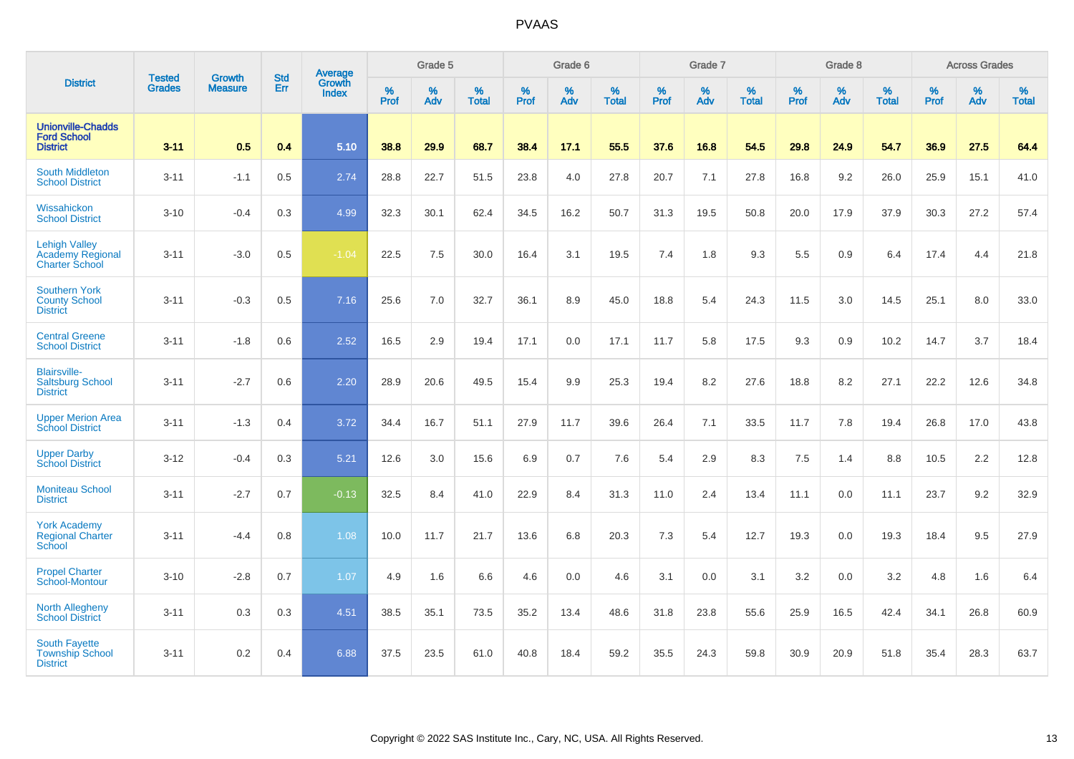|                                                                          |                                |                                 | <b>Std</b> | <b>Average</b>                |           | Grade 5  |                   |           | Grade 6  |                   |           | Grade 7  |                   |           | Grade 8  |                   |           | <b>Across Grades</b> |                   |
|--------------------------------------------------------------------------|--------------------------------|---------------------------------|------------|-------------------------------|-----------|----------|-------------------|-----------|----------|-------------------|-----------|----------|-------------------|-----------|----------|-------------------|-----------|----------------------|-------------------|
| <b>District</b>                                                          | <b>Tested</b><br><b>Grades</b> | <b>Growth</b><br><b>Measure</b> | Err        | <b>Growth</b><br><b>Index</b> | %<br>Prof | %<br>Adv | %<br><b>Total</b> | %<br>Prof | %<br>Adv | %<br><b>Total</b> | %<br>Prof | %<br>Adv | %<br><b>Total</b> | %<br>Prof | %<br>Adv | %<br><b>Total</b> | %<br>Prof | %<br>Adv             | %<br><b>Total</b> |
| <b>Unionville-Chadds</b><br><b>Ford School</b><br><b>District</b>        | $3 - 11$                       | 0.5                             | 0.4        | 5.10                          | 38.8      | 29.9     | 68.7              | 38.4      | 17.1     | 55.5              | 37.6      | 16.8     | 54.5              | 29.8      | 24.9     | 54.7              | 36.9      | 27.5                 | 64.4              |
| South Middleton<br><b>School District</b>                                | $3 - 11$                       | $-1.1$                          | 0.5        | 2.74                          | 28.8      | 22.7     | 51.5              | 23.8      | 4.0      | 27.8              | 20.7      | 7.1      | 27.8              | 16.8      | 9.2      | 26.0              | 25.9      | 15.1                 | 41.0              |
| Wissahickon<br><b>School District</b>                                    | $3 - 10$                       | $-0.4$                          | 0.3        | 4.99                          | 32.3      | 30.1     | 62.4              | 34.5      | 16.2     | 50.7              | 31.3      | 19.5     | 50.8              | 20.0      | 17.9     | 37.9              | 30.3      | 27.2                 | 57.4              |
| <b>Lehigh Valley</b><br><b>Academy Regional</b><br><b>Charter School</b> | $3 - 11$                       | $-3.0$                          | 0.5        | $-1.04$                       | 22.5      | 7.5      | 30.0              | 16.4      | 3.1      | 19.5              | 7.4       | 1.8      | 9.3               | 5.5       | 0.9      | 6.4               | 17.4      | 4.4                  | 21.8              |
| <b>Southern York</b><br><b>County School</b><br><b>District</b>          | $3 - 11$                       | $-0.3$                          | 0.5        | 7.16                          | 25.6      | 7.0      | 32.7              | 36.1      | 8.9      | 45.0              | 18.8      | 5.4      | 24.3              | 11.5      | 3.0      | 14.5              | 25.1      | 8.0                  | 33.0              |
| <b>Central Greene</b><br><b>School District</b>                          | $3 - 11$                       | $-1.8$                          | 0.6        | 2.52                          | 16.5      | 2.9      | 19.4              | 17.1      | 0.0      | 17.1              | 11.7      | 5.8      | 17.5              | 9.3       | 0.9      | 10.2              | 14.7      | 3.7                  | 18.4              |
| <b>Blairsville-</b><br><b>Saltsburg School</b><br><b>District</b>        | $3 - 11$                       | $-2.7$                          | 0.6        | 2.20                          | 28.9      | 20.6     | 49.5              | 15.4      | 9.9      | 25.3              | 19.4      | 8.2      | 27.6              | 18.8      | 8.2      | 27.1              | 22.2      | 12.6                 | 34.8              |
| <b>Upper Merion Area</b><br><b>School District</b>                       | $3 - 11$                       | $-1.3$                          | 0.4        | 3.72                          | 34.4      | 16.7     | 51.1              | 27.9      | 11.7     | 39.6              | 26.4      | 7.1      | 33.5              | 11.7      | 7.8      | 19.4              | 26.8      | 17.0                 | 43.8              |
| <b>Upper Darby</b><br><b>School District</b>                             | $3 - 12$                       | $-0.4$                          | 0.3        | 5.21                          | 12.6      | 3.0      | 15.6              | 6.9       | 0.7      | 7.6               | 5.4       | 2.9      | 8.3               | 7.5       | 1.4      | 8.8               | 10.5      | 2.2                  | 12.8              |
| <b>Moniteau School</b><br><b>District</b>                                | $3 - 11$                       | $-2.7$                          | 0.7        | $-0.13$                       | 32.5      | 8.4      | 41.0              | 22.9      | 8.4      | 31.3              | 11.0      | 2.4      | 13.4              | 11.1      | 0.0      | 11.1              | 23.7      | 9.2                  | 32.9              |
| <b>York Academy</b><br><b>Regional Charter</b><br><b>School</b>          | $3 - 11$                       | $-4.4$                          | 0.8        | 1.08                          | 10.0      | 11.7     | 21.7              | 13.6      | 6.8      | 20.3              | 7.3       | 5.4      | 12.7              | 19.3      | 0.0      | 19.3              | 18.4      | 9.5                  | 27.9              |
| <b>Propel Charter</b><br>School-Montour                                  | $3 - 10$                       | $-2.8$                          | 0.7        | 1.07                          | 4.9       | 1.6      | 6.6               | 4.6       | 0.0      | 4.6               | 3.1       | 0.0      | 3.1               | 3.2       | 0.0      | 3.2               | 4.8       | 1.6                  | 6.4               |
| North Allegheny<br><b>School District</b>                                | $3 - 11$                       | 0.3                             | 0.3        | 4.51                          | 38.5      | 35.1     | 73.5              | 35.2      | 13.4     | 48.6              | 31.8      | 23.8     | 55.6              | 25.9      | 16.5     | 42.4              | 34.1      | 26.8                 | 60.9              |
| <b>South Fayette</b><br><b>Township School</b><br><b>District</b>        | $3 - 11$                       | 0.2                             | 0.4        | 6.88                          | 37.5      | 23.5     | 61.0              | 40.8      | 18.4     | 59.2              | 35.5      | 24.3     | 59.8              | 30.9      | 20.9     | 51.8              | 35.4      | 28.3                 | 63.7              |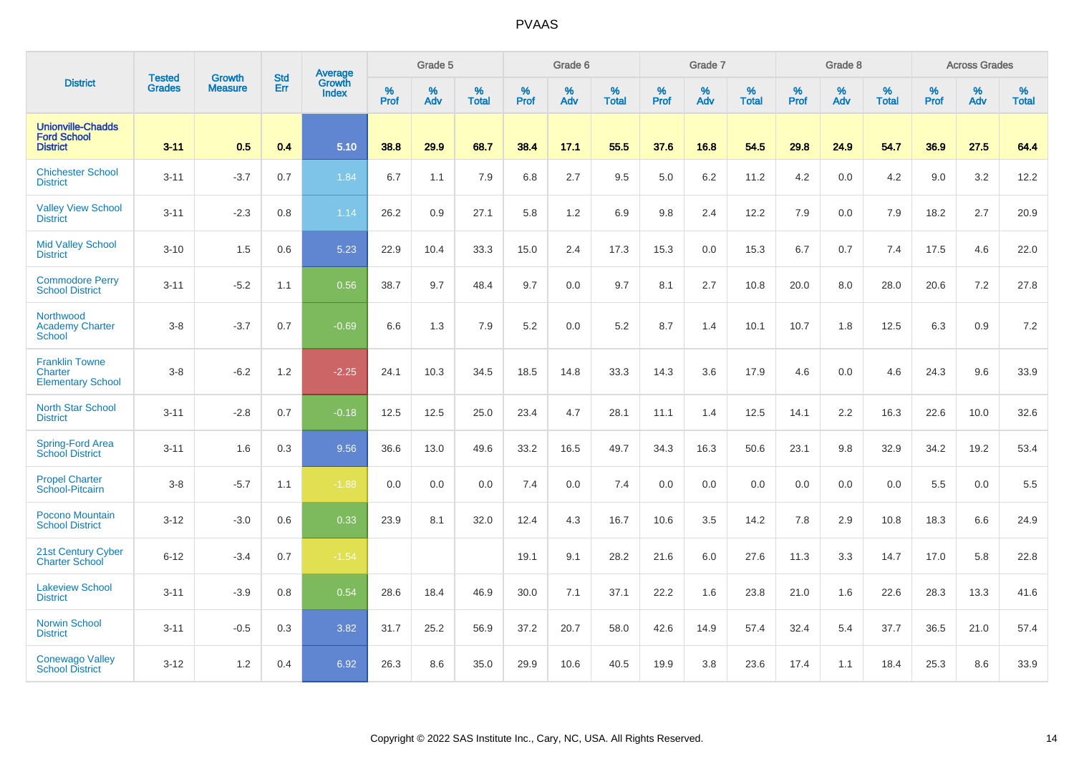|                                                                   | <b>Tested</b> | <b>Growth</b>  | <b>Std</b> | Average                       |           | Grade 5  |                   |           | Grade 6  |                   |           | Grade 7  |                   |           | Grade 8  |                   |           | <b>Across Grades</b> |                   |
|-------------------------------------------------------------------|---------------|----------------|------------|-------------------------------|-----------|----------|-------------------|-----------|----------|-------------------|-----------|----------|-------------------|-----------|----------|-------------------|-----------|----------------------|-------------------|
| <b>District</b>                                                   | <b>Grades</b> | <b>Measure</b> | Err        | <b>Growth</b><br><b>Index</b> | %<br>Prof | %<br>Adv | %<br><b>Total</b> | %<br>Prof | %<br>Adv | %<br><b>Total</b> | %<br>Prof | %<br>Adv | %<br><b>Total</b> | %<br>Prof | %<br>Adv | %<br><b>Total</b> | %<br>Prof | %<br>Adv             | %<br><b>Total</b> |
| <b>Unionville-Chadds</b><br><b>Ford School</b><br><b>District</b> | $3 - 11$      | 0.5            | 0.4        | 5.10                          | 38.8      | 29.9     | 68.7              | 38.4      | 17.1     | 55.5              | 37.6      | 16.8     | 54.5              | 29.8      | 24.9     | 54.7              | 36.9      | 27.5                 | 64.4              |
| <b>Chichester School</b><br><b>District</b>                       | $3 - 11$      | $-3.7$         | 0.7        | 1.84                          | 6.7       | 1.1      | 7.9               | 6.8       | 2.7      | 9.5               | 5.0       | 6.2      | 11.2              | 4.2       | 0.0      | 4.2               | 9.0       | 3.2                  | 12.2              |
| <b>Valley View School</b><br><b>District</b>                      | $3 - 11$      | $-2.3$         | 0.8        | 1.14                          | 26.2      | 0.9      | 27.1              | 5.8       | 1.2      | 6.9               | 9.8       | 2.4      | 12.2              | 7.9       | 0.0      | 7.9               | 18.2      | 2.7                  | 20.9              |
| <b>Mid Valley School</b><br><b>District</b>                       | $3 - 10$      | 1.5            | 0.6        | 5.23                          | 22.9      | 10.4     | 33.3              | 15.0      | 2.4      | 17.3              | 15.3      | 0.0      | 15.3              | 6.7       | 0.7      | 7.4               | 17.5      | 4.6                  | 22.0              |
| <b>Commodore Perry</b><br><b>School District</b>                  | $3 - 11$      | $-5.2$         | 1.1        | 0.56                          | 38.7      | 9.7      | 48.4              | 9.7       | 0.0      | 9.7               | 8.1       | 2.7      | 10.8              | 20.0      | 8.0      | 28.0              | 20.6      | 7.2                  | 27.8              |
| Northwood<br><b>Academy Charter</b><br><b>School</b>              | $3-8$         | $-3.7$         | 0.7        | $-0.69$                       | 6.6       | 1.3      | 7.9               | 5.2       | 0.0      | 5.2               | 8.7       | 1.4      | 10.1              | 10.7      | 1.8      | 12.5              | 6.3       | 0.9                  | $7.2\,$           |
| <b>Franklin Towne</b><br>Charter<br><b>Elementary School</b>      | $3-8$         | $-6.2$         | 1.2        | $-2.25$                       | 24.1      | 10.3     | 34.5              | 18.5      | 14.8     | 33.3              | 14.3      | 3.6      | 17.9              | 4.6       | 0.0      | 4.6               | 24.3      | 9.6                  | 33.9              |
| <b>North Star School</b><br><b>District</b>                       | $3 - 11$      | $-2.8$         | 0.7        | $-0.18$                       | 12.5      | 12.5     | 25.0              | 23.4      | 4.7      | 28.1              | 11.1      | 1.4      | 12.5              | 14.1      | 2.2      | 16.3              | 22.6      | 10.0                 | 32.6              |
| Spring-Ford Area<br><b>School District</b>                        | $3 - 11$      | 1.6            | 0.3        | 9.56                          | 36.6      | 13.0     | 49.6              | 33.2      | 16.5     | 49.7              | 34.3      | 16.3     | 50.6              | 23.1      | 9.8      | 32.9              | 34.2      | 19.2                 | 53.4              |
| <b>Propel Charter</b><br>School-Pitcairn                          | $3 - 8$       | $-5.7$         | 1.1        | $-1.88$                       | 0.0       | 0.0      | 0.0               | 7.4       | 0.0      | 7.4               | 0.0       | 0.0      | 0.0               | 0.0       | 0.0      | 0.0               | 5.5       | 0.0                  | 5.5               |
| Pocono Mountain<br><b>School District</b>                         | $3 - 12$      | $-3.0$         | 0.6        | 0.33                          | 23.9      | 8.1      | 32.0              | 12.4      | 4.3      | 16.7              | 10.6      | 3.5      | 14.2              | 7.8       | 2.9      | 10.8              | 18.3      | 6.6                  | 24.9              |
| 21st Century Cyber<br><b>Charter School</b>                       | $6 - 12$      | $-3.4$         | 0.7        | $-1.54$                       |           |          |                   | 19.1      | 9.1      | 28.2              | 21.6      | 6.0      | 27.6              | 11.3      | 3.3      | 14.7              | 17.0      | 5.8                  | 22.8              |
| <b>Lakeview School</b><br><b>District</b>                         | $3 - 11$      | $-3.9$         | 0.8        | 0.54                          | 28.6      | 18.4     | 46.9              | 30.0      | 7.1      | 37.1              | 22.2      | 1.6      | 23.8              | 21.0      | 1.6      | 22.6              | 28.3      | 13.3                 | 41.6              |
| <b>Norwin School</b><br><b>District</b>                           | $3 - 11$      | $-0.5$         | 0.3        | 3.82                          | 31.7      | 25.2     | 56.9              | 37.2      | 20.7     | 58.0              | 42.6      | 14.9     | 57.4              | 32.4      | 5.4      | 37.7              | 36.5      | 21.0                 | 57.4              |
| <b>Conewago Valley</b><br><b>School District</b>                  | $3 - 12$      | 1.2            | 0.4        | 6.92                          | 26.3      | 8.6      | 35.0              | 29.9      | 10.6     | 40.5              | 19.9      | 3.8      | 23.6              | 17.4      | 1.1      | 18.4              | 25.3      | 8.6                  | 33.9              |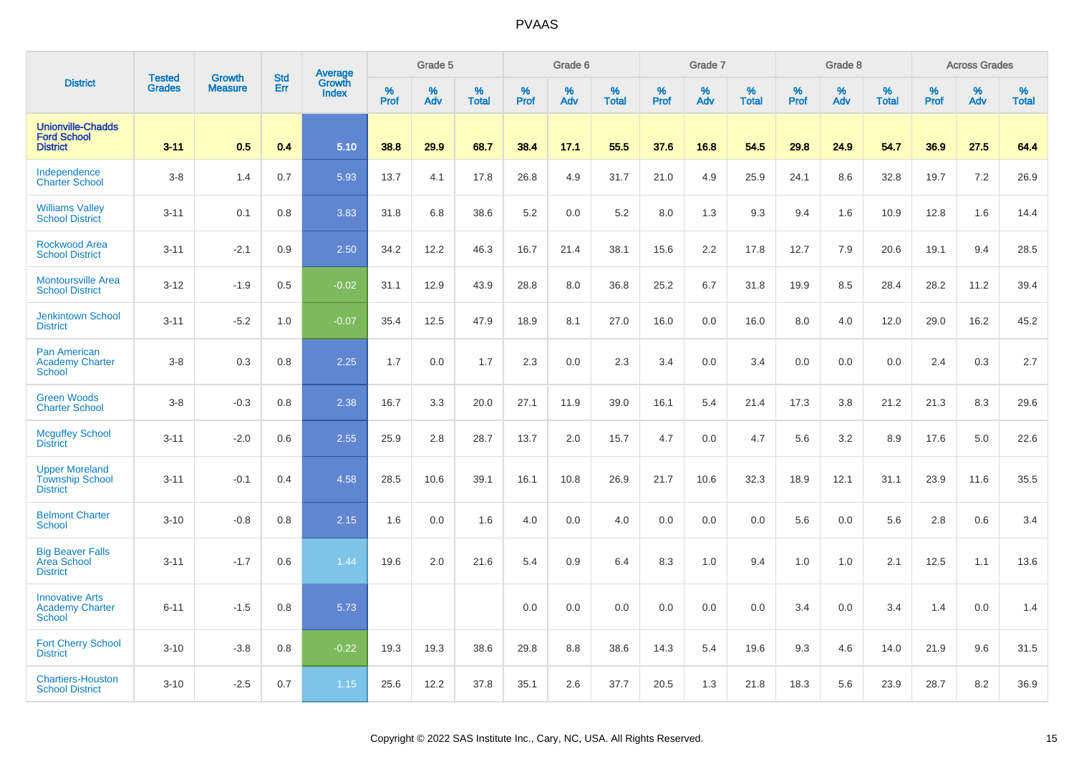|                                                                    | <b>Tested</b> | <b>Growth</b>  | <b>Std</b> | <b>Average</b><br>Growth |                     | Grade 5  |                   |                  | Grade 6  |                   |                  | Grade 7  |                   |           | Grade 8  |                   |           | <b>Across Grades</b> |                   |
|--------------------------------------------------------------------|---------------|----------------|------------|--------------------------|---------------------|----------|-------------------|------------------|----------|-------------------|------------------|----------|-------------------|-----------|----------|-------------------|-----------|----------------------|-------------------|
| <b>District</b>                                                    | <b>Grades</b> | <b>Measure</b> | Err        | <b>Index</b>             | $\%$<br><b>Prof</b> | %<br>Adv | %<br><b>Total</b> | %<br><b>Prof</b> | %<br>Adv | %<br><b>Total</b> | %<br><b>Prof</b> | %<br>Adv | %<br><b>Total</b> | %<br>Prof | %<br>Adv | %<br><b>Total</b> | %<br>Prof | %<br>Adv             | %<br><b>Total</b> |
| <b>Unionville-Chadds</b><br><b>Ford School</b><br><b>District</b>  | $3 - 11$      | 0.5            | 0.4        | 5.10                     | 38.8                | 29.9     | 68.7              | 38.4             | 17.1     | 55.5              | 37.6             | 16.8     | 54.5              | 29.8      | 24.9     | 54.7              | 36.9      | 27.5                 | 64.4              |
| Independence<br><b>Charter School</b>                              | $3 - 8$       | 1.4            | 0.7        | 5.93                     | 13.7                | 4.1      | 17.8              | 26.8             | 4.9      | 31.7              | 21.0             | 4.9      | 25.9              | 24.1      | 8.6      | 32.8              | 19.7      | 7.2                  | 26.9              |
| <b>Williams Valley</b><br><b>School District</b>                   | $3 - 11$      | 0.1            | 0.8        | 3.83                     | 31.8                | 6.8      | 38.6              | 5.2              | 0.0      | 5.2               | 8.0              | 1.3      | 9.3               | 9.4       | 1.6      | 10.9              | 12.8      | 1.6                  | 14.4              |
| Rockwood Area<br><b>School District</b>                            | $3 - 11$      | $-2.1$         | 0.9        | 2.50                     | 34.2                | 12.2     | 46.3              | 16.7             | 21.4     | 38.1              | 15.6             | 2.2      | 17.8              | 12.7      | 7.9      | 20.6              | 19.1      | 9.4                  | 28.5              |
| <b>Montoursville Area</b><br><b>School District</b>                | $3 - 12$      | $-1.9$         | 0.5        | $-0.02$                  | 31.1                | 12.9     | 43.9              | 28.8             | 8.0      | 36.8              | 25.2             | 6.7      | 31.8              | 19.9      | 8.5      | 28.4              | 28.2      | 11.2                 | 39.4              |
| <b>Jenkintown School</b><br><b>District</b>                        | $3 - 11$      | $-5.2$         | 1.0        | $-0.07$                  | 35.4                | 12.5     | 47.9              | 18.9             | 8.1      | 27.0              | 16.0             | 0.0      | 16.0              | 8.0       | 4.0      | 12.0              | 29.0      | 16.2                 | 45.2              |
| <b>Pan American</b><br><b>Academy Charter</b><br><b>School</b>     | $3 - 8$       | 0.3            | 0.8        | 2.25                     | 1.7                 | 0.0      | 1.7               | 2.3              | 0.0      | 2.3               | 3.4              | 0.0      | 3.4               | 0.0       | 0.0      | 0.0               | 2.4       | 0.3                  | 2.7               |
| <b>Green Woods</b><br><b>Charter School</b>                        | $3 - 8$       | $-0.3$         | 0.8        | 2.38                     | 16.7                | 3.3      | 20.0              | 27.1             | 11.9     | 39.0              | 16.1             | 5.4      | 21.4              | 17.3      | 3.8      | 21.2              | 21.3      | 8.3                  | 29.6              |
| <b>Mcguffey School</b><br><b>District</b>                          | $3 - 11$      | $-2.0$         | 0.6        | 2.55                     | 25.9                | 2.8      | 28.7              | 13.7             | 2.0      | 15.7              | 4.7              | 0.0      | 4.7               | 5.6       | 3.2      | 8.9               | 17.6      | 5.0                  | 22.6              |
| <b>Upper Moreland</b><br><b>Township School</b><br><b>District</b> | $3 - 11$      | $-0.1$         | 0.4        | 4.58                     | 28.5                | 10.6     | 39.1              | 16.1             | 10.8     | 26.9              | 21.7             | 10.6     | 32.3              | 18.9      | 12.1     | 31.1              | 23.9      | 11.6                 | 35.5              |
| <b>Belmont Charter</b><br>School                                   | $3 - 10$      | $-0.8$         | 0.8        | 2.15                     | 1.6                 | 0.0      | 1.6               | 4.0              | 0.0      | 4.0               | 0.0              | 0.0      | 0.0               | 5.6       | 0.0      | 5.6               | 2.8       | 0.6                  | 3.4               |
| <b>Big Beaver Falls</b><br>Area School<br><b>District</b>          | $3 - 11$      | $-1.7$         | 0.6        | 1.44                     | 19.6                | 2.0      | 21.6              | 5.4              | 0.9      | 6.4               | 8.3              | 1.0      | 9.4               | 1.0       | 1.0      | 2.1               | 12.5      | 1.1                  | 13.6              |
| <b>Innovative Arts</b><br><b>Academy Charter</b><br><b>School</b>  | $6 - 11$      | $-1.5$         | 0.8        | 5.73                     |                     |          |                   | 0.0              | 0.0      | 0.0               | 0.0              | 0.0      | 0.0               | 3.4       | 0.0      | 3.4               | 1.4       | 0.0                  | 1.4               |
| <b>Fort Cherry School</b><br><b>District</b>                       | $3 - 10$      | $-3.8$         | 0.8        | $-0.22$                  | 19.3                | 19.3     | 38.6              | 29.8             | 8.8      | 38.6              | 14.3             | 5.4      | 19.6              | 9.3       | 4.6      | 14.0              | 21.9      | 9.6                  | 31.5              |
| <b>Chartiers-Houston</b><br><b>School District</b>                 | $3 - 10$      | $-2.5$         | 0.7        | 1.15                     | 25.6                | 12.2     | 37.8              | 35.1             | 2.6      | 37.7              | 20.5             | 1.3      | 21.8              | 18.3      | 5.6      | 23.9              | 28.7      | 8.2                  | 36.9              |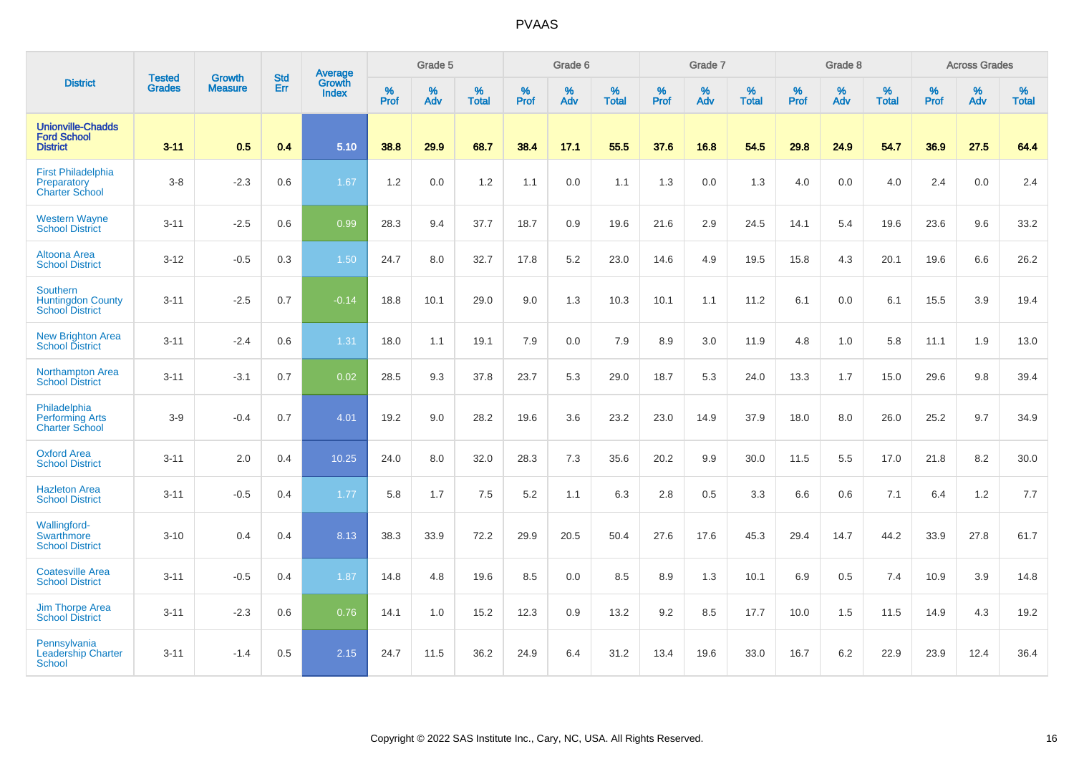|                                                                       |                                |                                 | <b>Std</b> | Average                       |              | Grade 5  |                   |           | Grade 6  |                   |           | Grade 7  |                   |           | Grade 8  |                   |           | <b>Across Grades</b> |                   |
|-----------------------------------------------------------------------|--------------------------------|---------------------------------|------------|-------------------------------|--------------|----------|-------------------|-----------|----------|-------------------|-----------|----------|-------------------|-----------|----------|-------------------|-----------|----------------------|-------------------|
| <b>District</b>                                                       | <b>Tested</b><br><b>Grades</b> | <b>Growth</b><br><b>Measure</b> | Err        | <b>Growth</b><br><b>Index</b> | $\%$<br>Prof | %<br>Adv | %<br><b>Total</b> | %<br>Prof | %<br>Adv | %<br><b>Total</b> | %<br>Prof | %<br>Adv | %<br><b>Total</b> | %<br>Prof | %<br>Adv | %<br><b>Total</b> | %<br>Prof | %<br>Adv             | %<br><b>Total</b> |
| <b>Unionville-Chadds</b><br><b>Ford School</b><br><b>District</b>     | $3 - 11$                       | 0.5                             | 0.4        | 5.10                          | 38.8         | 29.9     | 68.7              | 38.4      | 17.1     | 55.5              | 37.6      | 16.8     | 54.5              | 29.8      | 24.9     | 54.7              | 36.9      | 27.5                 | 64.4              |
| <b>First Philadelphia</b><br>Preparatory<br><b>Charter School</b>     | $3 - 8$                        | $-2.3$                          | 0.6        | 1.67                          | 1.2          | 0.0      | 1.2               | 1.1       | 0.0      | 1.1               | 1.3       | 0.0      | 1.3               | 4.0       | 0.0      | 4.0               | 2.4       | 0.0                  | 2.4               |
| <b>Western Wayne</b><br><b>School District</b>                        | $3 - 11$                       | $-2.5$                          | 0.6        | 0.99                          | 28.3         | 9.4      | 37.7              | 18.7      | 0.9      | 19.6              | 21.6      | 2.9      | 24.5              | 14.1      | 5.4      | 19.6              | 23.6      | 9.6                  | 33.2              |
| Altoona Area<br><b>School District</b>                                | $3 - 12$                       | $-0.5$                          | 0.3        | 1.50                          | 24.7         | 8.0      | 32.7              | 17.8      | 5.2      | 23.0              | 14.6      | 4.9      | 19.5              | 15.8      | 4.3      | 20.1              | 19.6      | 6.6                  | 26.2              |
| <b>Southern</b><br><b>Huntingdon County</b><br><b>School District</b> | $3 - 11$                       | $-2.5$                          | 0.7        | $-0.14$                       | 18.8         | 10.1     | 29.0              | 9.0       | 1.3      | 10.3              | 10.1      | 1.1      | 11.2              | 6.1       | 0.0      | 6.1               | 15.5      | 3.9                  | 19.4              |
| <b>New Brighton Area</b><br><b>School District</b>                    | $3 - 11$                       | $-2.4$                          | 0.6        | 1.31                          | 18.0         | 1.1      | 19.1              | 7.9       | 0.0      | 7.9               | 8.9       | 3.0      | 11.9              | 4.8       | 1.0      | 5.8               | 11.1      | 1.9                  | 13.0              |
| Northampton Area<br><b>School District</b>                            | $3 - 11$                       | $-3.1$                          | 0.7        | 0.02                          | 28.5         | 9.3      | 37.8              | 23.7      | 5.3      | 29.0              | 18.7      | 5.3      | 24.0              | 13.3      | 1.7      | 15.0              | 29.6      | 9.8                  | 39.4              |
| Philadelphia<br><b>Performing Arts</b><br><b>Charter School</b>       | $3-9$                          | $-0.4$                          | 0.7        | 4.01                          | 19.2         | 9.0      | 28.2              | 19.6      | 3.6      | 23.2              | 23.0      | 14.9     | 37.9              | 18.0      | 8.0      | 26.0              | 25.2      | 9.7                  | 34.9              |
| <b>Oxford Area</b><br><b>School District</b>                          | $3 - 11$                       | 2.0                             | 0.4        | 10.25                         | 24.0         | 8.0      | 32.0              | 28.3      | 7.3      | 35.6              | 20.2      | 9.9      | 30.0              | 11.5      | 5.5      | 17.0              | 21.8      | 8.2                  | 30.0              |
| <b>Hazleton Area</b><br><b>School District</b>                        | $3 - 11$                       | $-0.5$                          | 0.4        | 1.77                          | 5.8          | 1.7      | 7.5               | 5.2       | 1.1      | 6.3               | 2.8       | 0.5      | 3.3               | 6.6       | 0.6      | 7.1               | 6.4       | 1.2                  | 7.7               |
| <b>Wallingford-</b><br><b>Swarthmore</b><br><b>School District</b>    | $3 - 10$                       | 0.4                             | 0.4        | 8.13                          | 38.3         | 33.9     | 72.2              | 29.9      | 20.5     | 50.4              | 27.6      | 17.6     | 45.3              | 29.4      | 14.7     | 44.2              | 33.9      | 27.8                 | 61.7              |
| <b>Coatesville Area</b><br><b>School District</b>                     | $3 - 11$                       | $-0.5$                          | 0.4        | 1.87                          | 14.8         | 4.8      | 19.6              | 8.5       | 0.0      | 8.5               | 8.9       | 1.3      | 10.1              | 6.9       | 0.5      | 7.4               | 10.9      | 3.9                  | 14.8              |
| <b>Jim Thorpe Area</b><br><b>School District</b>                      | $3 - 11$                       | $-2.3$                          | 0.6        | 0.76                          | 14.1         | 1.0      | 15.2              | 12.3      | 0.9      | 13.2              | 9.2       | 8.5      | 17.7              | 10.0      | 1.5      | 11.5              | 14.9      | 4.3                  | 19.2              |
| Pennsylvania<br><b>Leadership Charter</b><br>School                   | $3 - 11$                       | $-1.4$                          | 0.5        | 2.15                          | 24.7         | 11.5     | 36.2              | 24.9      | 6.4      | 31.2              | 13.4      | 19.6     | 33.0              | 16.7      | 6.2      | 22.9              | 23.9      | 12.4                 | 36.4              |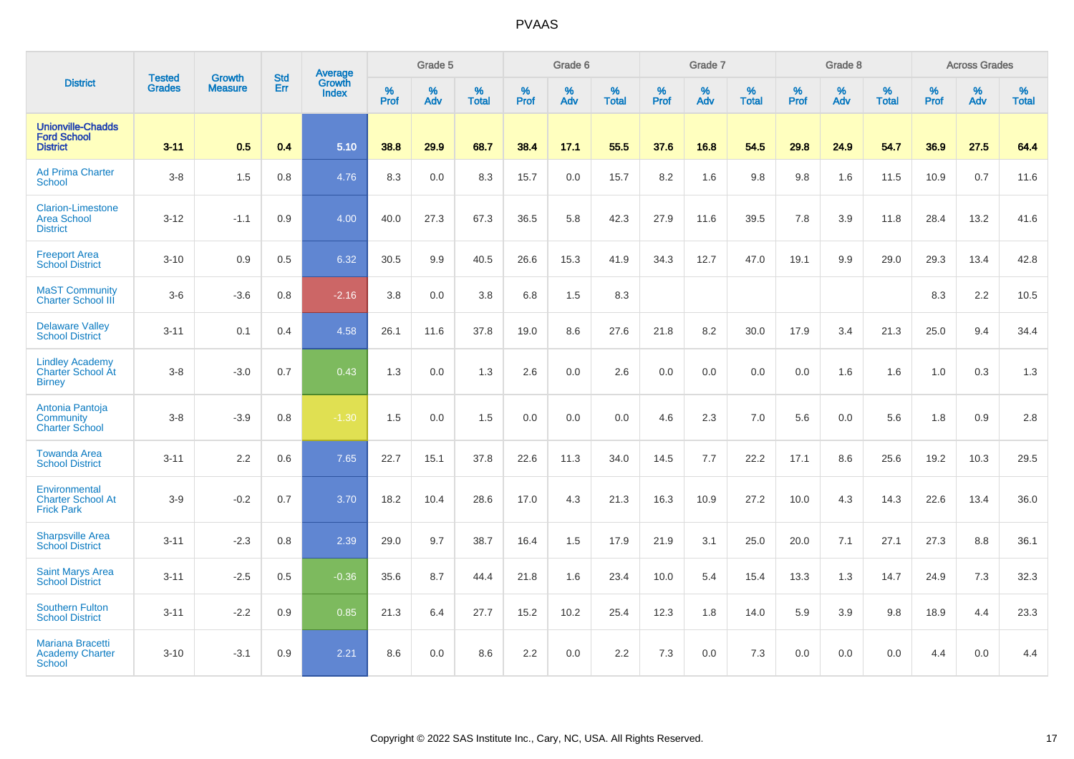|                                                                     |                                |                                 | <b>Std</b> | Average                |           | Grade 5  |                   |           | Grade 6  |                   |           | Grade 7  |                   |           | Grade 8  |                   |           | <b>Across Grades</b> |                   |
|---------------------------------------------------------------------|--------------------------------|---------------------------------|------------|------------------------|-----------|----------|-------------------|-----------|----------|-------------------|-----------|----------|-------------------|-----------|----------|-------------------|-----------|----------------------|-------------------|
| <b>District</b>                                                     | <b>Tested</b><br><b>Grades</b> | <b>Growth</b><br><b>Measure</b> | Err        | Growth<br><b>Index</b> | %<br>Prof | %<br>Adv | %<br><b>Total</b> | %<br>Prof | %<br>Adv | %<br><b>Total</b> | %<br>Prof | %<br>Adv | %<br><b>Total</b> | %<br>Prof | %<br>Adv | %<br><b>Total</b> | %<br>Prof | %<br>Adv             | %<br><b>Total</b> |
| <b>Unionville-Chadds</b><br><b>Ford School</b><br><b>District</b>   | $3 - 11$                       | 0.5                             | 0.4        | 5.10                   | 38.8      | 29.9     | 68.7              | 38.4      | 17.1     | 55.5              | 37.6      | 16.8     | 54.5              | 29.8      | 24.9     | 54.7              | 36.9      | 27.5                 | 64.4              |
| <b>Ad Prima Charter</b><br><b>School</b>                            | $3-8$                          | 1.5                             | 0.8        | 4.76                   | 8.3       | 0.0      | 8.3               | 15.7      | 0.0      | 15.7              | 8.2       | 1.6      | 9.8               | 9.8       | 1.6      | 11.5              | 10.9      | 0.7                  | 11.6              |
| <b>Clarion-Limestone</b><br><b>Area School</b><br><b>District</b>   | $3-12$                         | $-1.1$                          | 0.9        | 4.00                   | 40.0      | 27.3     | 67.3              | 36.5      | 5.8      | 42.3              | 27.9      | 11.6     | 39.5              | 7.8       | 3.9      | 11.8              | 28.4      | 13.2                 | 41.6              |
| <b>Freeport Area</b><br><b>School District</b>                      | $3 - 10$                       | 0.9                             | 0.5        | 6.32                   | 30.5      | 9.9      | 40.5              | 26.6      | 15.3     | 41.9              | 34.3      | 12.7     | 47.0              | 19.1      | 9.9      | 29.0              | 29.3      | 13.4                 | 42.8              |
| <b>MaST Community</b><br><b>Charter School III</b>                  | $3-6$                          | $-3.6$                          | 0.8        | $-2.16$                | 3.8       | 0.0      | 3.8               | 6.8       | 1.5      | 8.3               |           |          |                   |           |          |                   | 8.3       | 2.2                  | 10.5              |
| <b>Delaware Valley</b><br><b>School District</b>                    | $3 - 11$                       | 0.1                             | 0.4        | 4.58                   | 26.1      | 11.6     | 37.8              | 19.0      | 8.6      | 27.6              | 21.8      | 8.2      | 30.0              | 17.9      | 3.4      | 21.3              | 25.0      | 9.4                  | 34.4              |
| <b>Lindley Academy</b><br><b>Charter School At</b><br><b>Birney</b> | $3-8$                          | $-3.0$                          | 0.7        | 0.43                   | 1.3       | 0.0      | 1.3               | 2.6       | 0.0      | 2.6               | 0.0       | 0.0      | 0.0               | 0.0       | 1.6      | 1.6               | 1.0       | 0.3                  | 1.3               |
| Antonia Pantoja<br>Community<br><b>Charter School</b>               | $3 - 8$                        | $-3.9$                          | 0.8        | $-1.30$                | 1.5       | 0.0      | 1.5               | 0.0       | 0.0      | 0.0               | 4.6       | 2.3      | 7.0               | 5.6       | 0.0      | 5.6               | 1.8       | 0.9                  | 2.8               |
| <b>Towanda Area</b><br><b>School District</b>                       | $3 - 11$                       | 2.2                             | 0.6        | 7.65                   | 22.7      | 15.1     | 37.8              | 22.6      | 11.3     | 34.0              | 14.5      | 7.7      | 22.2              | 17.1      | 8.6      | 25.6              | 19.2      | 10.3                 | 29.5              |
| Environmental<br><b>Charter School At</b><br><b>Frick Park</b>      | $3-9$                          | $-0.2$                          | 0.7        | 3.70                   | 18.2      | 10.4     | 28.6              | 17.0      | 4.3      | 21.3              | 16.3      | 10.9     | 27.2              | 10.0      | 4.3      | 14.3              | 22.6      | 13.4                 | 36.0              |
| <b>Sharpsville Area</b><br><b>School District</b>                   | $3 - 11$                       | $-2.3$                          | 0.8        | 2.39                   | 29.0      | 9.7      | 38.7              | 16.4      | 1.5      | 17.9              | 21.9      | 3.1      | 25.0              | 20.0      | 7.1      | 27.1              | 27.3      | 8.8                  | 36.1              |
| <b>Saint Marys Area</b><br><b>School District</b>                   | $3 - 11$                       | $-2.5$                          | 0.5        | $-0.36$                | 35.6      | 8.7      | 44.4              | 21.8      | 1.6      | 23.4              | 10.0      | 5.4      | 15.4              | 13.3      | 1.3      | 14.7              | 24.9      | 7.3                  | 32.3              |
| <b>Southern Fulton</b><br><b>School District</b>                    | $3 - 11$                       | $-2.2$                          | 0.9        | 0.85                   | 21.3      | 6.4      | 27.7              | 15.2      | 10.2     | 25.4              | 12.3      | 1.8      | 14.0              | 5.9       | 3.9      | 9.8               | 18.9      | 4.4                  | 23.3              |
| Mariana Bracetti<br><b>Academy Charter</b><br><b>School</b>         | $3 - 10$                       | $-3.1$                          | 0.9        | 2.21                   | 8.6       | 0.0      | 8.6               | 2.2       | 0.0      | 2.2               | 7.3       | 0.0      | 7.3               | 0.0       | 0.0      | 0.0               | 4.4       | 0.0                  | 4.4               |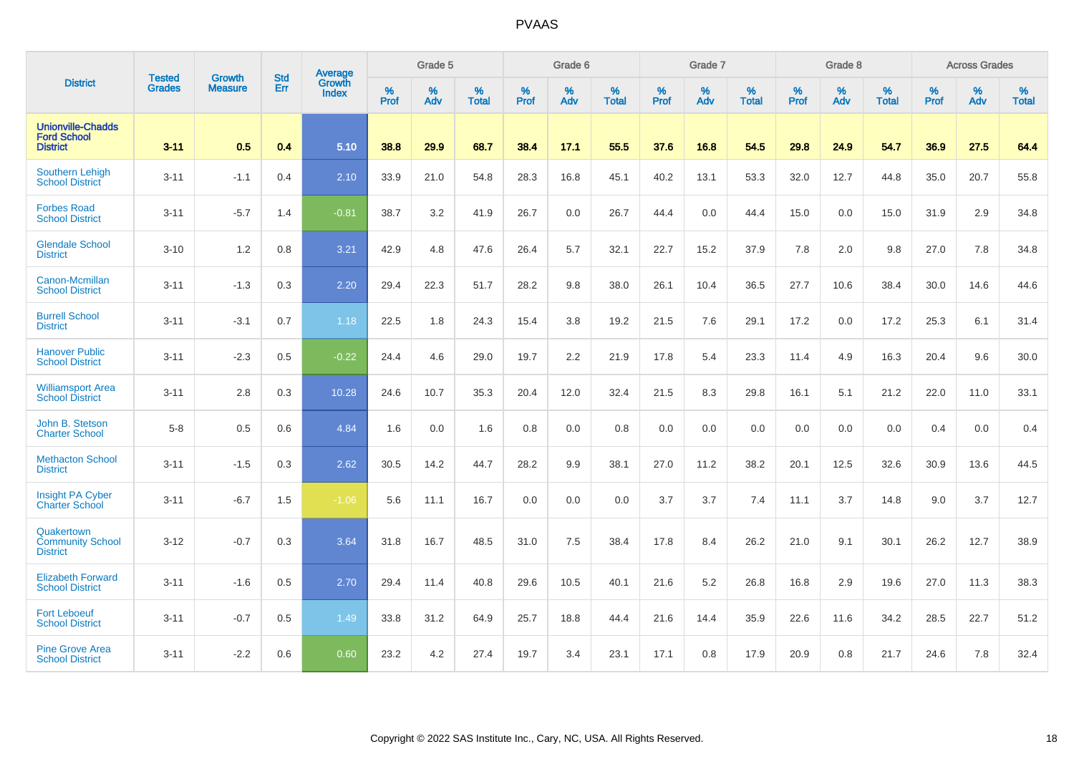|                                                                   | <b>Tested</b> | <b>Growth</b>  | <b>Std</b> | Average                |           | Grade 5  |                   |           | Grade 6  |                   |           | Grade 7  |                   |           | Grade 8  |                   |           | <b>Across Grades</b> |                   |
|-------------------------------------------------------------------|---------------|----------------|------------|------------------------|-----------|----------|-------------------|-----------|----------|-------------------|-----------|----------|-------------------|-----------|----------|-------------------|-----------|----------------------|-------------------|
| <b>District</b>                                                   | <b>Grades</b> | <b>Measure</b> | Err        | Growth<br><b>Index</b> | %<br>Prof | %<br>Adv | %<br><b>Total</b> | %<br>Prof | %<br>Adv | %<br><b>Total</b> | %<br>Prof | %<br>Adv | %<br><b>Total</b> | %<br>Prof | %<br>Adv | %<br><b>Total</b> | %<br>Prof | %<br>Adv             | %<br><b>Total</b> |
| <b>Unionville-Chadds</b><br><b>Ford School</b><br><b>District</b> | $3 - 11$      | 0.5            | 0.4        | 5.10                   | 38.8      | 29.9     | 68.7              | 38.4      | 17.1     | 55.5              | 37.6      | 16.8     | 54.5              | 29.8      | 24.9     | 54.7              | 36.9      | 27.5                 | 64.4              |
| <b>Southern Lehigh</b><br><b>School District</b>                  | $3 - 11$      | $-1.1$         | 0.4        | 2.10                   | 33.9      | 21.0     | 54.8              | 28.3      | 16.8     | 45.1              | 40.2      | 13.1     | 53.3              | 32.0      | 12.7     | 44.8              | 35.0      | 20.7                 | 55.8              |
| <b>Forbes Road</b><br><b>School District</b>                      | $3 - 11$      | $-5.7$         | 1.4        | $-0.81$                | 38.7      | 3.2      | 41.9              | 26.7      | 0.0      | 26.7              | 44.4      | 0.0      | 44.4              | 15.0      | 0.0      | 15.0              | 31.9      | 2.9                  | 34.8              |
| <b>Glendale School</b><br><b>District</b>                         | $3 - 10$      | 1.2            | 0.8        | 3.21                   | 42.9      | 4.8      | 47.6              | 26.4      | 5.7      | 32.1              | 22.7      | 15.2     | 37.9              | 7.8       | 2.0      | 9.8               | 27.0      | 7.8                  | 34.8              |
| Canon-Mcmillan<br><b>School District</b>                          | $3 - 11$      | $-1.3$         | 0.3        | 2.20                   | 29.4      | 22.3     | 51.7              | 28.2      | 9.8      | 38.0              | 26.1      | 10.4     | 36.5              | 27.7      | 10.6     | 38.4              | 30.0      | 14.6                 | 44.6              |
| <b>Burrell School</b><br><b>District</b>                          | $3 - 11$      | $-3.1$         | 0.7        | 1.18                   | 22.5      | 1.8      | 24.3              | 15.4      | 3.8      | 19.2              | 21.5      | 7.6      | 29.1              | 17.2      | 0.0      | 17.2              | 25.3      | 6.1                  | 31.4              |
| <b>Hanover Public</b><br><b>School District</b>                   | $3 - 11$      | $-2.3$         | 0.5        | $-0.22$                | 24.4      | 4.6      | 29.0              | 19.7      | 2.2      | 21.9              | 17.8      | 5.4      | 23.3              | 11.4      | 4.9      | 16.3              | 20.4      | 9.6                  | 30.0              |
| <b>Williamsport Area</b><br><b>School District</b>                | $3 - 11$      | 2.8            | 0.3        | 10.28                  | 24.6      | 10.7     | 35.3              | 20.4      | 12.0     | 32.4              | 21.5      | 8.3      | 29.8              | 16.1      | 5.1      | 21.2              | 22.0      | 11.0                 | 33.1              |
| John B. Stetson<br><b>Charter School</b>                          | $5-8$         | 0.5            | 0.6        | 4.84                   | 1.6       | 0.0      | 1.6               | 0.8       | 0.0      | 0.8               | 0.0       | 0.0      | 0.0               | 0.0       | 0.0      | 0.0               | 0.4       | 0.0                  | 0.4               |
| <b>Methacton School</b><br><b>District</b>                        | $3 - 11$      | $-1.5$         | 0.3        | 2.62                   | 30.5      | 14.2     | 44.7              | 28.2      | 9.9      | 38.1              | 27.0      | 11.2     | 38.2              | 20.1      | 12.5     | 32.6              | 30.9      | 13.6                 | 44.5              |
| Insight PA Cyber<br><b>Charter School</b>                         | $3 - 11$      | $-6.7$         | 1.5        | $-1.06$                | 5.6       | 11.1     | 16.7              | 0.0       | 0.0      | 0.0               | 3.7       | 3.7      | 7.4               | 11.1      | 3.7      | 14.8              | 9.0       | 3.7                  | 12.7              |
| Quakertown<br><b>Community School</b><br><b>District</b>          | $3 - 12$      | $-0.7$         | 0.3        | 3.64                   | 31.8      | 16.7     | 48.5              | 31.0      | 7.5      | 38.4              | 17.8      | 8.4      | 26.2              | 21.0      | 9.1      | 30.1              | 26.2      | 12.7                 | 38.9              |
| <b>Elizabeth Forward</b><br><b>School District</b>                | $3 - 11$      | $-1.6$         | 0.5        | 2.70                   | 29.4      | 11.4     | 40.8              | 29.6      | 10.5     | 40.1              | 21.6      | 5.2      | 26.8              | 16.8      | 2.9      | 19.6              | 27.0      | 11.3                 | 38.3              |
| <b>Fort Leboeuf</b><br><b>School District</b>                     | $3 - 11$      | $-0.7$         | 0.5        | 1.49                   | 33.8      | 31.2     | 64.9              | 25.7      | 18.8     | 44.4              | 21.6      | 14.4     | 35.9              | 22.6      | 11.6     | 34.2              | 28.5      | 22.7                 | 51.2              |
| <b>Pine Grove Area</b><br><b>School District</b>                  | $3 - 11$      | $-2.2$         | 0.6        | 0.60                   | 23.2      | 4.2      | 27.4              | 19.7      | 3.4      | 23.1              | 17.1      | 0.8      | 17.9              | 20.9      | 0.8      | 21.7              | 24.6      | 7.8                  | 32.4              |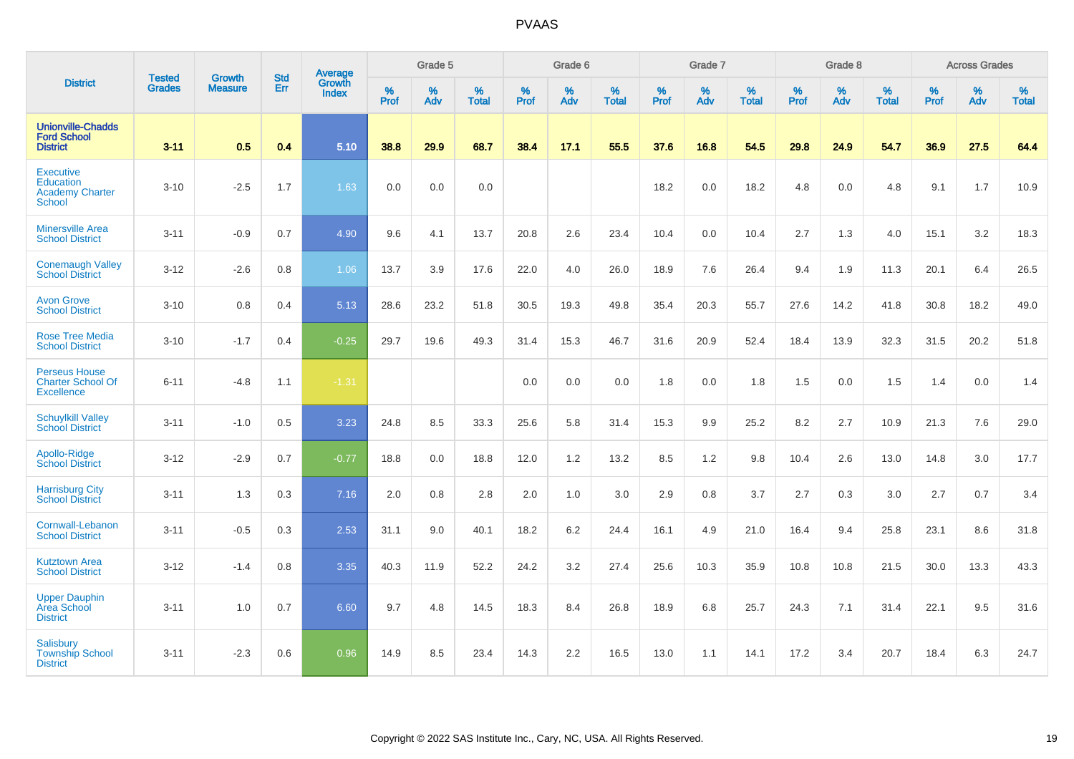|                                                                          | <b>Tested</b> | <b>Growth</b>  | <b>Std</b> | Average                |                     | Grade 5  |                   |                  | Grade 6  |                   |                     | Grade 7  |                   |                     | Grade 8  |                   |              | <b>Across Grades</b> |                   |
|--------------------------------------------------------------------------|---------------|----------------|------------|------------------------|---------------------|----------|-------------------|------------------|----------|-------------------|---------------------|----------|-------------------|---------------------|----------|-------------------|--------------|----------------------|-------------------|
| <b>District</b>                                                          | <b>Grades</b> | <b>Measure</b> | Err        | Growth<br><b>Index</b> | $\%$<br><b>Prof</b> | %<br>Adv | %<br><b>Total</b> | %<br><b>Prof</b> | %<br>Adv | %<br><b>Total</b> | $\%$<br><b>Prof</b> | %<br>Adv | %<br><b>Total</b> | $\%$<br><b>Prof</b> | %<br>Adv | %<br><b>Total</b> | $\%$<br>Prof | %<br>Adv             | %<br><b>Total</b> |
| <b>Unionville-Chadds</b><br><b>Ford School</b><br><b>District</b>        | $3 - 11$      | 0.5            | 0.4        | 5.10                   | 38.8                | 29.9     | 68.7              | 38.4             | 17.1     | 55.5              | 37.6                | 16.8     | 54.5              | 29.8                | 24.9     | 54.7              | 36.9         | 27.5                 | 64.4              |
| <b>Executive</b><br><b>Education</b><br><b>Academy Charter</b><br>School | $3 - 10$      | $-2.5$         | 1.7        | 1.63                   | 0.0                 | 0.0      | 0.0               |                  |          |                   | 18.2                | 0.0      | 18.2              | 4.8                 | 0.0      | 4.8               | 9.1          | 1.7                  | 10.9              |
| <b>Minersville Area</b><br><b>School District</b>                        | $3 - 11$      | $-0.9$         | 0.7        | 4.90                   | 9.6                 | 4.1      | 13.7              | 20.8             | 2.6      | 23.4              | 10.4                | 0.0      | 10.4              | 2.7                 | 1.3      | 4.0               | 15.1         | 3.2                  | 18.3              |
| <b>Conemaugh Valley</b><br><b>School District</b>                        | $3 - 12$      | $-2.6$         | 0.8        | 1.06                   | 13.7                | 3.9      | 17.6              | 22.0             | 4.0      | 26.0              | 18.9                | 7.6      | 26.4              | 9.4                 | 1.9      | 11.3              | 20.1         | 6.4                  | 26.5              |
| <b>Avon Grove</b><br><b>School District</b>                              | $3 - 10$      | 0.8            | 0.4        | 5.13                   | 28.6                | 23.2     | 51.8              | 30.5             | 19.3     | 49.8              | 35.4                | 20.3     | 55.7              | 27.6                | 14.2     | 41.8              | 30.8         | 18.2                 | 49.0              |
| <b>Rose Tree Media</b><br><b>School District</b>                         | $3 - 10$      | $-1.7$         | 0.4        | $-0.25$                | 29.7                | 19.6     | 49.3              | 31.4             | 15.3     | 46.7              | 31.6                | 20.9     | 52.4              | 18.4                | 13.9     | 32.3              | 31.5         | 20.2                 | 51.8              |
| <b>Perseus House</b><br><b>Charter School Of</b><br><b>Excellence</b>    | $6 - 11$      | $-4.8$         | 1.1        | $-1.31$                |                     |          |                   | 0.0              | 0.0      | 0.0               | 1.8                 | 0.0      | 1.8               | 1.5                 | 0.0      | 1.5               | 1.4          | 0.0                  | 1.4               |
| <b>Schuylkill Valley</b><br><b>School District</b>                       | $3 - 11$      | $-1.0$         | 0.5        | 3.23                   | 24.8                | 8.5      | 33.3              | 25.6             | 5.8      | 31.4              | 15.3                | 9.9      | 25.2              | 8.2                 | 2.7      | 10.9              | 21.3         | 7.6                  | 29.0              |
| Apollo-Ridge<br><b>School District</b>                                   | $3 - 12$      | $-2.9$         | 0.7        | $-0.77$                | 18.8                | 0.0      | 18.8              | 12.0             | 1.2      | 13.2              | 8.5                 | 1.2      | 9.8               | 10.4                | 2.6      | 13.0              | 14.8         | 3.0                  | 17.7              |
| <b>Harrisburg City</b><br><b>School District</b>                         | $3 - 11$      | 1.3            | 0.3        | 7.16                   | 2.0                 | 0.8      | 2.8               | 2.0              | 1.0      | 3.0               | 2.9                 | 0.8      | 3.7               | 2.7                 | 0.3      | 3.0               | 2.7          | 0.7                  | 3.4               |
| Cornwall-Lebanon<br><b>School District</b>                               | $3 - 11$      | $-0.5$         | 0.3        | 2.53                   | 31.1                | 9.0      | 40.1              | 18.2             | 6.2      | 24.4              | 16.1                | 4.9      | 21.0              | 16.4                | 9.4      | 25.8              | 23.1         | 8.6                  | 31.8              |
| <b>Kutztown Area</b><br><b>School District</b>                           | $3 - 12$      | $-1.4$         | 0.8        | 3.35                   | 40.3                | 11.9     | 52.2              | 24.2             | 3.2      | 27.4              | 25.6                | 10.3     | 35.9              | 10.8                | 10.8     | 21.5              | 30.0         | 13.3                 | 43.3              |
| <b>Upper Dauphin</b><br>Area School<br><b>District</b>                   | $3 - 11$      | 1.0            | 0.7        | 6.60                   | 9.7                 | 4.8      | 14.5              | 18.3             | 8.4      | 26.8              | 18.9                | 6.8      | 25.7              | 24.3                | 7.1      | 31.4              | 22.1         | 9.5                  | 31.6              |
| <b>Salisbury</b><br><b>Township School</b><br><b>District</b>            | $3 - 11$      | $-2.3$         | 0.6        | 0.96                   | 14.9                | 8.5      | 23.4              | 14.3             | 2.2      | 16.5              | 13.0                | 1.1      | 14.1              | 17.2                | 3.4      | 20.7              | 18.4         | 6.3                  | 24.7              |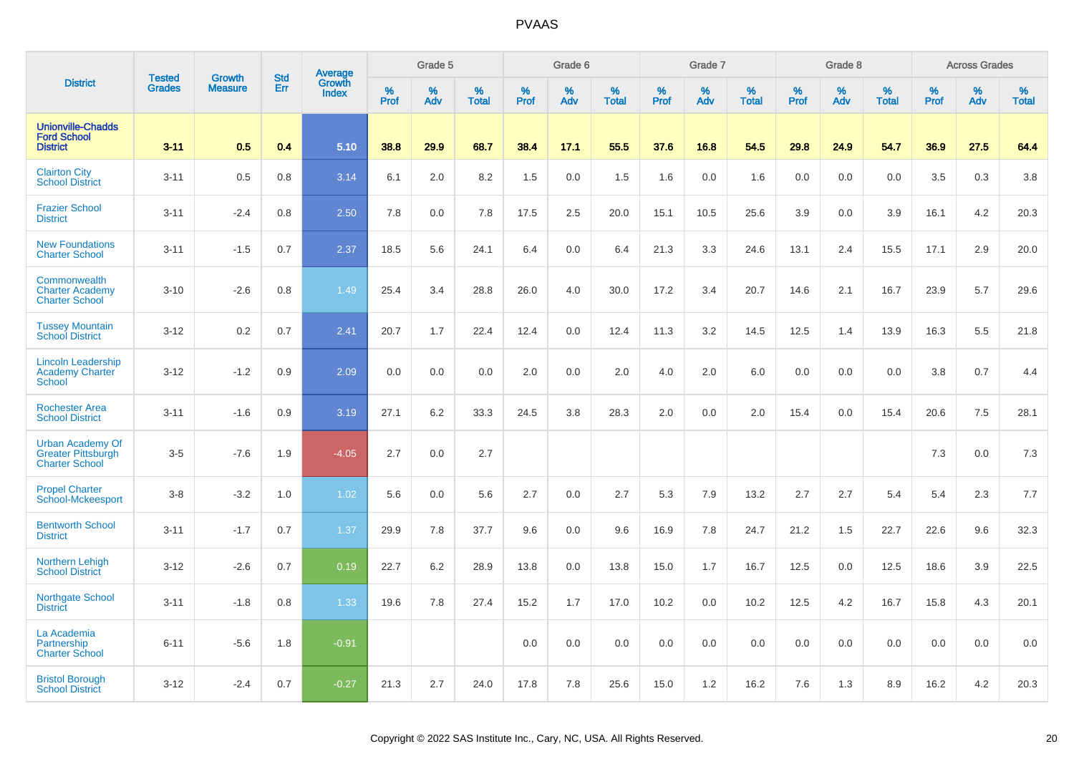|                                                                               | <b>Tested</b> | <b>Growth</b>  | <b>Std</b> | <b>Average</b><br>Growth |                     | Grade 5  |                   |           | Grade 6  |                   |           | Grade 7  |                   |           | Grade 8  |                   |              | <b>Across Grades</b> |                   |
|-------------------------------------------------------------------------------|---------------|----------------|------------|--------------------------|---------------------|----------|-------------------|-----------|----------|-------------------|-----------|----------|-------------------|-----------|----------|-------------------|--------------|----------------------|-------------------|
| <b>District</b>                                                               | <b>Grades</b> | <b>Measure</b> | Err        | Index                    | $\%$<br><b>Prof</b> | %<br>Adv | %<br><b>Total</b> | %<br>Prof | %<br>Adv | %<br><b>Total</b> | %<br>Prof | %<br>Adv | %<br><b>Total</b> | %<br>Prof | %<br>Adv | %<br><b>Total</b> | $\%$<br>Prof | %<br>Adv             | %<br><b>Total</b> |
| <b>Unionville-Chadds</b><br><b>Ford School</b><br><b>District</b>             | $3 - 11$      | 0.5            | 0.4        | 5.10                     | 38.8                | 29.9     | 68.7              | 38.4      | 17.1     | 55.5              | 37.6      | 16.8     | 54.5              | 29.8      | 24.9     | 54.7              | 36.9         | 27.5                 | 64.4              |
| <b>Clairton City</b><br><b>School District</b>                                | $3 - 11$      | 0.5            | 0.8        | 3.14                     | 6.1                 | 2.0      | 8.2               | 1.5       | 0.0      | 1.5               | 1.6       | 0.0      | 1.6               | 0.0       | 0.0      | 0.0               | 3.5          | 0.3                  | 3.8               |
| <b>Frazier School</b><br><b>District</b>                                      | $3 - 11$      | $-2.4$         | 0.8        | 2.50                     | 7.8                 | 0.0      | 7.8               | 17.5      | 2.5      | 20.0              | 15.1      | 10.5     | 25.6              | 3.9       | 0.0      | 3.9               | 16.1         | 4.2                  | 20.3              |
| <b>New Foundations</b><br><b>Charter School</b>                               | $3 - 11$      | $-1.5$         | 0.7        | 2.37                     | 18.5                | 5.6      | 24.1              | 6.4       | 0.0      | 6.4               | 21.3      | 3.3      | 24.6              | 13.1      | 2.4      | 15.5              | 17.1         | 2.9                  | 20.0              |
| Commonwealth<br><b>Charter Academy</b><br><b>Charter School</b>               | $3 - 10$      | $-2.6$         | 0.8        | 1.49                     | 25.4                | 3.4      | 28.8              | 26.0      | 4.0      | 30.0              | 17.2      | 3.4      | 20.7              | 14.6      | 2.1      | 16.7              | 23.9         | 5.7                  | 29.6              |
| <b>Tussey Mountain</b><br><b>School District</b>                              | $3 - 12$      | 0.2            | 0.7        | 2.41                     | 20.7                | 1.7      | 22.4              | 12.4      | 0.0      | 12.4              | 11.3      | 3.2      | 14.5              | 12.5      | 1.4      | 13.9              | 16.3         | 5.5                  | 21.8              |
| <b>Lincoln Leadership</b><br><b>Academy Charter</b><br><b>School</b>          | $3 - 12$      | $-1.2$         | 0.9        | 2.09                     | 0.0                 | 0.0      | 0.0               | 2.0       | 0.0      | 2.0               | 4.0       | 2.0      | 6.0               | 0.0       | 0.0      | 0.0               | 3.8          | 0.7                  | 4.4               |
| <b>Rochester Area</b><br><b>School District</b>                               | $3 - 11$      | $-1.6$         | 0.9        | 3.19                     | 27.1                | 6.2      | 33.3              | 24.5      | 3.8      | 28.3              | 2.0       | 0.0      | 2.0               | 15.4      | 0.0      | 15.4              | 20.6         | 7.5                  | 28.1              |
| <b>Urban Academy Of</b><br><b>Greater Pittsburgh</b><br><b>Charter School</b> | $3-5$         | $-7.6$         | 1.9        | $-4.05$                  | 2.7                 | 0.0      | 2.7               |           |          |                   |           |          |                   |           |          |                   | 7.3          | 0.0                  | 7.3               |
| <b>Propel Charter</b><br>School-Mckeesport                                    | $3-8$         | $-3.2$         | 1.0        | 1.02                     | 5.6                 | 0.0      | 5.6               | 2.7       | 0.0      | 2.7               | 5.3       | 7.9      | 13.2              | 2.7       | 2.7      | 5.4               | 5.4          | 2.3                  | 7.7               |
| <b>Bentworth School</b><br><b>District</b>                                    | $3 - 11$      | $-1.7$         | 0.7        | 1.37                     | 29.9                | 7.8      | 37.7              | 9.6       | 0.0      | 9.6               | 16.9      | 7.8      | 24.7              | 21.2      | 1.5      | 22.7              | 22.6         | 9.6                  | 32.3              |
| Northern Lehigh<br><b>School District</b>                                     | $3 - 12$      | $-2.6$         | 0.7        | 0.19                     | 22.7                | 6.2      | 28.9              | 13.8      | 0.0      | 13.8              | 15.0      | 1.7      | 16.7              | 12.5      | 0.0      | 12.5              | 18.6         | 3.9                  | 22.5              |
| <b>Northgate School</b><br><b>District</b>                                    | $3 - 11$      | $-1.8$         | 0.8        | 1.33                     | 19.6                | 7.8      | 27.4              | 15.2      | 1.7      | 17.0              | 10.2      | 0.0      | 10.2              | 12.5      | 4.2      | 16.7              | 15.8         | 4.3                  | 20.1              |
| La Academia<br>Partnership<br><b>Charter School</b>                           | $6 - 11$      | $-5.6$         | 1.8        | $-0.91$                  |                     |          |                   | 0.0       | 0.0      | 0.0               | 0.0       | 0.0      | 0.0               | 0.0       | 0.0      | 0.0               | 0.0          | 0.0                  | 0.0               |
| <b>Bristol Borough</b><br><b>School District</b>                              | $3 - 12$      | $-2.4$         | 0.7        | $-0.27$                  | 21.3                | 2.7      | 24.0              | 17.8      | 7.8      | 25.6              | 15.0      | 1.2      | 16.2              | 7.6       | 1.3      | 8.9               | 16.2         | 4.2                  | 20.3              |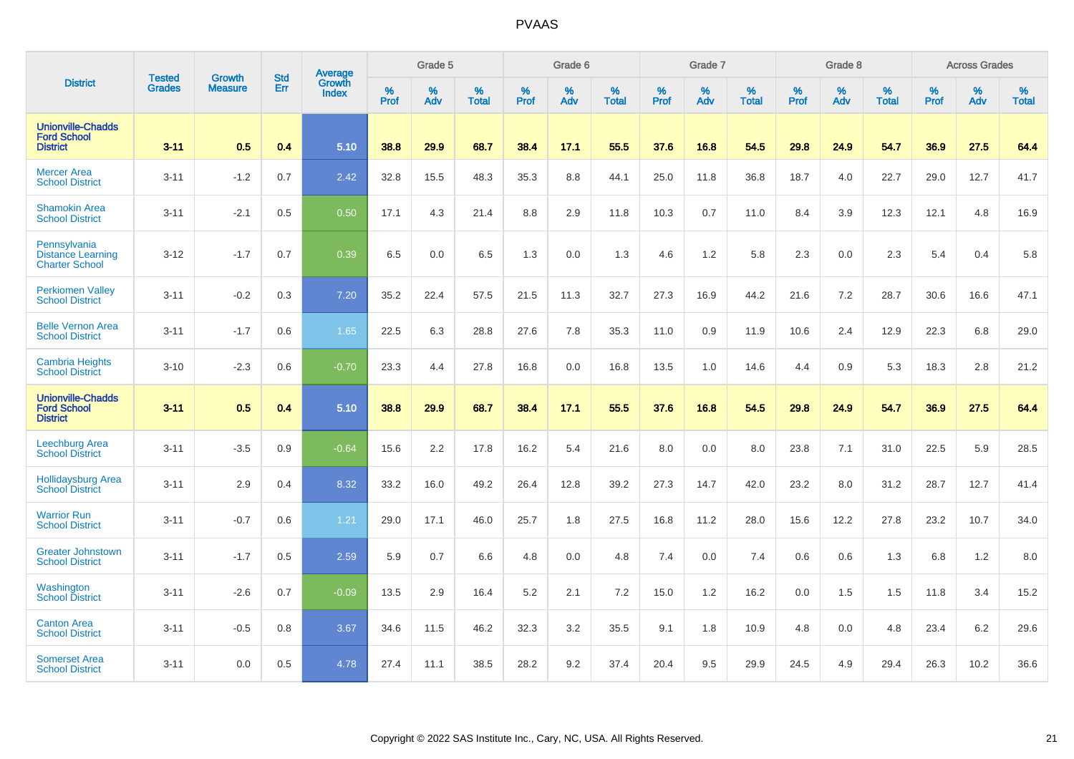|                                                                   | <b>Tested</b> | <b>Growth</b>  | <b>Std</b> | Average                       |           | Grade 5  |                   |           | Grade 6  |                   |           | Grade 7  |                   |           | Grade 8  |                   |           | <b>Across Grades</b> |                   |
|-------------------------------------------------------------------|---------------|----------------|------------|-------------------------------|-----------|----------|-------------------|-----------|----------|-------------------|-----------|----------|-------------------|-----------|----------|-------------------|-----------|----------------------|-------------------|
| <b>District</b>                                                   | <b>Grades</b> | <b>Measure</b> | Err        | <b>Growth</b><br><b>Index</b> | %<br>Prof | %<br>Adv | %<br><b>Total</b> | %<br>Prof | %<br>Adv | %<br><b>Total</b> | %<br>Prof | %<br>Adv | %<br><b>Total</b> | %<br>Prof | %<br>Adv | %<br><b>Total</b> | %<br>Prof | %<br>Adv             | %<br><b>Total</b> |
| <b>Unionville-Chadds</b><br><b>Ford School</b><br><b>District</b> | $3 - 11$      | 0.5            | 0.4        | 5.10                          | 38.8      | 29.9     | 68.7              | 38.4      | 17.1     | 55.5              | 37.6      | 16.8     | 54.5              | 29.8      | 24.9     | 54.7              | 36.9      | 27.5                 | 64.4              |
| <b>Mercer Area</b><br><b>School District</b>                      | $3 - 11$      | $-1.2$         | 0.7        | 2.42                          | 32.8      | 15.5     | 48.3              | 35.3      | 8.8      | 44.1              | 25.0      | 11.8     | 36.8              | 18.7      | 4.0      | 22.7              | 29.0      | 12.7                 | 41.7              |
| <b>Shamokin Area</b><br><b>School District</b>                    | $3 - 11$      | $-2.1$         | 0.5        | 0.50                          | 17.1      | 4.3      | 21.4              | 8.8       | 2.9      | 11.8              | 10.3      | 0.7      | 11.0              | 8.4       | 3.9      | 12.3              | 12.1      | 4.8                  | 16.9              |
| Pennsylvania<br><b>Distance Learning</b><br><b>Charter School</b> | $3 - 12$      | $-1.7$         | 0.7        | 0.39                          | 6.5       | 0.0      | 6.5               | 1.3       | 0.0      | 1.3               | 4.6       | 1.2      | 5.8               | 2.3       | 0.0      | 2.3               | 5.4       | 0.4                  | 5.8               |
| <b>Perkiomen Valley</b><br><b>School District</b>                 | $3 - 11$      | $-0.2$         | 0.3        | 7.20                          | 35.2      | 22.4     | 57.5              | 21.5      | 11.3     | 32.7              | 27.3      | 16.9     | 44.2              | 21.6      | 7.2      | 28.7              | 30.6      | 16.6                 | 47.1              |
| <b>Belle Vernon Area</b><br><b>School District</b>                | $3 - 11$      | $-1.7$         | 0.6        | 1.65                          | 22.5      | 6.3      | 28.8              | 27.6      | 7.8      | 35.3              | 11.0      | 0.9      | 11.9              | 10.6      | 2.4      | 12.9              | 22.3      | 6.8                  | 29.0              |
| <b>Cambria Heights</b><br><b>School District</b>                  | $3 - 10$      | $-2.3$         | 0.6        | $-0.70$                       | 23.3      | 4.4      | 27.8              | 16.8      | 0.0      | 16.8              | 13.5      | 1.0      | 14.6              | 4.4       | 0.9      | 5.3               | 18.3      | 2.8                  | 21.2              |
| <b>Unionville-Chadds</b><br><b>Ford School</b><br><b>District</b> | $3 - 11$      | 0.5            | 0.4        | 5.10                          | 38.8      | 29.9     | 68.7              | 38.4      | 17.1     | 55.5              | 37.6      | 16.8     | 54.5              | 29.8      | 24.9     | 54.7              | 36.9      | 27.5                 | 64.4              |
| <b>Leechburg Area</b><br><b>School District</b>                   | $3 - 11$      | $-3.5$         | 0.9        | $-0.64$                       | 15.6      | 2.2      | 17.8              | 16.2      | 5.4      | 21.6              | 8.0       | 0.0      | 8.0               | 23.8      | 7.1      | 31.0              | 22.5      | 5.9                  | 28.5              |
| <b>Hollidaysburg Area</b><br><b>School District</b>               | $3 - 11$      | 2.9            | 0.4        | 8.32                          | 33.2      | 16.0     | 49.2              | 26.4      | 12.8     | 39.2              | 27.3      | 14.7     | 42.0              | 23.2      | 8.0      | 31.2              | 28.7      | 12.7                 | 41.4              |
| <b>Warrior Run</b><br><b>School District</b>                      | $3 - 11$      | $-0.7$         | 0.6        | 1.21                          | 29.0      | 17.1     | 46.0              | 25.7      | 1.8      | 27.5              | 16.8      | 11.2     | 28.0              | 15.6      | 12.2     | 27.8              | 23.2      | 10.7                 | 34.0              |
| <b>Greater Johnstown</b><br><b>School District</b>                | $3 - 11$      | $-1.7$         | 0.5        | 2.59                          | 5.9       | 0.7      | 6.6               | 4.8       | 0.0      | 4.8               | 7.4       | 0.0      | 7.4               | 0.6       | 0.6      | 1.3               | 6.8       | 1.2                  | 8.0               |
| Washington<br><b>School District</b>                              | $3 - 11$      | $-2.6$         | 0.7        | $-0.09$                       | 13.5      | 2.9      | 16.4              | 5.2       | 2.1      | 7.2               | 15.0      | 1.2      | 16.2              | 0.0       | 1.5      | 1.5               | 11.8      | 3.4                  | 15.2              |
| <b>Canton Area</b><br><b>School District</b>                      | $3 - 11$      | $-0.5$         | 0.8        | 3.67                          | 34.6      | 11.5     | 46.2              | 32.3      | 3.2      | 35.5              | 9.1       | 1.8      | 10.9              | 4.8       | 0.0      | 4.8               | 23.4      | 6.2                  | 29.6              |
| <b>Somerset Area</b><br><b>School District</b>                    | $3 - 11$      | 0.0            | 0.5        | 4.78                          | 27.4      | 11.1     | 38.5              | 28.2      | 9.2      | 37.4              | 20.4      | 9.5      | 29.9              | 24.5      | 4.9      | 29.4              | 26.3      | 10.2                 | 36.6              |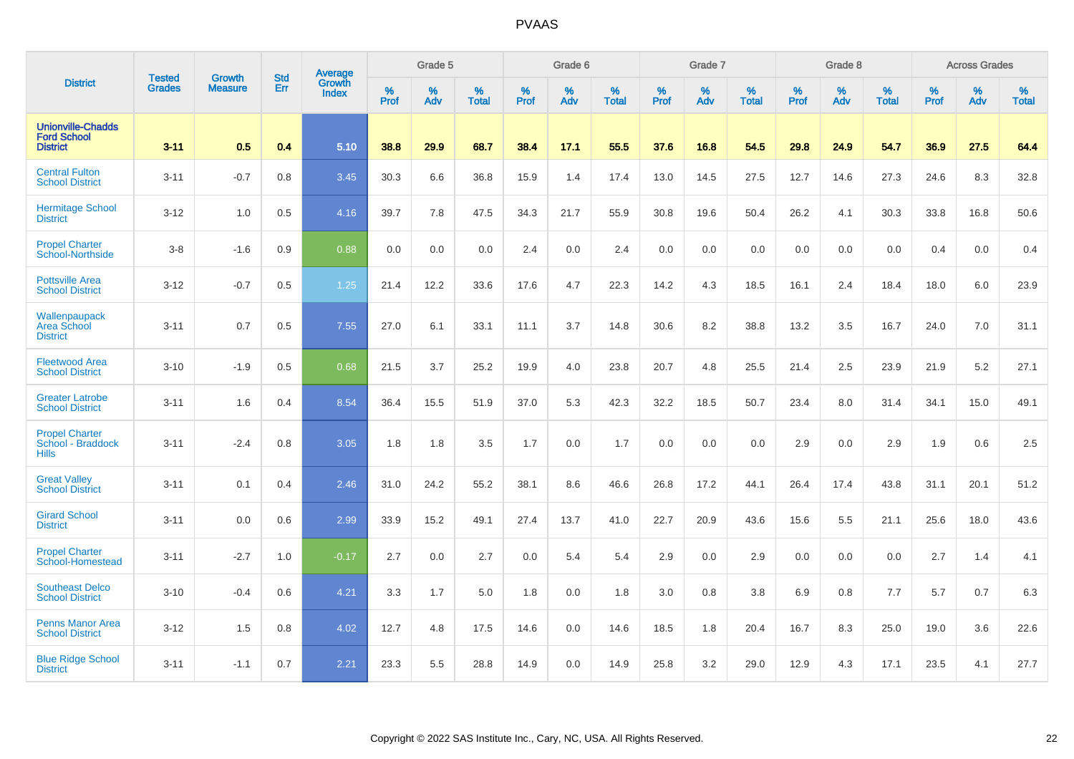|                                                                   | <b>Tested</b> | <b>Growth</b>  | <b>Std</b> | Average                |           | Grade 5  |                   |           | Grade 6  |                   |           | Grade 7  |                   |           | Grade 8  |                   |           | <b>Across Grades</b> |                   |
|-------------------------------------------------------------------|---------------|----------------|------------|------------------------|-----------|----------|-------------------|-----------|----------|-------------------|-----------|----------|-------------------|-----------|----------|-------------------|-----------|----------------------|-------------------|
| <b>District</b>                                                   | <b>Grades</b> | <b>Measure</b> | Err        | Growth<br><b>Index</b> | %<br>Prof | %<br>Adv | %<br><b>Total</b> | %<br>Prof | %<br>Adv | %<br><b>Total</b> | %<br>Prof | %<br>Adv | %<br><b>Total</b> | %<br>Prof | %<br>Adv | %<br><b>Total</b> | %<br>Prof | %<br>Adv             | %<br><b>Total</b> |
| <b>Unionville-Chadds</b><br><b>Ford School</b><br><b>District</b> | $3 - 11$      | 0.5            | 0.4        | 5.10                   | 38.8      | 29.9     | 68.7              | 38.4      | 17.1     | 55.5              | 37.6      | 16.8     | 54.5              | 29.8      | 24.9     | 54.7              | 36.9      | 27.5                 | 64.4              |
| <b>Central Fulton</b><br><b>School District</b>                   | $3 - 11$      | $-0.7$         | 0.8        | 3.45                   | 30.3      | 6.6      | 36.8              | 15.9      | 1.4      | 17.4              | 13.0      | 14.5     | 27.5              | 12.7      | 14.6     | 27.3              | 24.6      | 8.3                  | 32.8              |
| <b>Hermitage School</b><br><b>District</b>                        | $3 - 12$      | 1.0            | 0.5        | 4.16                   | 39.7      | 7.8      | 47.5              | 34.3      | 21.7     | 55.9              | 30.8      | 19.6     | 50.4              | 26.2      | 4.1      | 30.3              | 33.8      | 16.8                 | 50.6              |
| <b>Propel Charter</b><br>School-Northside                         | $3-8$         | $-1.6$         | 0.9        | 0.88                   | 0.0       | 0.0      | 0.0               | 2.4       | 0.0      | 2.4               | 0.0       | 0.0      | 0.0               | 0.0       | 0.0      | 0.0               | 0.4       | 0.0                  | 0.4               |
| <b>Pottsville Area</b><br><b>School District</b>                  | $3 - 12$      | $-0.7$         | 0.5        | 1.25                   | 21.4      | 12.2     | 33.6              | 17.6      | 4.7      | 22.3              | 14.2      | 4.3      | 18.5              | 16.1      | 2.4      | 18.4              | 18.0      | 6.0                  | 23.9              |
| Wallenpaupack<br>Area School<br><b>District</b>                   | $3 - 11$      | 0.7            | 0.5        | 7.55                   | 27.0      | 6.1      | 33.1              | 11.1      | 3.7      | 14.8              | 30.6      | 8.2      | 38.8              | 13.2      | 3.5      | 16.7              | 24.0      | 7.0                  | 31.1              |
| <b>Fleetwood Area</b><br><b>School District</b>                   | $3 - 10$      | $-1.9$         | 0.5        | 0.68                   | 21.5      | 3.7      | 25.2              | 19.9      | 4.0      | 23.8              | 20.7      | 4.8      | 25.5              | 21.4      | 2.5      | 23.9              | 21.9      | 5.2                  | 27.1              |
| <b>Greater Latrobe</b><br><b>School District</b>                  | $3 - 11$      | 1.6            | 0.4        | 8.54                   | 36.4      | 15.5     | 51.9              | 37.0      | 5.3      | 42.3              | 32.2      | 18.5     | 50.7              | 23.4      | 8.0      | 31.4              | 34.1      | 15.0                 | 49.1              |
| <b>Propel Charter</b><br>School - Braddock<br><b>Hills</b>        | $3 - 11$      | $-2.4$         | 0.8        | 3.05                   | 1.8       | 1.8      | 3.5               | 1.7       | 0.0      | 1.7               | 0.0       | 0.0      | 0.0               | 2.9       | 0.0      | 2.9               | 1.9       | 0.6                  | 2.5               |
| <b>Great Valley</b><br><b>School District</b>                     | $3 - 11$      | 0.1            | 0.4        | 2.46                   | 31.0      | 24.2     | 55.2              | 38.1      | 8.6      | 46.6              | 26.8      | 17.2     | 44.1              | 26.4      | 17.4     | 43.8              | 31.1      | 20.1                 | 51.2              |
| <b>Girard School</b><br><b>District</b>                           | $3 - 11$      | 0.0            | 0.6        | 2.99                   | 33.9      | 15.2     | 49.1              | 27.4      | 13.7     | 41.0              | 22.7      | 20.9     | 43.6              | 15.6      | 5.5      | 21.1              | 25.6      | 18.0                 | 43.6              |
| <b>Propel Charter</b><br>School-Homestead                         | $3 - 11$      | $-2.7$         | 1.0        | $-0.17$                | 2.7       | 0.0      | 2.7               | 0.0       | 5.4      | 5.4               | 2.9       | 0.0      | 2.9               | 0.0       | 0.0      | 0.0               | 2.7       | 1.4                  | 4.1               |
| <b>Southeast Delco</b><br><b>School District</b>                  | $3 - 10$      | $-0.4$         | 0.6        | 4.21                   | 3.3       | 1.7      | 5.0               | 1.8       | 0.0      | 1.8               | 3.0       | 0.8      | 3.8               | 6.9       | 0.8      | 7.7               | 5.7       | 0.7                  | 6.3               |
| <b>Penns Manor Area</b><br><b>School District</b>                 | $3 - 12$      | 1.5            | 0.8        | 4.02                   | 12.7      | 4.8      | 17.5              | 14.6      | 0.0      | 14.6              | 18.5      | 1.8      | 20.4              | 16.7      | 8.3      | 25.0              | 19.0      | 3.6                  | 22.6              |
| <b>Blue Ridge School</b><br><b>District</b>                       | $3 - 11$      | $-1.1$         | 0.7        | 2.21                   | 23.3      | 5.5      | 28.8              | 14.9      | 0.0      | 14.9              | 25.8      | 3.2      | 29.0              | 12.9      | 4.3      | 17.1              | 23.5      | 4.1                  | 27.7              |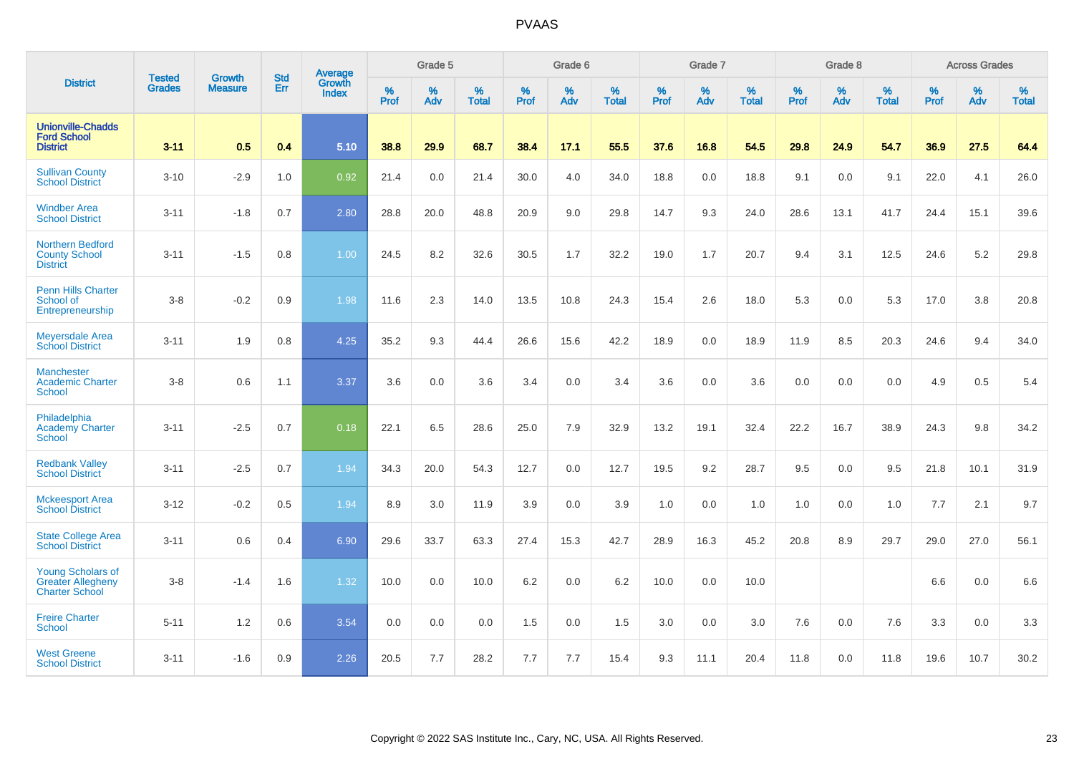|                                                                               |                                |                                 | <b>Std</b> | <b>Average</b>                |           | Grade 5  |                   |           | Grade 6  |                   |           | Grade 7  |                   |           | Grade 8  |                   |           | <b>Across Grades</b> |                   |
|-------------------------------------------------------------------------------|--------------------------------|---------------------------------|------------|-------------------------------|-----------|----------|-------------------|-----------|----------|-------------------|-----------|----------|-------------------|-----------|----------|-------------------|-----------|----------------------|-------------------|
| <b>District</b>                                                               | <b>Tested</b><br><b>Grades</b> | <b>Growth</b><br><b>Measure</b> | Err        | <b>Growth</b><br><b>Index</b> | %<br>Prof | %<br>Adv | %<br><b>Total</b> | %<br>Prof | %<br>Adv | %<br><b>Total</b> | %<br>Prof | %<br>Adv | %<br><b>Total</b> | %<br>Prof | %<br>Adv | %<br><b>Total</b> | %<br>Prof | %<br>Adv             | %<br><b>Total</b> |
| <b>Unionville-Chadds</b><br><b>Ford School</b><br><b>District</b>             | $3 - 11$                       | 0.5                             | 0.4        | 5.10                          | 38.8      | 29.9     | 68.7              | 38.4      | 17.1     | 55.5              | 37.6      | 16.8     | 54.5              | 29.8      | 24.9     | 54.7              | 36.9      | 27.5                 | 64.4              |
| <b>Sullivan County</b><br><b>School District</b>                              | $3 - 10$                       | $-2.9$                          | 1.0        | 0.92                          | 21.4      | 0.0      | 21.4              | 30.0      | 4.0      | 34.0              | 18.8      | 0.0      | 18.8              | 9.1       | 0.0      | 9.1               | 22.0      | 4.1                  | 26.0              |
| <b>Windber Area</b><br><b>School District</b>                                 | $3 - 11$                       | $-1.8$                          | 0.7        | 2.80                          | 28.8      | 20.0     | 48.8              | 20.9      | 9.0      | 29.8              | 14.7      | 9.3      | 24.0              | 28.6      | 13.1     | 41.7              | 24.4      | 15.1                 | 39.6              |
| <b>Northern Bedford</b><br><b>County School</b><br><b>District</b>            | $3 - 11$                       | $-1.5$                          | 0.8        | 1.00                          | 24.5      | 8.2      | 32.6              | 30.5      | 1.7      | 32.2              | 19.0      | 1.7      | 20.7              | 9.4       | 3.1      | 12.5              | 24.6      | $5.2\,$              | 29.8              |
| <b>Penn Hills Charter</b><br>School of<br>Entrepreneurship                    | $3-8$                          | $-0.2$                          | 0.9        | 1.98                          | 11.6      | 2.3      | 14.0              | 13.5      | 10.8     | 24.3              | 15.4      | 2.6      | 18.0              | 5.3       | 0.0      | 5.3               | 17.0      | 3.8                  | 20.8              |
| <b>Meyersdale Area</b><br><b>School District</b>                              | $3 - 11$                       | 1.9                             | 0.8        | 4.25                          | 35.2      | 9.3      | 44.4              | 26.6      | 15.6     | 42.2              | 18.9      | 0.0      | 18.9              | 11.9      | 8.5      | 20.3              | 24.6      | 9.4                  | 34.0              |
| <b>Manchester</b><br><b>Academic Charter</b><br>School                        | $3 - 8$                        | 0.6                             | 1.1        | 3.37                          | 3.6       | 0.0      | 3.6               | 3.4       | 0.0      | 3.4               | 3.6       | 0.0      | 3.6               | 0.0       | 0.0      | 0.0               | 4.9       | 0.5                  | 5.4               |
| Philadelphia<br><b>Academy Charter</b><br><b>School</b>                       | $3 - 11$                       | $-2.5$                          | 0.7        | 0.18                          | 22.1      | 6.5      | 28.6              | 25.0      | 7.9      | 32.9              | 13.2      | 19.1     | 32.4              | 22.2      | 16.7     | 38.9              | 24.3      | 9.8                  | 34.2              |
| <b>Redbank Valley</b><br><b>School District</b>                               | $3 - 11$                       | $-2.5$                          | 0.7        | 1.94                          | 34.3      | 20.0     | 54.3              | 12.7      | 0.0      | 12.7              | 19.5      | 9.2      | 28.7              | 9.5       | 0.0      | 9.5               | 21.8      | 10.1                 | 31.9              |
| <b>Mckeesport Area</b><br><b>School District</b>                              | $3 - 12$                       | $-0.2$                          | 0.5        | 1.94                          | 8.9       | 3.0      | 11.9              | 3.9       | 0.0      | 3.9               | 1.0       | 0.0      | 1.0               | 1.0       | 0.0      | 1.0               | 7.7       | 2.1                  | 9.7               |
| <b>State College Area</b><br><b>School District</b>                           | $3 - 11$                       | 0.6                             | 0.4        | 6.90                          | 29.6      | 33.7     | 63.3              | 27.4      | 15.3     | 42.7              | 28.9      | 16.3     | 45.2              | 20.8      | 8.9      | 29.7              | 29.0      | 27.0                 | 56.1              |
| <b>Young Scholars of</b><br><b>Greater Allegheny</b><br><b>Charter School</b> | $3-8$                          | $-1.4$                          | 1.6        | 1.32                          | 10.0      | 0.0      | 10.0              | 6.2       | 0.0      | 6.2               | 10.0      | 0.0      | 10.0              |           |          |                   | 6.6       | 0.0                  | 6.6               |
| <b>Freire Charter</b><br><b>School</b>                                        | $5 - 11$                       | 1.2                             | 0.6        | 3.54                          | 0.0       | 0.0      | 0.0               | 1.5       | 0.0      | 1.5               | 3.0       | 0.0      | 3.0               | 7.6       | 0.0      | 7.6               | 3.3       | 0.0                  | 3.3               |
| <b>West Greene</b><br><b>School District</b>                                  | $3 - 11$                       | $-1.6$                          | 0.9        | 2.26                          | 20.5      | 7.7      | 28.2              | 7.7       | 7.7      | 15.4              | 9.3       | 11.1     | 20.4              | 11.8      | 0.0      | 11.8              | 19.6      | 10.7                 | 30.2              |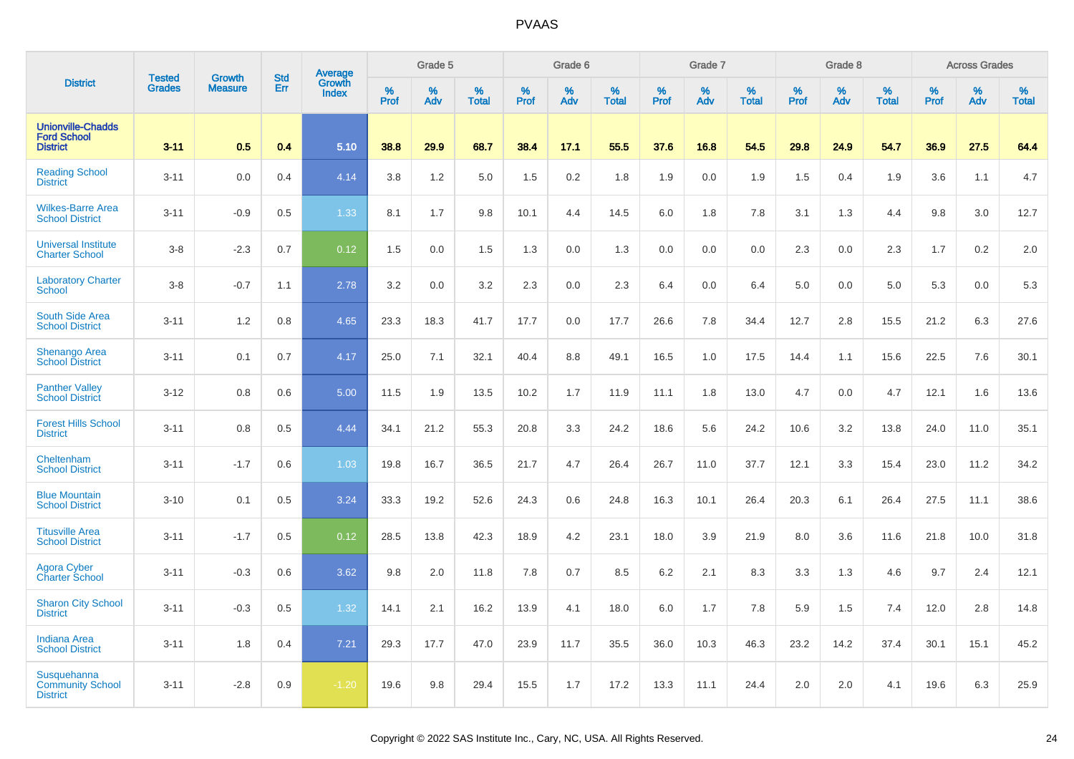|                                                                   | <b>Tested</b> | <b>Growth</b>  | <b>Std</b> |                                   |                     | Grade 5  |                   |                  | Grade 6  |                   |                     | Grade 7  |                   |           | Grade 8  |                   |              | <b>Across Grades</b> |                   |
|-------------------------------------------------------------------|---------------|----------------|------------|-----------------------------------|---------------------|----------|-------------------|------------------|----------|-------------------|---------------------|----------|-------------------|-----------|----------|-------------------|--------------|----------------------|-------------------|
| <b>District</b>                                                   | <b>Grades</b> | <b>Measure</b> | Err        | Average<br>Growth<br><b>Index</b> | $\%$<br><b>Prof</b> | %<br>Adv | %<br><b>Total</b> | %<br><b>Prof</b> | %<br>Adv | %<br><b>Total</b> | $\%$<br><b>Prof</b> | %<br>Adv | %<br><b>Total</b> | %<br>Prof | %<br>Adv | %<br><b>Total</b> | $\%$<br>Prof | %<br>Adv             | %<br><b>Total</b> |
| <b>Unionville-Chadds</b><br><b>Ford School</b><br><b>District</b> | $3 - 11$      | 0.5            | 0.4        | 5.10                              | 38.8                | 29.9     | 68.7              | 38.4             | 17.1     | 55.5              | 37.6                | 16.8     | 54.5              | 29.8      | 24.9     | 54.7              | 36.9         | 27.5                 | 64.4              |
| <b>Reading School</b><br><b>District</b>                          | $3 - 11$      | 0.0            | 0.4        | 4.14                              | 3.8                 | 1.2      | 5.0               | 1.5              | 0.2      | 1.8               | 1.9                 | 0.0      | 1.9               | 1.5       | 0.4      | 1.9               | 3.6          | 1.1                  | 4.7               |
| <b>Wilkes-Barre Area</b><br><b>School District</b>                | $3 - 11$      | $-0.9$         | 0.5        | 1.33                              | 8.1                 | 1.7      | 9.8               | 10.1             | 4.4      | 14.5              | 6.0                 | 1.8      | 7.8               | 3.1       | 1.3      | 4.4               | 9.8          | 3.0                  | 12.7              |
| <b>Universal Institute</b><br><b>Charter School</b>               | $3 - 8$       | $-2.3$         | 0.7        | 0.12                              | 1.5                 | 0.0      | 1.5               | 1.3              | 0.0      | 1.3               | 0.0                 | 0.0      | 0.0               | 2.3       | 0.0      | 2.3               | 1.7          | 0.2                  | 2.0               |
| <b>Laboratory Charter</b><br><b>School</b>                        | $3 - 8$       | $-0.7$         | 1.1        | 2.78                              | 3.2                 | 0.0      | 3.2               | 2.3              | 0.0      | 2.3               | 6.4                 | 0.0      | 6.4               | $5.0\,$   | 0.0      | 5.0               | 5.3          | 0.0                  | 5.3               |
| South Side Area<br><b>School District</b>                         | $3 - 11$      | 1.2            | 0.8        | 4.65                              | 23.3                | 18.3     | 41.7              | 17.7             | 0.0      | 17.7              | 26.6                | 7.8      | 34.4              | 12.7      | 2.8      | 15.5              | 21.2         | 6.3                  | 27.6              |
| <b>Shenango Area</b><br><b>School District</b>                    | $3 - 11$      | 0.1            | 0.7        | 4.17                              | 25.0                | 7.1      | 32.1              | 40.4             | 8.8      | 49.1              | 16.5                | 1.0      | 17.5              | 14.4      | 1.1      | 15.6              | 22.5         | 7.6                  | 30.1              |
| <b>Panther Valley</b><br><b>School District</b>                   | $3 - 12$      | 0.8            | 0.6        | 5.00                              | 11.5                | 1.9      | 13.5              | 10.2             | 1.7      | 11.9              | 11.1                | 1.8      | 13.0              | 4.7       | 0.0      | 4.7               | 12.1         | 1.6                  | 13.6              |
| <b>Forest Hills School</b><br><b>District</b>                     | $3 - 11$      | 0.8            | 0.5        | 4.44                              | 34.1                | 21.2     | 55.3              | 20.8             | 3.3      | 24.2              | 18.6                | 5.6      | 24.2              | 10.6      | 3.2      | 13.8              | 24.0         | 11.0                 | 35.1              |
| Cheltenham<br><b>School District</b>                              | $3 - 11$      | $-1.7$         | 0.6        | 1.03                              | 19.8                | 16.7     | 36.5              | 21.7             | 4.7      | 26.4              | 26.7                | 11.0     | 37.7              | 12.1      | 3.3      | 15.4              | 23.0         | 11.2                 | 34.2              |
| <b>Blue Mountain</b><br><b>School District</b>                    | $3 - 10$      | 0.1            | 0.5        | 3.24                              | 33.3                | 19.2     | 52.6              | 24.3             | 0.6      | 24.8              | 16.3                | 10.1     | 26.4              | 20.3      | 6.1      | 26.4              | 27.5         | 11.1                 | 38.6              |
| <b>Titusville Area</b><br><b>School District</b>                  | $3 - 11$      | $-1.7$         | 0.5        | 0.12                              | 28.5                | 13.8     | 42.3              | 18.9             | 4.2      | 23.1              | 18.0                | 3.9      | 21.9              | 8.0       | 3.6      | 11.6              | 21.8         | 10.0                 | 31.8              |
| <b>Agora Cyber</b><br><b>Charter School</b>                       | $3 - 11$      | $-0.3$         | 0.6        | 3.62                              | 9.8                 | 2.0      | 11.8              | 7.8              | 0.7      | 8.5               | 6.2                 | 2.1      | 8.3               | 3.3       | 1.3      | 4.6               | 9.7          | 2.4                  | 12.1              |
| <b>Sharon City School</b><br><b>District</b>                      | $3 - 11$      | $-0.3$         | 0.5        | 1.32                              | 14.1                | 2.1      | 16.2              | 13.9             | 4.1      | 18.0              | 6.0                 | 1.7      | 7.8               | 5.9       | 1.5      | 7.4               | 12.0         | 2.8                  | 14.8              |
| <b>Indiana Area</b><br><b>School District</b>                     | $3 - 11$      | 1.8            | 0.4        | 7.21                              | 29.3                | 17.7     | 47.0              | 23.9             | 11.7     | 35.5              | 36.0                | 10.3     | 46.3              | 23.2      | 14.2     | 37.4              | 30.1         | 15.1                 | 45.2              |
| Susquehanna<br><b>Community School</b><br><b>District</b>         | $3 - 11$      | $-2.8$         | 0.9        | $-1.20$                           | 19.6                | 9.8      | 29.4              | 15.5             | 1.7      | 17.2              | 13.3                | 11.1     | 24.4              | 2.0       | 2.0      | 4.1               | 19.6         | 6.3                  | 25.9              |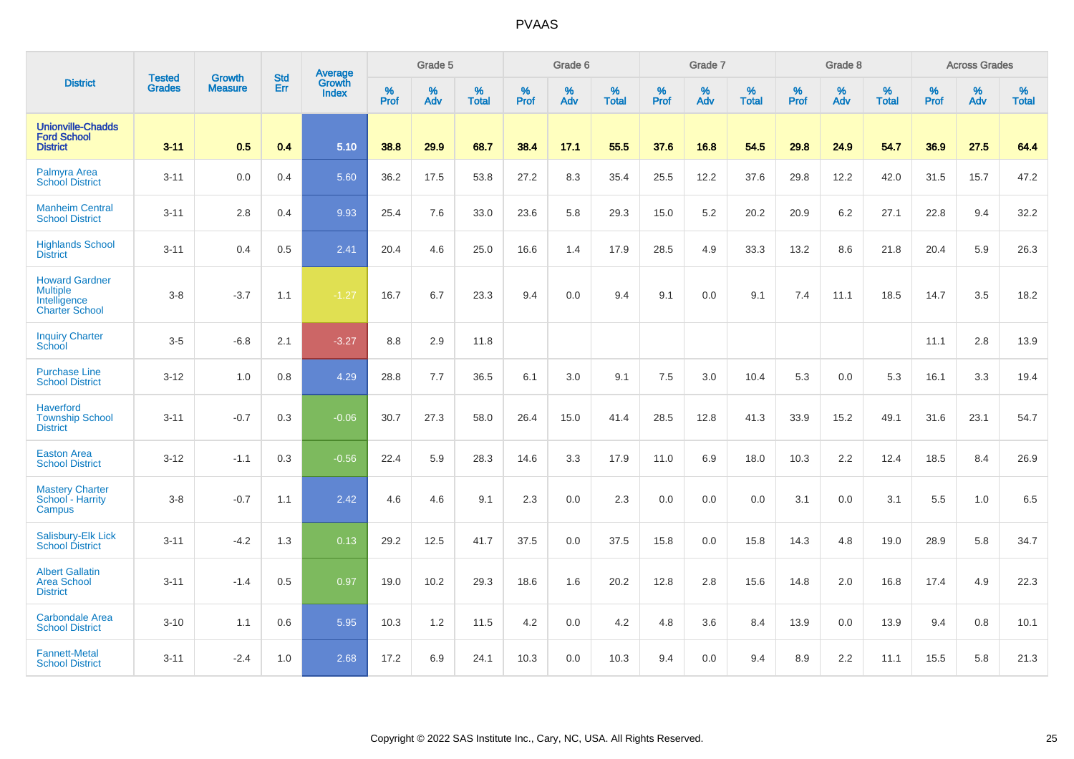|                                                                                   | <b>Tested</b> | <b>Growth</b>  | <b>Std</b> | Average                |                     | Grade 5  |                   |              | Grade 6  |                   |              | Grade 7  |                   |              | Grade 8  |                   |                  | <b>Across Grades</b> |                   |
|-----------------------------------------------------------------------------------|---------------|----------------|------------|------------------------|---------------------|----------|-------------------|--------------|----------|-------------------|--------------|----------|-------------------|--------------|----------|-------------------|------------------|----------------------|-------------------|
| <b>District</b>                                                                   | <b>Grades</b> | <b>Measure</b> | Err        | Growth<br><b>Index</b> | $\%$<br><b>Prof</b> | %<br>Adv | %<br><b>Total</b> | $\%$<br>Prof | %<br>Adv | %<br><b>Total</b> | $\%$<br>Prof | %<br>Adv | %<br><b>Total</b> | $\%$<br>Prof | %<br>Adv | %<br><b>Total</b> | %<br><b>Prof</b> | %<br>Adv             | %<br><b>Total</b> |
| <b>Unionville-Chadds</b><br><b>Ford School</b><br><b>District</b>                 | $3 - 11$      | 0.5            | 0.4        | 5.10                   | 38.8                | 29.9     | 68.7              | 38.4         | 17.1     | 55.5              | 37.6         | 16.8     | 54.5              | 29.8         | 24.9     | 54.7              | 36.9             | 27.5                 | 64.4              |
| Palmyra Area<br><b>School District</b>                                            | $3 - 11$      | 0.0            | 0.4        | 5.60                   | 36.2                | 17.5     | 53.8              | 27.2         | 8.3      | 35.4              | 25.5         | 12.2     | 37.6              | 29.8         | 12.2     | 42.0              | 31.5             | 15.7                 | 47.2              |
| <b>Manheim Central</b><br><b>School District</b>                                  | $3 - 11$      | 2.8            | 0.4        | 9.93                   | 25.4                | 7.6      | 33.0              | 23.6         | 5.8      | 29.3              | 15.0         | 5.2      | 20.2              | 20.9         | 6.2      | 27.1              | 22.8             | 9.4                  | 32.2              |
| <b>Highlands School</b><br><b>District</b>                                        | $3 - 11$      | 0.4            | 0.5        | 2.41                   | 20.4                | 4.6      | 25.0              | 16.6         | 1.4      | 17.9              | 28.5         | 4.9      | 33.3              | 13.2         | 8.6      | 21.8              | 20.4             | 5.9                  | 26.3              |
| <b>Howard Gardner</b><br><b>Multiple</b><br>Intelligence<br><b>Charter School</b> | $3-8$         | $-3.7$         | 1.1        | $-1.27$                | 16.7                | 6.7      | 23.3              | 9.4          | 0.0      | 9.4               | 9.1          | 0.0      | 9.1               | 7.4          | 11.1     | 18.5              | 14.7             | 3.5                  | 18.2              |
| <b>Inquiry Charter</b><br>School                                                  | $3-5$         | $-6.8$         | 2.1        | $-3.27$                | 8.8                 | 2.9      | 11.8              |              |          |                   |              |          |                   |              |          |                   | 11.1             | 2.8                  | 13.9              |
| <b>Purchase Line</b><br><b>School District</b>                                    | $3 - 12$      | 1.0            | 0.8        | 4.29                   | 28.8                | 7.7      | 36.5              | 6.1          | 3.0      | 9.1               | 7.5          | 3.0      | 10.4              | 5.3          | 0.0      | 5.3               | 16.1             | 3.3                  | 19.4              |
| <b>Haverford</b><br><b>Township School</b><br><b>District</b>                     | $3 - 11$      | $-0.7$         | 0.3        | $-0.06$                | 30.7                | 27.3     | 58.0              | 26.4         | 15.0     | 41.4              | 28.5         | 12.8     | 41.3              | 33.9         | 15.2     | 49.1              | 31.6             | 23.1                 | 54.7              |
| <b>Easton Area</b><br><b>School District</b>                                      | $3 - 12$      | $-1.1$         | 0.3        | $-0.56$                | 22.4                | 5.9      | 28.3              | 14.6         | 3.3      | 17.9              | 11.0         | 6.9      | 18.0              | 10.3         | 2.2      | 12.4              | 18.5             | 8.4                  | 26.9              |
| <b>Mastery Charter</b><br>School - Harrity<br>Campus                              | $3 - 8$       | $-0.7$         | 1.1        | 2.42                   | 4.6                 | 4.6      | 9.1               | 2.3          | 0.0      | 2.3               | 0.0          | 0.0      | 0.0               | 3.1          | 0.0      | 3.1               | 5.5              | 1.0                  | 6.5               |
| Salisbury-Elk Lick<br><b>School District</b>                                      | $3 - 11$      | $-4.2$         | 1.3        | 0.13                   | 29.2                | 12.5     | 41.7              | 37.5         | 0.0      | 37.5              | 15.8         | 0.0      | 15.8              | 14.3         | 4.8      | 19.0              | 28.9             | 5.8                  | 34.7              |
| <b>Albert Gallatin</b><br><b>Area School</b><br><b>District</b>                   | $3 - 11$      | $-1.4$         | 0.5        | 0.97                   | 19.0                | 10.2     | 29.3              | 18.6         | 1.6      | 20.2              | 12.8         | 2.8      | 15.6              | 14.8         | 2.0      | 16.8              | 17.4             | 4.9                  | 22.3              |
| <b>Carbondale Area</b><br><b>School District</b>                                  | $3 - 10$      | 1.1            | 0.6        | 5.95                   | 10.3                | 1.2      | 11.5              | 4.2          | 0.0      | 4.2               | 4.8          | 3.6      | 8.4               | 13.9         | 0.0      | 13.9              | 9.4              | 0.8                  | 10.1              |
| <b>Fannett-Metal</b><br><b>School District</b>                                    | $3 - 11$      | $-2.4$         | 1.0        | 2.68                   | 17.2                | 6.9      | 24.1              | 10.3         | 0.0      | 10.3              | 9.4          | 0.0      | 9.4               | 8.9          | 2.2      | 11.1              | 15.5             | 5.8                  | 21.3              |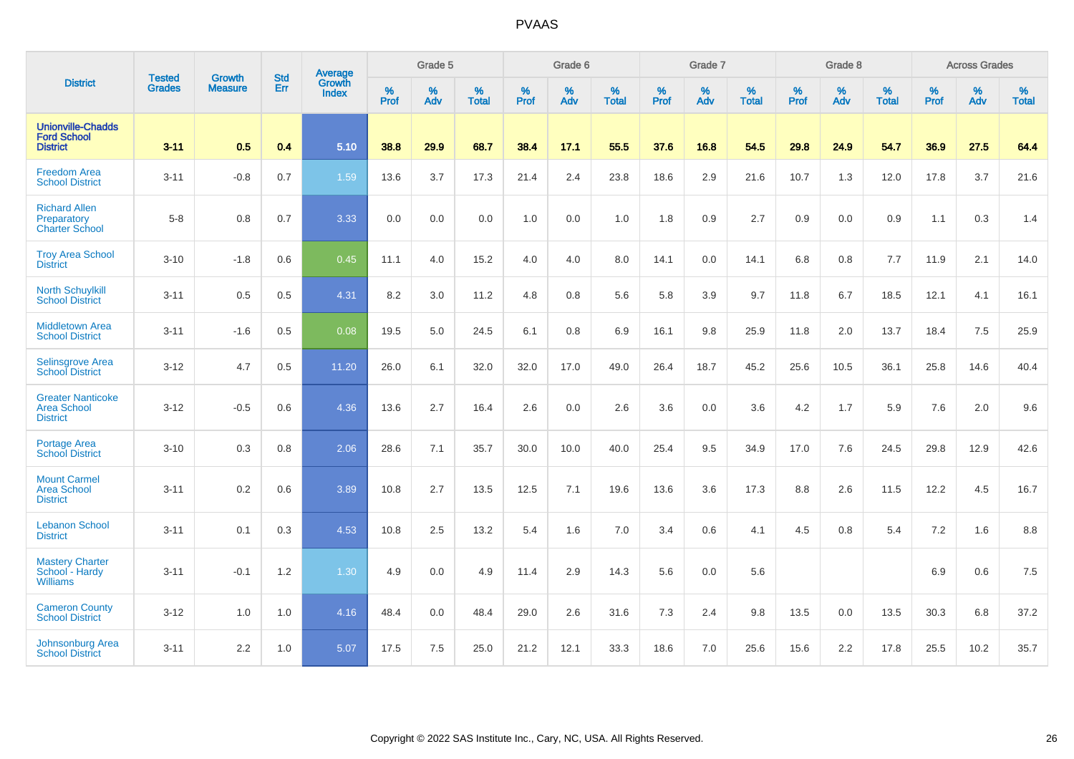|                                                                   |                                | <b>Growth</b>  | <b>Std</b> | Average                       |                     | Grade 5  |                   |                  | Grade 6  |                   |           | Grade 7  |                   |                  | Grade 8  |                   |                  | <b>Across Grades</b> |                   |
|-------------------------------------------------------------------|--------------------------------|----------------|------------|-------------------------------|---------------------|----------|-------------------|------------------|----------|-------------------|-----------|----------|-------------------|------------------|----------|-------------------|------------------|----------------------|-------------------|
| <b>District</b>                                                   | <b>Tested</b><br><b>Grades</b> | <b>Measure</b> | Err        | <b>Growth</b><br><b>Index</b> | $\%$<br><b>Prof</b> | %<br>Adv | %<br><b>Total</b> | %<br><b>Prof</b> | %<br>Adv | %<br><b>Total</b> | %<br>Prof | %<br>Adv | %<br><b>Total</b> | %<br><b>Prof</b> | %<br>Adv | %<br><b>Total</b> | %<br><b>Prof</b> | %<br>Adv             | %<br><b>Total</b> |
| <b>Unionville-Chadds</b><br><b>Ford School</b><br><b>District</b> | $3 - 11$                       | 0.5            | 0.4        | 5.10                          | 38.8                | 29.9     | 68.7              | 38.4             | 17.1     | 55.5              | 37.6      | 16.8     | 54.5              | 29.8             | 24.9     | 54.7              | 36.9             | 27.5                 | 64.4              |
| <b>Freedom Area</b><br><b>School District</b>                     | $3 - 11$                       | $-0.8$         | 0.7        | 1.59                          | 13.6                | 3.7      | 17.3              | 21.4             | 2.4      | 23.8              | 18.6      | 2.9      | 21.6              | 10.7             | 1.3      | 12.0              | 17.8             | 3.7                  | 21.6              |
| <b>Richard Allen</b><br>Preparatory<br><b>Charter School</b>      | $5 - 8$                        | 0.8            | 0.7        | 3.33                          | 0.0                 | 0.0      | 0.0               | 1.0              | 0.0      | 1.0               | 1.8       | 0.9      | 2.7               | 0.9              | 0.0      | 0.9               | 1.1              | 0.3                  | 1.4               |
| <b>Troy Area School</b><br><b>District</b>                        | $3 - 10$                       | $-1.8$         | 0.6        | 0.45                          | 11.1                | 4.0      | 15.2              | 4.0              | 4.0      | 8.0               | 14.1      | 0.0      | 14.1              | 6.8              | 0.8      | 7.7               | 11.9             | 2.1                  | 14.0              |
| <b>North Schuylkill</b><br><b>School District</b>                 | $3 - 11$                       | 0.5            | 0.5        | 4.31                          | 8.2                 | 3.0      | 11.2              | 4.8              | 0.8      | 5.6               | 5.8       | 3.9      | 9.7               | 11.8             | 6.7      | 18.5              | 12.1             | 4.1                  | 16.1              |
| <b>Middletown Area</b><br><b>School District</b>                  | $3 - 11$                       | $-1.6$         | 0.5        | 0.08                          | 19.5                | 5.0      | 24.5              | 6.1              | 0.8      | 6.9               | 16.1      | 9.8      | 25.9              | 11.8             | 2.0      | 13.7              | 18.4             | 7.5                  | 25.9              |
| <b>Selinsgrove Area</b><br><b>School District</b>                 | $3 - 12$                       | 4.7            | 0.5        | 11.20                         | 26.0                | 6.1      | 32.0              | 32.0             | 17.0     | 49.0              | 26.4      | 18.7     | 45.2              | 25.6             | 10.5     | 36.1              | 25.8             | 14.6                 | 40.4              |
| <b>Greater Nanticoke</b><br>Area School<br><b>District</b>        | $3 - 12$                       | $-0.5$         | 0.6        | 4.36                          | 13.6                | 2.7      | 16.4              | 2.6              | 0.0      | 2.6               | 3.6       | 0.0      | 3.6               | 4.2              | 1.7      | 5.9               | 7.6              | 2.0                  | 9.6               |
| Portage Area<br><b>School District</b>                            | $3 - 10$                       | 0.3            | 0.8        | 2.06                          | 28.6                | 7.1      | 35.7              | 30.0             | 10.0     | 40.0              | 25.4      | 9.5      | 34.9              | 17.0             | 7.6      | 24.5              | 29.8             | 12.9                 | 42.6              |
| <b>Mount Carmel</b><br><b>Area School</b><br><b>District</b>      | $3 - 11$                       | 0.2            | 0.6        | 3.89                          | 10.8                | 2.7      | 13.5              | 12.5             | 7.1      | 19.6              | 13.6      | 3.6      | 17.3              | 8.8              | 2.6      | 11.5              | 12.2             | 4.5                  | 16.7              |
| <b>Lebanon School</b><br><b>District</b>                          | $3 - 11$                       | 0.1            | 0.3        | 4.53                          | 10.8                | 2.5      | 13.2              | 5.4              | 1.6      | 7.0               | 3.4       | 0.6      | 4.1               | 4.5              | 0.8      | 5.4               | 7.2              | 1.6                  | 8.8               |
| <b>Mastery Charter</b><br>School - Hardy<br><b>Williams</b>       | $3 - 11$                       | $-0.1$         | 1.2        | 1.30                          | 4.9                 | 0.0      | 4.9               | 11.4             | 2.9      | 14.3              | 5.6       | 0.0      | 5.6               |                  |          |                   | 6.9              | 0.6                  | $7.5\,$           |
| <b>Cameron County</b><br><b>School District</b>                   | $3 - 12$                       | 1.0            | 1.0        | 4.16                          | 48.4                | 0.0      | 48.4              | 29.0             | 2.6      | 31.6              | 7.3       | 2.4      | 9.8               | 13.5             | 0.0      | 13.5              | 30.3             | 6.8                  | 37.2              |
| Johnsonburg Area<br><b>School District</b>                        | $3 - 11$                       | 2.2            | 1.0        | 5.07                          | 17.5                | 7.5      | 25.0              | 21.2             | 12.1     | 33.3              | 18.6      | 7.0      | 25.6              | 15.6             | 2.2      | 17.8              | 25.5             | 10.2                 | 35.7              |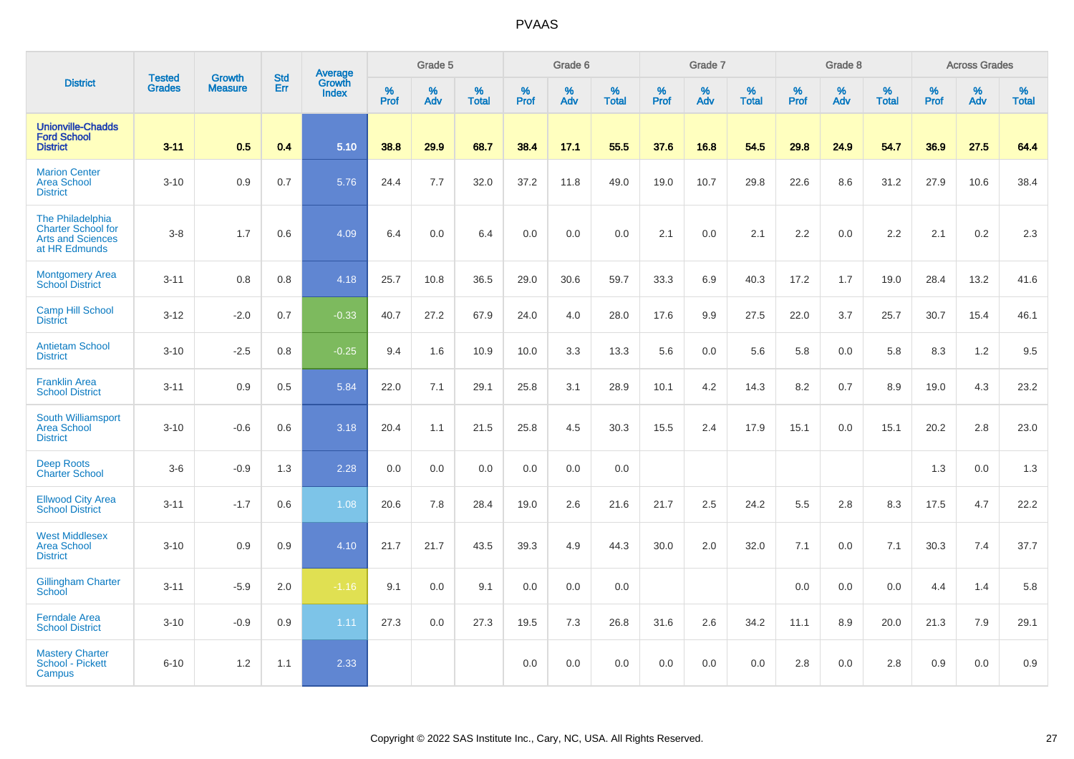|                                                                                            | <b>Tested</b> | <b>Growth</b>  | <b>Std</b> | Average                |                  | Grade 5  |                   |           | Grade 6         |                   |           | Grade 7  |                   |           | Grade 8  |                   |           | <b>Across Grades</b> |                   |
|--------------------------------------------------------------------------------------------|---------------|----------------|------------|------------------------|------------------|----------|-------------------|-----------|-----------------|-------------------|-----------|----------|-------------------|-----------|----------|-------------------|-----------|----------------------|-------------------|
| <b>District</b>                                                                            | <b>Grades</b> | <b>Measure</b> | Err        | Growth<br><b>Index</b> | %<br><b>Prof</b> | %<br>Adv | %<br><b>Total</b> | %<br>Prof | %<br><b>Adv</b> | %<br><b>Total</b> | %<br>Prof | %<br>Adv | %<br><b>Total</b> | %<br>Prof | %<br>Adv | %<br><b>Total</b> | %<br>Prof | %<br>Adv             | %<br><b>Total</b> |
| <b>Unionville-Chadds</b><br><b>Ford School</b><br><b>District</b>                          | $3 - 11$      | 0.5            | 0.4        | 5.10                   | 38.8             | 29.9     | 68.7              | 38.4      | 17.1            | 55.5              | 37.6      | 16.8     | 54.5              | 29.8      | 24.9     | 54.7              | 36.9      | 27.5                 | 64.4              |
| <b>Marion Center</b><br><b>Area School</b><br><b>District</b>                              | $3 - 10$      | 0.9            | 0.7        | 5.76                   | 24.4             | 7.7      | 32.0              | 37.2      | 11.8            | 49.0              | 19.0      | 10.7     | 29.8              | 22.6      | 8.6      | 31.2              | 27.9      | 10.6                 | 38.4              |
| The Philadelphia<br><b>Charter School for</b><br><b>Arts and Sciences</b><br>at HR Edmunds | $3 - 8$       | 1.7            | 0.6        | 4.09                   | 6.4              | 0.0      | 6.4               | 0.0       | 0.0             | 0.0               | 2.1       | 0.0      | 2.1               | 2.2       | 0.0      | 2.2               | 2.1       | 0.2                  | 2.3               |
| <b>Montgomery Area</b><br><b>School District</b>                                           | $3 - 11$      | 0.8            | 0.8        | 4.18                   | 25.7             | 10.8     | 36.5              | 29.0      | 30.6            | 59.7              | 33.3      | 6.9      | 40.3              | 17.2      | 1.7      | 19.0              | 28.4      | 13.2                 | 41.6              |
| <b>Camp Hill School</b><br><b>District</b>                                                 | $3 - 12$      | $-2.0$         | 0.7        | $-0.33$                | 40.7             | 27.2     | 67.9              | 24.0      | 4.0             | 28.0              | 17.6      | 9.9      | 27.5              | 22.0      | 3.7      | 25.7              | 30.7      | 15.4                 | 46.1              |
| <b>Antietam School</b><br><b>District</b>                                                  | $3 - 10$      | $-2.5$         | 0.8        | $-0.25$                | 9.4              | 1.6      | 10.9              | 10.0      | 3.3             | 13.3              | 5.6       | 0.0      | 5.6               | 5.8       | 0.0      | 5.8               | 8.3       | 1.2                  | 9.5               |
| <b>Franklin Area</b><br><b>School District</b>                                             | $3 - 11$      | 0.9            | 0.5        | 5.84                   | 22.0             | 7.1      | 29.1              | 25.8      | 3.1             | 28.9              | 10.1      | 4.2      | 14.3              | 8.2       | 0.7      | 8.9               | 19.0      | 4.3                  | 23.2              |
| South Williamsport<br><b>Area School</b><br><b>District</b>                                | $3 - 10$      | $-0.6$         | 0.6        | 3.18                   | 20.4             | 1.1      | 21.5              | 25.8      | 4.5             | 30.3              | 15.5      | 2.4      | 17.9              | 15.1      | 0.0      | 15.1              | 20.2      | 2.8                  | 23.0              |
| <b>Deep Roots</b><br><b>Charter School</b>                                                 | $3-6$         | $-0.9$         | 1.3        | 2.28                   | 0.0              | 0.0      | 0.0               | 0.0       | 0.0             | 0.0               |           |          |                   |           |          |                   | 1.3       | 0.0                  | 1.3               |
| <b>Ellwood City Area</b><br><b>School District</b>                                         | $3 - 11$      | $-1.7$         | 0.6        | 1.08                   | 20.6             | 7.8      | 28.4              | 19.0      | 2.6             | 21.6              | 21.7      | 2.5      | 24.2              | 5.5       | 2.8      | 8.3               | 17.5      | 4.7                  | 22.2              |
| <b>West Middlesex</b><br><b>Area School</b><br><b>District</b>                             | $3 - 10$      | 0.9            | 0.9        | 4.10                   | 21.7             | 21.7     | 43.5              | 39.3      | 4.9             | 44.3              | 30.0      | 2.0      | 32.0              | 7.1       | 0.0      | 7.1               | 30.3      | 7.4                  | 37.7              |
| <b>Gillingham Charter</b><br>School                                                        | $3 - 11$      | $-5.9$         | 2.0        | $-1.16$                | 9.1              | 0.0      | 9.1               | 0.0       | 0.0             | 0.0               |           |          |                   | 0.0       | 0.0      | 0.0               | 4.4       | 1.4                  | 5.8               |
| <b>Ferndale Area</b><br><b>School District</b>                                             | $3 - 10$      | $-0.9$         | 0.9        | 1.11                   | 27.3             | 0.0      | 27.3              | 19.5      | 7.3             | 26.8              | 31.6      | 2.6      | 34.2              | 11.1      | 8.9      | 20.0              | 21.3      | 7.9                  | 29.1              |
| <b>Mastery Charter</b><br>School - Pickett<br>Campus                                       | $6 - 10$      | 1.2            | 1.1        | 2.33                   |                  |          |                   | 0.0       | 0.0             | 0.0               | 0.0       | 0.0      | 0.0               | 2.8       | 0.0      | 2.8               | 0.9       | $0.0\,$              | 0.9               |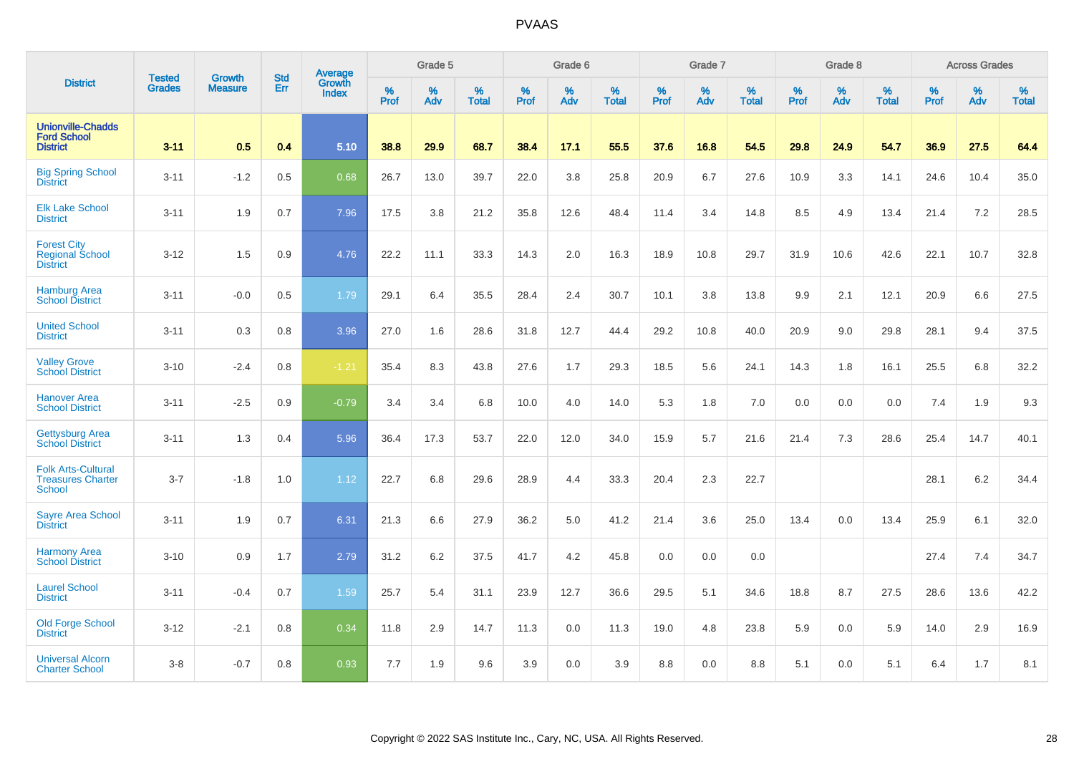|                                                                        |                                |                                 | <b>Std</b> | Average                       |              | Grade 5  |                   |           | Grade 6  |                   |           | Grade 7  |                   |           | Grade 8  |                   |           | <b>Across Grades</b> |                   |
|------------------------------------------------------------------------|--------------------------------|---------------------------------|------------|-------------------------------|--------------|----------|-------------------|-----------|----------|-------------------|-----------|----------|-------------------|-----------|----------|-------------------|-----------|----------------------|-------------------|
| <b>District</b>                                                        | <b>Tested</b><br><b>Grades</b> | <b>Growth</b><br><b>Measure</b> | Err        | <b>Growth</b><br><b>Index</b> | $\%$<br>Prof | %<br>Adv | %<br><b>Total</b> | %<br>Prof | %<br>Adv | %<br><b>Total</b> | %<br>Prof | %<br>Adv | %<br><b>Total</b> | %<br>Prof | %<br>Adv | %<br><b>Total</b> | %<br>Prof | %<br>Adv             | %<br><b>Total</b> |
| <b>Unionville-Chadds</b><br><b>Ford School</b><br><b>District</b>      | $3 - 11$                       | 0.5                             | 0.4        | 5.10                          | 38.8         | 29.9     | 68.7              | 38.4      | 17.1     | 55.5              | 37.6      | 16.8     | 54.5              | 29.8      | 24.9     | 54.7              | 36.9      | 27.5                 | 64.4              |
| <b>Big Spring School</b><br><b>District</b>                            | $3 - 11$                       | $-1.2$                          | 0.5        | 0.68                          | 26.7         | 13.0     | 39.7              | 22.0      | 3.8      | 25.8              | 20.9      | 6.7      | 27.6              | 10.9      | 3.3      | 14.1              | 24.6      | 10.4                 | 35.0              |
| <b>Elk Lake School</b><br><b>District</b>                              | $3 - 11$                       | 1.9                             | 0.7        | 7.96                          | 17.5         | 3.8      | 21.2              | 35.8      | 12.6     | 48.4              | 11.4      | 3.4      | 14.8              | 8.5       | 4.9      | 13.4              | 21.4      | 7.2                  | 28.5              |
| <b>Forest City</b><br><b>Regional School</b><br><b>District</b>        | $3 - 12$                       | 1.5                             | 0.9        | 4.76                          | 22.2         | 11.1     | 33.3              | 14.3      | 2.0      | 16.3              | 18.9      | 10.8     | 29.7              | 31.9      | 10.6     | 42.6              | 22.1      | 10.7                 | 32.8              |
| <b>Hamburg Area</b><br><b>School District</b>                          | $3 - 11$                       | $-0.0$                          | 0.5        | 1.79                          | 29.1         | 6.4      | 35.5              | 28.4      | 2.4      | 30.7              | 10.1      | 3.8      | 13.8              | 9.9       | 2.1      | 12.1              | 20.9      | 6.6                  | 27.5              |
| <b>United School</b><br><b>District</b>                                | $3 - 11$                       | 0.3                             | 0.8        | 3.96                          | 27.0         | 1.6      | 28.6              | 31.8      | 12.7     | 44.4              | 29.2      | 10.8     | 40.0              | 20.9      | 9.0      | 29.8              | 28.1      | 9.4                  | 37.5              |
| <b>Valley Grove</b><br><b>School District</b>                          | $3 - 10$                       | $-2.4$                          | 0.8        | $-1.21$                       | 35.4         | 8.3      | 43.8              | 27.6      | 1.7      | 29.3              | 18.5      | 5.6      | 24.1              | 14.3      | 1.8      | 16.1              | 25.5      | 6.8                  | 32.2              |
| <b>Hanover Area</b><br><b>School District</b>                          | $3 - 11$                       | $-2.5$                          | 0.9        | $-0.79$                       | 3.4          | 3.4      | 6.8               | 10.0      | 4.0      | 14.0              | 5.3       | 1.8      | 7.0               | 0.0       | 0.0      | 0.0               | 7.4       | 1.9                  | 9.3               |
| <b>Gettysburg Area</b><br><b>School District</b>                       | $3 - 11$                       | 1.3                             | 0.4        | 5.96                          | 36.4         | 17.3     | 53.7              | 22.0      | 12.0     | 34.0              | 15.9      | 5.7      | 21.6              | 21.4      | 7.3      | 28.6              | 25.4      | 14.7                 | 40.1              |
| <b>Folk Arts-Cultural</b><br><b>Treasures Charter</b><br><b>School</b> | $3 - 7$                        | $-1.8$                          | 1.0        | 1.12                          | 22.7         | 6.8      | 29.6              | 28.9      | 4.4      | 33.3              | 20.4      | 2.3      | 22.7              |           |          |                   | 28.1      | $6.2\,$              | 34.4              |
| <b>Sayre Area School</b><br><b>District</b>                            | $3 - 11$                       | 1.9                             | 0.7        | 6.31                          | 21.3         | 6.6      | 27.9              | 36.2      | 5.0      | 41.2              | 21.4      | 3.6      | 25.0              | 13.4      | 0.0      | 13.4              | 25.9      | 6.1                  | 32.0              |
| <b>Harmony Area</b><br><b>School District</b>                          | $3 - 10$                       | 0.9                             | 1.7        | 2.79                          | 31.2         | 6.2      | 37.5              | 41.7      | 4.2      | 45.8              | 0.0       | 0.0      | 0.0               |           |          |                   | 27.4      | 7.4                  | 34.7              |
| <b>Laurel School</b><br><b>District</b>                                | $3 - 11$                       | $-0.4$                          | 0.7        | 1.59                          | 25.7         | 5.4      | 31.1              | 23.9      | 12.7     | 36.6              | 29.5      | 5.1      | 34.6              | 18.8      | 8.7      | 27.5              | 28.6      | 13.6                 | 42.2              |
| Old Forge School<br><b>District</b>                                    | $3 - 12$                       | $-2.1$                          | 0.8        | 0.34                          | 11.8         | 2.9      | 14.7              | 11.3      | 0.0      | 11.3              | 19.0      | 4.8      | 23.8              | 5.9       | 0.0      | 5.9               | 14.0      | 2.9                  | 16.9              |
| <b>Universal Alcorn</b><br><b>Charter School</b>                       | $3-8$                          | $-0.7$                          | 0.8        | 0.93                          | 7.7          | 1.9      | 9.6               | 3.9       | 0.0      | 3.9               | 8.8       | 0.0      | 8.8               | 5.1       | 0.0      | 5.1               | 6.4       | 1.7                  | 8.1               |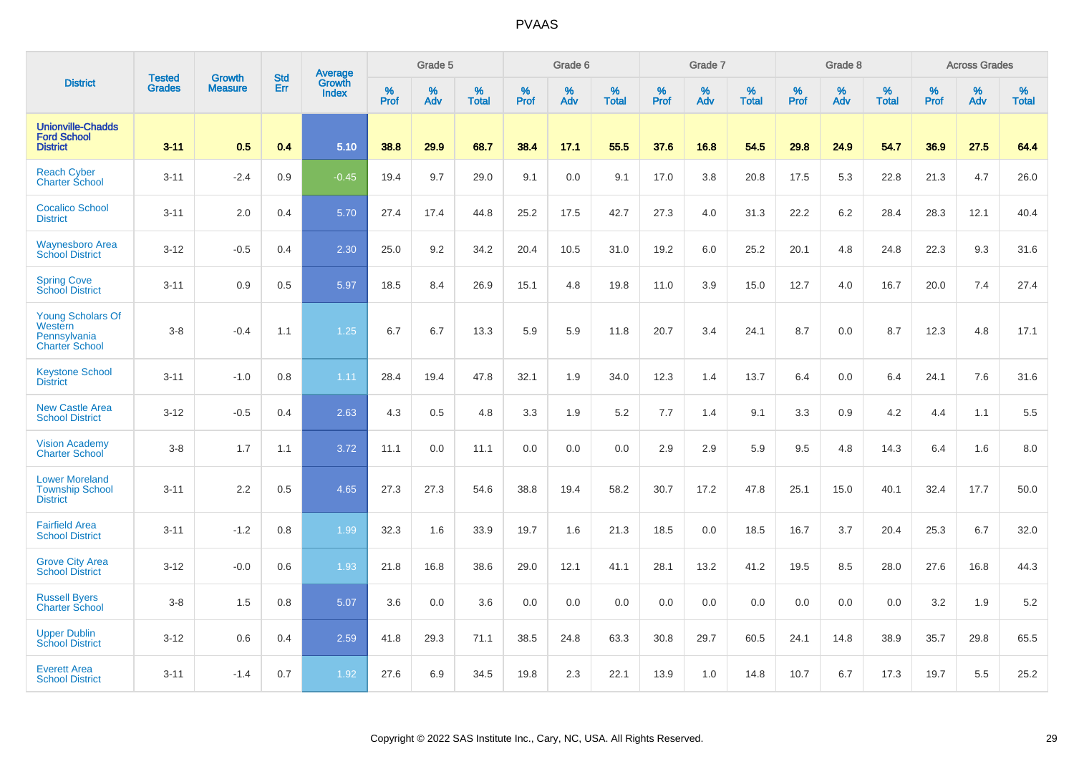|                                                                              |                                | <b>Growth</b>  | <b>Std</b> | Average                |              | Grade 5  |                   |           | Grade 6  |                   |           | Grade 7  |                   |           | Grade 8  |                   |           | <b>Across Grades</b> |                   |
|------------------------------------------------------------------------------|--------------------------------|----------------|------------|------------------------|--------------|----------|-------------------|-----------|----------|-------------------|-----------|----------|-------------------|-----------|----------|-------------------|-----------|----------------------|-------------------|
| <b>District</b>                                                              | <b>Tested</b><br><b>Grades</b> | <b>Measure</b> | Err        | Growth<br><b>Index</b> | $\%$<br>Prof | %<br>Adv | %<br><b>Total</b> | %<br>Prof | %<br>Adv | %<br><b>Total</b> | %<br>Prof | %<br>Adv | %<br><b>Total</b> | %<br>Prof | %<br>Adv | %<br><b>Total</b> | %<br>Prof | %<br>Adv             | %<br><b>Total</b> |
| <b>Unionville-Chadds</b><br><b>Ford School</b><br><b>District</b>            | $3 - 11$                       | 0.5            | 0.4        | 5.10                   | 38.8         | 29.9     | 68.7              | 38.4      | 17.1     | 55.5              | 37.6      | 16.8     | 54.5              | 29.8      | 24.9     | 54.7              | 36.9      | 27.5                 | 64.4              |
| <b>Reach Cyber</b><br><b>Charter School</b>                                  | $3 - 11$                       | $-2.4$         | 0.9        | $-0.45$                | 19.4         | 9.7      | 29.0              | 9.1       | 0.0      | 9.1               | 17.0      | 3.8      | 20.8              | 17.5      | 5.3      | 22.8              | 21.3      | 4.7                  | 26.0              |
| <b>Cocalico School</b><br><b>District</b>                                    | $3 - 11$                       | 2.0            | 0.4        | 5.70                   | 27.4         | 17.4     | 44.8              | 25.2      | 17.5     | 42.7              | 27.3      | 4.0      | 31.3              | 22.2      | 6.2      | 28.4              | 28.3      | 12.1                 | 40.4              |
| <b>Waynesboro Area</b><br><b>School District</b>                             | $3 - 12$                       | $-0.5$         | 0.4        | 2.30                   | 25.0         | 9.2      | 34.2              | 20.4      | 10.5     | 31.0              | 19.2      | 6.0      | 25.2              | 20.1      | 4.8      | 24.8              | 22.3      | 9.3                  | 31.6              |
| <b>Spring Cove</b><br><b>School District</b>                                 | $3 - 11$                       | 0.9            | 0.5        | 5.97                   | 18.5         | 8.4      | 26.9              | 15.1      | 4.8      | 19.8              | 11.0      | 3.9      | 15.0              | 12.7      | 4.0      | 16.7              | 20.0      | 7.4                  | 27.4              |
| <b>Young Scholars Of</b><br>Western<br>Pennsylvania<br><b>Charter School</b> | $3 - 8$                        | $-0.4$         | 1.1        | 1.25                   | 6.7          | 6.7      | 13.3              | 5.9       | 5.9      | 11.8              | 20.7      | 3.4      | 24.1              | 8.7       | 0.0      | 8.7               | 12.3      | 4.8                  | 17.1              |
| <b>Keystone School</b><br><b>District</b>                                    | $3 - 11$                       | $-1.0$         | 0.8        | 1.11                   | 28.4         | 19.4     | 47.8              | 32.1      | 1.9      | 34.0              | 12.3      | 1.4      | 13.7              | 6.4       | 0.0      | 6.4               | 24.1      | 7.6                  | 31.6              |
| <b>New Castle Area</b><br><b>School District</b>                             | $3 - 12$                       | $-0.5$         | 0.4        | 2.63                   | 4.3          | 0.5      | 4.8               | 3.3       | 1.9      | 5.2               | 7.7       | 1.4      | 9.1               | 3.3       | 0.9      | 4.2               | 4.4       | 1.1                  | 5.5               |
| <b>Vision Academy</b><br><b>Charter School</b>                               | $3 - 8$                        | 1.7            | 1.1        | 3.72                   | 11.1         | 0.0      | 11.1              | 0.0       | 0.0      | 0.0               | 2.9       | 2.9      | 5.9               | 9.5       | 4.8      | 14.3              | 6.4       | 1.6                  | 8.0               |
| <b>Lower Moreland</b><br><b>Township School</b><br><b>District</b>           | $3 - 11$                       | 2.2            | 0.5        | 4.65                   | 27.3         | 27.3     | 54.6              | 38.8      | 19.4     | 58.2              | 30.7      | 17.2     | 47.8              | 25.1      | 15.0     | 40.1              | 32.4      | 17.7                 | 50.0              |
| <b>Fairfield Area</b><br><b>School District</b>                              | $3 - 11$                       | $-1.2$         | 0.8        | 1.99                   | 32.3         | 1.6      | 33.9              | 19.7      | 1.6      | 21.3              | 18.5      | 0.0      | 18.5              | 16.7      | 3.7      | 20.4              | 25.3      | 6.7                  | 32.0              |
| <b>Grove City Area</b><br><b>School District</b>                             | $3 - 12$                       | $-0.0$         | 0.6        | 1.93                   | 21.8         | 16.8     | 38.6              | 29.0      | 12.1     | 41.1              | 28.1      | 13.2     | 41.2              | 19.5      | 8.5      | 28.0              | 27.6      | 16.8                 | 44.3              |
| <b>Russell Byers</b><br><b>Charter School</b>                                | $3 - 8$                        | 1.5            | 0.8        | 5.07                   | 3.6          | 0.0      | 3.6               | 0.0       | 0.0      | 0.0               | 0.0       | 0.0      | 0.0               | 0.0       | 0.0      | 0.0               | 3.2       | 1.9                  | 5.2               |
| <b>Upper Dublin</b><br><b>School District</b>                                | $3 - 12$                       | 0.6            | 0.4        | 2.59                   | 41.8         | 29.3     | 71.1              | 38.5      | 24.8     | 63.3              | 30.8      | 29.7     | 60.5              | 24.1      | 14.8     | 38.9              | 35.7      | 29.8                 | 65.5              |
| <b>Everett Area</b><br><b>School District</b>                                | $3 - 11$                       | $-1.4$         | 0.7        | 1.92                   | 27.6         | 6.9      | 34.5              | 19.8      | 2.3      | 22.1              | 13.9      | 1.0      | 14.8              | 10.7      | 6.7      | 17.3              | 19.7      | 5.5                  | 25.2              |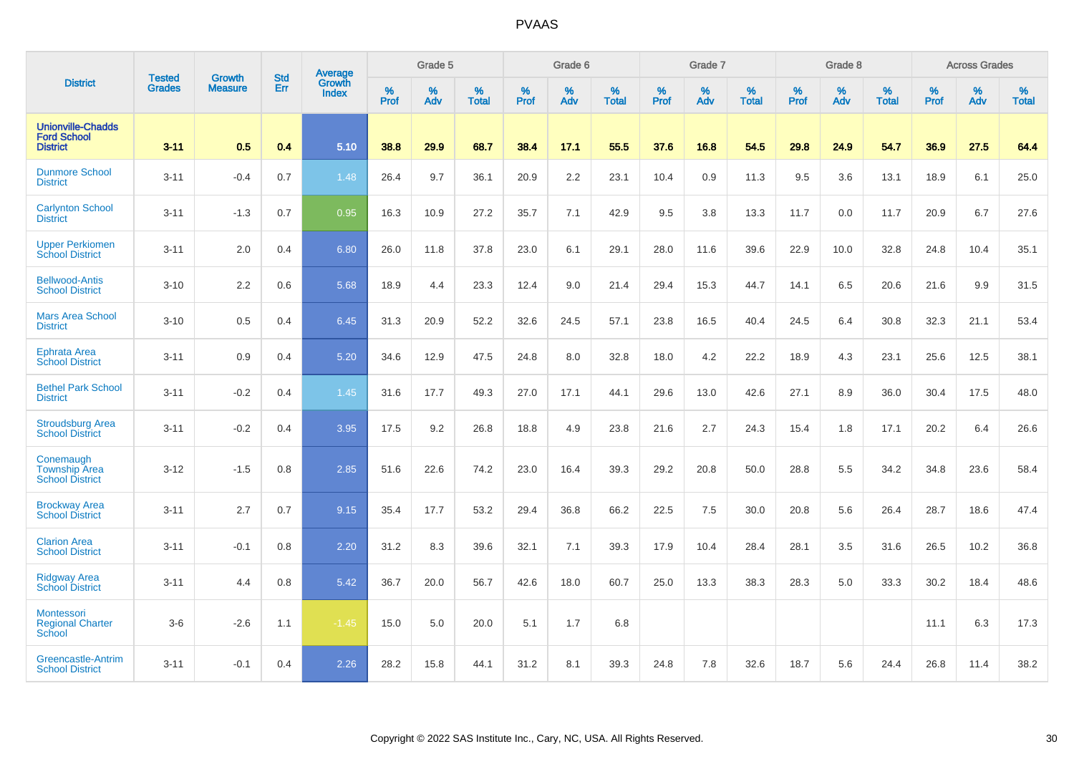|                                                                   | <b>Tested</b> | <b>Growth</b>  | <b>Std</b> | Average                |           | Grade 5  |                   |           | Grade 6  |                   |           | Grade 7  |                   |           | Grade 8  |                   |           | <b>Across Grades</b> |                   |
|-------------------------------------------------------------------|---------------|----------------|------------|------------------------|-----------|----------|-------------------|-----------|----------|-------------------|-----------|----------|-------------------|-----------|----------|-------------------|-----------|----------------------|-------------------|
| <b>District</b>                                                   | <b>Grades</b> | <b>Measure</b> | Err        | <b>Growth</b><br>Index | %<br>Prof | %<br>Adv | %<br><b>Total</b> | %<br>Prof | %<br>Adv | %<br><b>Total</b> | %<br>Prof | %<br>Adv | %<br><b>Total</b> | %<br>Prof | %<br>Adv | %<br><b>Total</b> | %<br>Prof | %<br>Adv             | %<br><b>Total</b> |
| <b>Unionville-Chadds</b><br><b>Ford School</b><br><b>District</b> | $3 - 11$      | 0.5            | 0.4        | 5.10                   | 38.8      | 29.9     | 68.7              | 38.4      | 17.1     | 55.5              | 37.6      | 16.8     | 54.5              | 29.8      | 24.9     | 54.7              | 36.9      | 27.5                 | 64.4              |
| <b>Dunmore School</b><br><b>District</b>                          | $3 - 11$      | $-0.4$         | 0.7        | 1.48                   | 26.4      | 9.7      | 36.1              | 20.9      | 2.2      | 23.1              | 10.4      | 0.9      | 11.3              | 9.5       | 3.6      | 13.1              | 18.9      | 6.1                  | 25.0              |
| <b>Carlynton School</b><br><b>District</b>                        | $3 - 11$      | $-1.3$         | 0.7        | 0.95                   | 16.3      | 10.9     | 27.2              | 35.7      | 7.1      | 42.9              | 9.5       | 3.8      | 13.3              | 11.7      | 0.0      | 11.7              | 20.9      | 6.7                  | 27.6              |
| <b>Upper Perkiomen</b><br><b>School District</b>                  | $3 - 11$      | 2.0            | 0.4        | 6.80                   | 26.0      | 11.8     | 37.8              | 23.0      | 6.1      | 29.1              | 28.0      | 11.6     | 39.6              | 22.9      | 10.0     | 32.8              | 24.8      | 10.4                 | 35.1              |
| <b>Bellwood-Antis</b><br><b>School District</b>                   | $3 - 10$      | 2.2            | 0.6        | 5.68                   | 18.9      | 4.4      | 23.3              | 12.4      | 9.0      | 21.4              | 29.4      | 15.3     | 44.7              | 14.1      | 6.5      | 20.6              | 21.6      | 9.9                  | 31.5              |
| <b>Mars Area School</b><br><b>District</b>                        | $3 - 10$      | 0.5            | 0.4        | 6.45                   | 31.3      | 20.9     | 52.2              | 32.6      | 24.5     | 57.1              | 23.8      | 16.5     | 40.4              | 24.5      | 6.4      | 30.8              | 32.3      | 21.1                 | 53.4              |
| <b>Ephrata Area</b><br><b>School District</b>                     | $3 - 11$      | 0.9            | 0.4        | 5.20                   | 34.6      | 12.9     | 47.5              | 24.8      | 8.0      | 32.8              | 18.0      | 4.2      | 22.2              | 18.9      | 4.3      | 23.1              | 25.6      | 12.5                 | 38.1              |
| <b>Bethel Park School</b><br><b>District</b>                      | $3 - 11$      | $-0.2$         | 0.4        | 1.45                   | 31.6      | 17.7     | 49.3              | 27.0      | 17.1     | 44.1              | 29.6      | 13.0     | 42.6              | 27.1      | 8.9      | 36.0              | 30.4      | 17.5                 | 48.0              |
| <b>Stroudsburg Area</b><br><b>School District</b>                 | $3 - 11$      | $-0.2$         | 0.4        | 3.95                   | 17.5      | 9.2      | 26.8              | 18.8      | 4.9      | 23.8              | 21.6      | 2.7      | 24.3              | 15.4      | 1.8      | 17.1              | 20.2      | 6.4                  | 26.6              |
| Conemaugh<br><b>Township Area</b><br><b>School District</b>       | $3 - 12$      | $-1.5$         | 0.8        | 2.85                   | 51.6      | 22.6     | 74.2              | 23.0      | 16.4     | 39.3              | 29.2      | 20.8     | 50.0              | 28.8      | 5.5      | 34.2              | 34.8      | 23.6                 | 58.4              |
| <b>Brockway Area</b><br><b>School District</b>                    | $3 - 11$      | 2.7            | 0.7        | 9.15                   | 35.4      | 17.7     | 53.2              | 29.4      | 36.8     | 66.2              | 22.5      | 7.5      | 30.0              | 20.8      | 5.6      | 26.4              | 28.7      | 18.6                 | 47.4              |
| <b>Clarion Area</b><br><b>School District</b>                     | $3 - 11$      | $-0.1$         | 0.8        | 2.20                   | 31.2      | 8.3      | 39.6              | 32.1      | 7.1      | 39.3              | 17.9      | 10.4     | 28.4              | 28.1      | 3.5      | 31.6              | 26.5      | 10.2                 | 36.8              |
| <b>Ridgway Area</b><br><b>School District</b>                     | $3 - 11$      | 4.4            | 0.8        | 5.42                   | 36.7      | 20.0     | 56.7              | 42.6      | 18.0     | 60.7              | 25.0      | 13.3     | 38.3              | 28.3      | 5.0      | 33.3              | 30.2      | 18.4                 | 48.6              |
| Montessori<br><b>Regional Charter</b><br>School                   | $3-6$         | $-2.6$         | 1.1        | $-1.45$                | 15.0      | 5.0      | 20.0              | 5.1       | 1.7      | 6.8               |           |          |                   |           |          |                   | 11.1      | 6.3                  | 17.3              |
| Greencastle-Antrim<br><b>School District</b>                      | $3 - 11$      | $-0.1$         | 0.4        | 2.26                   | 28.2      | 15.8     | 44.1              | 31.2      | 8.1      | 39.3              | 24.8      | 7.8      | 32.6              | 18.7      | 5.6      | 24.4              | 26.8      | 11.4                 | 38.2              |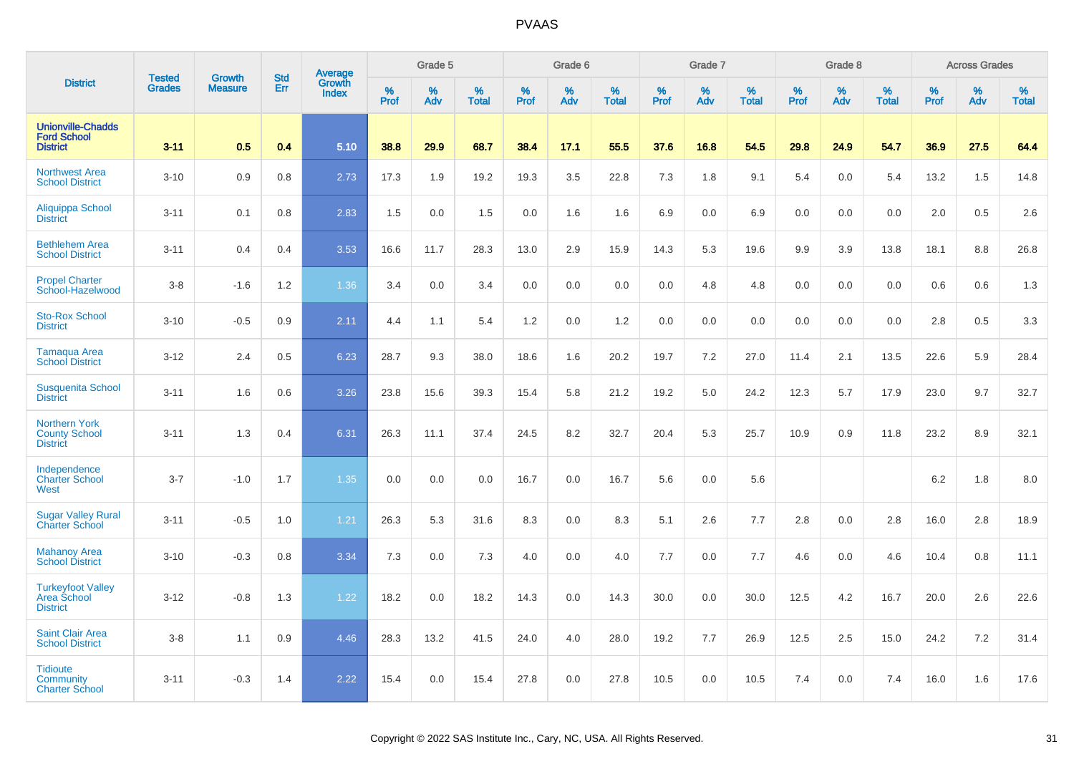|                                                                   | <b>Tested</b> | <b>Growth</b>  | <b>Std</b> |                                   |              | Grade 5  |                   |           | Grade 6  |                   |           | Grade 7  |                   |           | Grade 8  |                   |           | <b>Across Grades</b> |                   |
|-------------------------------------------------------------------|---------------|----------------|------------|-----------------------------------|--------------|----------|-------------------|-----------|----------|-------------------|-----------|----------|-------------------|-----------|----------|-------------------|-----------|----------------------|-------------------|
| <b>District</b>                                                   | <b>Grades</b> | <b>Measure</b> | Err        | Average<br>Growth<br><b>Index</b> | $\%$<br>Prof | %<br>Adv | %<br><b>Total</b> | %<br>Prof | %<br>Adv | %<br><b>Total</b> | %<br>Prof | %<br>Adv | %<br><b>Total</b> | %<br>Prof | %<br>Adv | %<br><b>Total</b> | %<br>Prof | %<br>Adv             | %<br><b>Total</b> |
| <b>Unionville-Chadds</b><br><b>Ford School</b><br><b>District</b> | $3 - 11$      | 0.5            | 0.4        | 5.10                              | 38.8         | 29.9     | 68.7              | 38.4      | 17.1     | 55.5              | 37.6      | 16.8     | 54.5              | 29.8      | 24.9     | 54.7              | 36.9      | 27.5                 | 64.4              |
| <b>Northwest Area</b><br><b>School District</b>                   | $3 - 10$      | 0.9            | 0.8        | 2.73                              | 17.3         | 1.9      | 19.2              | 19.3      | 3.5      | 22.8              | 7.3       | 1.8      | 9.1               | 5.4       | 0.0      | 5.4               | 13.2      | 1.5                  | 14.8              |
| Aliquippa School<br><b>District</b>                               | $3 - 11$      | 0.1            | 0.8        | 2.83                              | 1.5          | 0.0      | 1.5               | 0.0       | 1.6      | 1.6               | 6.9       | 0.0      | 6.9               | 0.0       | 0.0      | 0.0               | 2.0       | 0.5                  | 2.6               |
| <b>Bethlehem Area</b><br><b>School District</b>                   | $3 - 11$      | 0.4            | 0.4        | 3.53                              | 16.6         | 11.7     | 28.3              | 13.0      | 2.9      | 15.9              | 14.3      | 5.3      | 19.6              | 9.9       | 3.9      | 13.8              | 18.1      | 8.8                  | 26.8              |
| <b>Propel Charter</b><br>School-Hazelwood                         | $3 - 8$       | $-1.6$         | 1.2        | 1.36                              | 3.4          | 0.0      | 3.4               | $0.0\,$   | 0.0      | 0.0               | 0.0       | 4.8      | 4.8               | 0.0       | 0.0      | 0.0               | 0.6       | 0.6                  | 1.3               |
| <b>Sto-Rox School</b><br><b>District</b>                          | $3 - 10$      | $-0.5$         | 0.9        | 2.11                              | 4.4          | 1.1      | 5.4               | 1.2       | 0.0      | 1.2               | 0.0       | 0.0      | 0.0               | 0.0       | 0.0      | 0.0               | 2.8       | 0.5                  | 3.3               |
| <b>Tamaqua Area</b><br><b>School District</b>                     | $3 - 12$      | 2.4            | 0.5        | 6.23                              | 28.7         | 9.3      | 38.0              | 18.6      | 1.6      | 20.2              | 19.7      | 7.2      | 27.0              | 11.4      | 2.1      | 13.5              | 22.6      | 5.9                  | 28.4              |
| <b>Susquenita School</b><br><b>District</b>                       | $3 - 11$      | 1.6            | 0.6        | 3.26                              | 23.8         | 15.6     | 39.3              | 15.4      | 5.8      | 21.2              | 19.2      | 5.0      | 24.2              | 12.3      | 5.7      | 17.9              | 23.0      | 9.7                  | 32.7              |
| <b>Northern York</b><br><b>County School</b><br><b>District</b>   | $3 - 11$      | 1.3            | 0.4        | 6.31                              | 26.3         | 11.1     | 37.4              | 24.5      | 8.2      | 32.7              | 20.4      | 5.3      | 25.7              | 10.9      | 0.9      | 11.8              | 23.2      | 8.9                  | 32.1              |
| Independence<br><b>Charter School</b><br>West                     | $3 - 7$       | $-1.0$         | 1.7        | 1.35                              | 0.0          | 0.0      | 0.0               | 16.7      | 0.0      | 16.7              | 5.6       | 0.0      | 5.6               |           |          |                   | 6.2       | 1.8                  | 8.0               |
| <b>Sugar Valley Rural</b><br><b>Charter School</b>                | $3 - 11$      | $-0.5$         | 1.0        | 1.21                              | 26.3         | 5.3      | 31.6              | 8.3       | 0.0      | 8.3               | 5.1       | 2.6      | 7.7               | 2.8       | 0.0      | 2.8               | 16.0      | 2.8                  | 18.9              |
| <b>Mahanoy Area</b><br><b>School District</b>                     | $3 - 10$      | $-0.3$         | 0.8        | 3.34                              | 7.3          | 0.0      | 7.3               | 4.0       | 0.0      | 4.0               | 7.7       | 0.0      | 7.7               | 4.6       | 0.0      | 4.6               | 10.4      | 0.8                  | 11.1              |
| <b>Turkeyfoot Valley</b><br>Area School<br><b>District</b>        | $3 - 12$      | $-0.8$         | 1.3        | 1.22                              | 18.2         | 0.0      | 18.2              | 14.3      | 0.0      | 14.3              | 30.0      | 0.0      | 30.0              | 12.5      | 4.2      | 16.7              | 20.0      | 2.6                  | 22.6              |
| <b>Saint Clair Area</b><br><b>School District</b>                 | $3 - 8$       | 1.1            | 0.9        | 4.46                              | 28.3         | 13.2     | 41.5              | 24.0      | 4.0      | 28.0              | 19.2      | 7.7      | 26.9              | 12.5      | 2.5      | 15.0              | 24.2      | 7.2                  | 31.4              |
| <b>Tidioute</b><br>Community<br><b>Charter School</b>             | $3 - 11$      | $-0.3$         | 1.4        | 2.22                              | 15.4         | 0.0      | 15.4              | 27.8      | 0.0      | 27.8              | 10.5      | 0.0      | 10.5              | 7.4       | 0.0      | 7.4               | 16.0      | 1.6                  | 17.6              |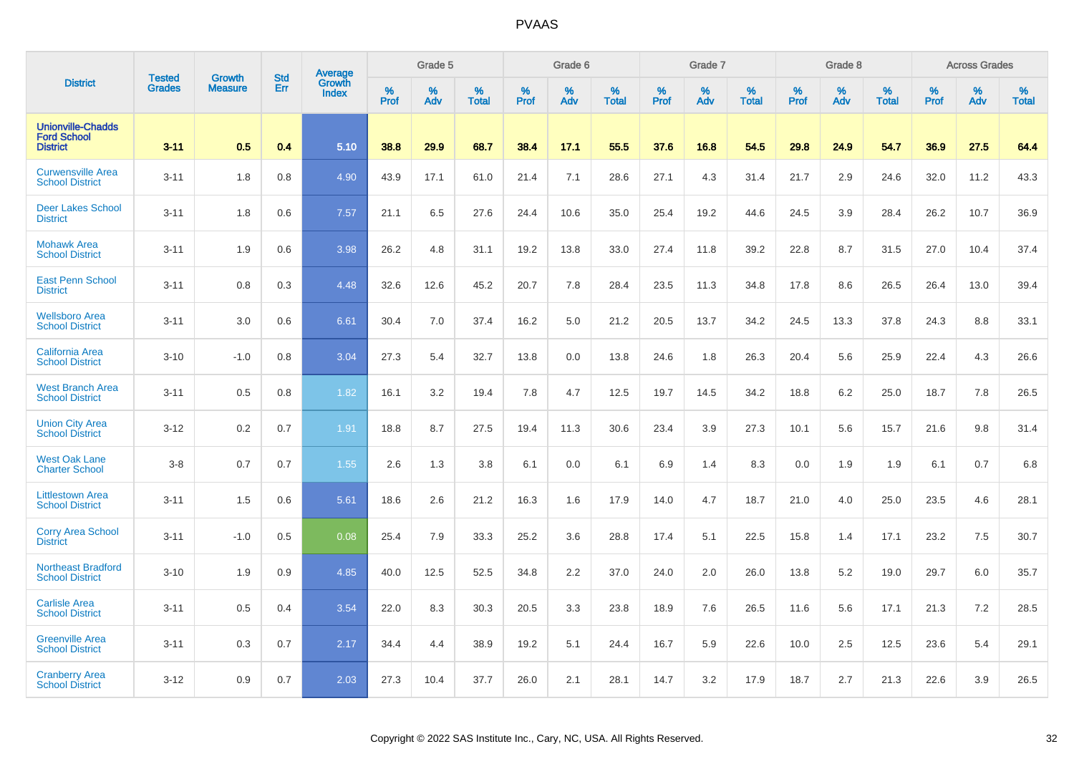|                                                                   |                         | <b>Growth</b>  | <b>Std</b> | Average                |                     | Grade 5  |                   |                     | Grade 6  |                      |                     | Grade 7     |                      |                     | Grade 8     |                   |                     | <b>Across Grades</b> |                   |
|-------------------------------------------------------------------|-------------------------|----------------|------------|------------------------|---------------------|----------|-------------------|---------------------|----------|----------------------|---------------------|-------------|----------------------|---------------------|-------------|-------------------|---------------------|----------------------|-------------------|
| <b>District</b>                                                   | <b>Tested</b><br>Grades | <b>Measure</b> | Err        | Growth<br><b>Index</b> | $\%$<br><b>Prof</b> | %<br>Adv | %<br><b>Total</b> | $\%$<br><b>Prof</b> | %<br>Adv | $\%$<br><b>Total</b> | $\%$<br><b>Prof</b> | $\%$<br>Adv | $\%$<br><b>Total</b> | $\%$<br><b>Prof</b> | $\%$<br>Adv | %<br><b>Total</b> | $\%$<br><b>Prof</b> | %<br>Adv             | %<br><b>Total</b> |
| <b>Unionville-Chadds</b><br><b>Ford School</b><br><b>District</b> | $3 - 11$                | 0.5            | 0.4        | 5.10                   | 38.8                | 29.9     | 68.7              | 38.4                | 17.1     | 55.5                 | 37.6                | 16.8        | 54.5                 | 29.8                | 24.9        | 54.7              | 36.9                | 27.5                 | 64.4              |
| <b>Curwensville Area</b><br><b>School District</b>                | $3 - 11$                | 1.8            | 0.8        | 4.90                   | 43.9                | 17.1     | 61.0              | 21.4                | 7.1      | 28.6                 | 27.1                | 4.3         | 31.4                 | 21.7                | 2.9         | 24.6              | 32.0                | 11.2                 | 43.3              |
| <b>Deer Lakes School</b><br><b>District</b>                       | $3 - 11$                | 1.8            | 0.6        | 7.57                   | 21.1                | 6.5      | 27.6              | 24.4                | 10.6     | 35.0                 | 25.4                | 19.2        | 44.6                 | 24.5                | 3.9         | 28.4              | 26.2                | 10.7                 | 36.9              |
| <b>Mohawk Area</b><br><b>School District</b>                      | $3 - 11$                | 1.9            | 0.6        | 3.98                   | 26.2                | 4.8      | 31.1              | 19.2                | 13.8     | 33.0                 | 27.4                | 11.8        | 39.2                 | 22.8                | 8.7         | 31.5              | 27.0                | 10.4                 | 37.4              |
| <b>East Penn School</b><br><b>District</b>                        | $3 - 11$                | 0.8            | 0.3        | 4.48                   | 32.6                | 12.6     | 45.2              | 20.7                | 7.8      | 28.4                 | 23.5                | 11.3        | 34.8                 | 17.8                | 8.6         | 26.5              | 26.4                | 13.0                 | 39.4              |
| <b>Wellsboro Area</b><br><b>School District</b>                   | $3 - 11$                | 3.0            | 0.6        | 6.61                   | 30.4                | 7.0      | 37.4              | 16.2                | 5.0      | 21.2                 | 20.5                | 13.7        | 34.2                 | 24.5                | 13.3        | 37.8              | 24.3                | 8.8                  | 33.1              |
| <b>California Area</b><br><b>School District</b>                  | $3 - 10$                | $-1.0$         | 0.8        | 3.04                   | 27.3                | 5.4      | 32.7              | 13.8                | 0.0      | 13.8                 | 24.6                | 1.8         | 26.3                 | 20.4                | 5.6         | 25.9              | 22.4                | 4.3                  | 26.6              |
| <b>West Branch Area</b><br><b>School District</b>                 | $3 - 11$                | 0.5            | 0.8        | 1.82                   | 16.1                | 3.2      | 19.4              | 7.8                 | 4.7      | 12.5                 | 19.7                | 14.5        | 34.2                 | 18.8                | 6.2         | 25.0              | 18.7                | 7.8                  | 26.5              |
| <b>Union City Area</b><br><b>School District</b>                  | $3-12$                  | 0.2            | 0.7        | 1.91                   | 18.8                | 8.7      | 27.5              | 19.4                | 11.3     | 30.6                 | 23.4                | 3.9         | 27.3                 | 10.1                | 5.6         | 15.7              | 21.6                | 9.8                  | 31.4              |
| <b>West Oak Lane</b><br><b>Charter School</b>                     | $3-8$                   | 0.7            | 0.7        | 1.55                   | 2.6                 | 1.3      | 3.8               | 6.1                 | 0.0      | 6.1                  | 6.9                 | 1.4         | 8.3                  | 0.0                 | 1.9         | 1.9               | 6.1                 | 0.7                  | 6.8               |
| <b>Littlestown Area</b><br><b>School District</b>                 | $3 - 11$                | 1.5            | 0.6        | 5.61                   | 18.6                | 2.6      | 21.2              | 16.3                | 1.6      | 17.9                 | 14.0                | 4.7         | 18.7                 | 21.0                | 4.0         | 25.0              | 23.5                | 4.6                  | 28.1              |
| <b>Corry Area School</b><br><b>District</b>                       | $3 - 11$                | $-1.0$         | 0.5        | 0.08                   | 25.4                | 7.9      | 33.3              | 25.2                | 3.6      | 28.8                 | 17.4                | 5.1         | 22.5                 | 15.8                | 1.4         | 17.1              | 23.2                | 7.5                  | 30.7              |
| <b>Northeast Bradford</b><br><b>School District</b>               | $3 - 10$                | 1.9            | 0.9        | 4.85                   | 40.0                | 12.5     | 52.5              | 34.8                | 2.2      | 37.0                 | 24.0                | 2.0         | 26.0                 | 13.8                | 5.2         | 19.0              | 29.7                | 6.0                  | 35.7              |
| <b>Carlisle Area</b><br><b>School District</b>                    | $3 - 11$                | 0.5            | 0.4        | 3.54                   | 22.0                | 8.3      | 30.3              | 20.5                | 3.3      | 23.8                 | 18.9                | 7.6         | 26.5                 | 11.6                | 5.6         | 17.1              | 21.3                | 7.2                  | 28.5              |
| <b>Greenville Area</b><br><b>School District</b>                  | $3 - 11$                | 0.3            | 0.7        | 2.17                   | 34.4                | 4.4      | 38.9              | 19.2                | 5.1      | 24.4                 | 16.7                | 5.9         | 22.6                 | 10.0                | 2.5         | 12.5              | 23.6                | 5.4                  | 29.1              |
| <b>Cranberry Area</b><br><b>School District</b>                   | $3 - 12$                | 0.9            | 0.7        | 2.03                   | 27.3                | 10.4     | 37.7              | 26.0                | 2.1      | 28.1                 | 14.7                | 3.2         | 17.9                 | 18.7                | 2.7         | 21.3              | 22.6                | 3.9                  | 26.5              |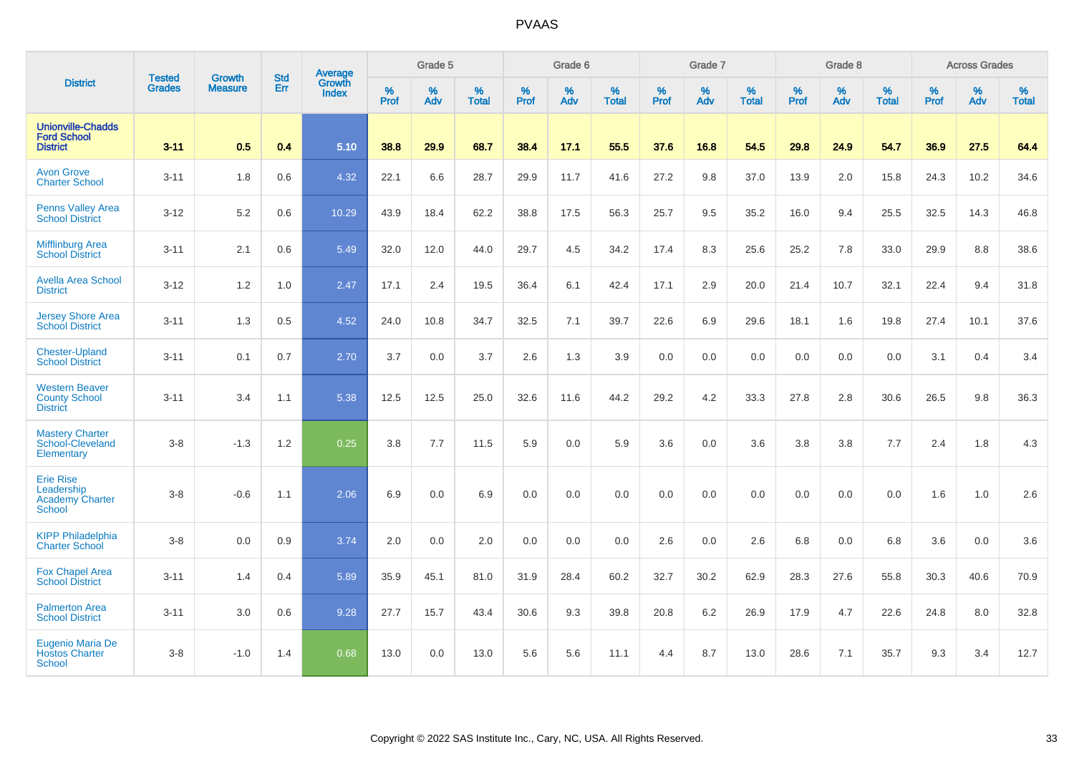|                                                                           |                                |                                 | <b>Std</b> | Average                       |           | Grade 5  |                   |           | Grade 6  |                   |           | Grade 7  |                   |           | Grade 8  |                   |           | <b>Across Grades</b> |                   |
|---------------------------------------------------------------------------|--------------------------------|---------------------------------|------------|-------------------------------|-----------|----------|-------------------|-----------|----------|-------------------|-----------|----------|-------------------|-----------|----------|-------------------|-----------|----------------------|-------------------|
| <b>District</b>                                                           | <b>Tested</b><br><b>Grades</b> | <b>Growth</b><br><b>Measure</b> | Err        | <b>Growth</b><br><b>Index</b> | %<br>Prof | %<br>Adv | %<br><b>Total</b> | %<br>Prof | %<br>Adv | %<br><b>Total</b> | %<br>Prof | %<br>Adv | %<br><b>Total</b> | %<br>Prof | %<br>Adv | %<br><b>Total</b> | %<br>Prof | %<br>Adv             | %<br><b>Total</b> |
| <b>Unionville-Chadds</b><br><b>Ford School</b><br><b>District</b>         | $3 - 11$                       | 0.5                             | 0.4        | 5.10                          | 38.8      | 29.9     | 68.7              | 38.4      | 17.1     | 55.5              | 37.6      | 16.8     | 54.5              | 29.8      | 24.9     | 54.7              | 36.9      | 27.5                 | 64.4              |
| <b>Avon Grove</b><br><b>Charter School</b>                                | $3 - 11$                       | 1.8                             | 0.6        | 4.32                          | 22.1      | 6.6      | 28.7              | 29.9      | 11.7     | 41.6              | 27.2      | 9.8      | 37.0              | 13.9      | 2.0      | 15.8              | 24.3      | 10.2                 | 34.6              |
| <b>Penns Valley Area</b><br><b>School District</b>                        | $3 - 12$                       | 5.2                             | 0.6        | 10.29                         | 43.9      | 18.4     | 62.2              | 38.8      | 17.5     | 56.3              | 25.7      | 9.5      | 35.2              | 16.0      | 9.4      | 25.5              | 32.5      | 14.3                 | 46.8              |
| <b>Mifflinburg Area</b><br><b>School District</b>                         | $3 - 11$                       | 2.1                             | 0.6        | 5.49                          | 32.0      | 12.0     | 44.0              | 29.7      | 4.5      | 34.2              | 17.4      | 8.3      | 25.6              | 25.2      | 7.8      | 33.0              | 29.9      | 8.8                  | 38.6              |
| <b>Avella Area School</b><br><b>District</b>                              | $3 - 12$                       | 1.2                             | 1.0        | 2.47                          | 17.1      | 2.4      | 19.5              | 36.4      | 6.1      | 42.4              | 17.1      | 2.9      | 20.0              | 21.4      | 10.7     | 32.1              | 22.4      | 9.4                  | 31.8              |
| <b>Jersey Shore Area</b><br><b>School District</b>                        | $3 - 11$                       | 1.3                             | 0.5        | 4.52                          | 24.0      | 10.8     | 34.7              | 32.5      | 7.1      | 39.7              | 22.6      | 6.9      | 29.6              | 18.1      | 1.6      | 19.8              | 27.4      | 10.1                 | 37.6              |
| <b>Chester-Upland</b><br><b>School District</b>                           | $3 - 11$                       | 0.1                             | 0.7        | 2.70                          | 3.7       | 0.0      | 3.7               | 2.6       | 1.3      | 3.9               | 0.0       | 0.0      | 0.0               | 0.0       | 0.0      | 0.0               | 3.1       | 0.4                  | 3.4               |
| <b>Western Beaver</b><br><b>County School</b><br><b>District</b>          | $3 - 11$                       | 3.4                             | 1.1        | 5.38                          | 12.5      | 12.5     | 25.0              | 32.6      | 11.6     | 44.2              | 29.2      | 4.2      | 33.3              | 27.8      | 2.8      | 30.6              | 26.5      | 9.8                  | 36.3              |
| <b>Mastery Charter</b><br>School-Cleveland<br>Elementary                  | $3-8$                          | $-1.3$                          | 1.2        | 0.25                          | 3.8       | 7.7      | 11.5              | 5.9       | 0.0      | 5.9               | 3.6       | 0.0      | 3.6               | 3.8       | 3.8      | 7.7               | 2.4       | 1.8                  | 4.3               |
| <b>Erie Rise</b><br>Leadership<br><b>Academy Charter</b><br><b>School</b> | $3-8$                          | $-0.6$                          | 1.1        | 2.06                          | 6.9       | 0.0      | 6.9               | 0.0       | 0.0      | 0.0               | 0.0       | 0.0      | 0.0               | 0.0       | 0.0      | 0.0               | 1.6       | 1.0                  | 2.6               |
| <b>KIPP Philadelphia</b><br><b>Charter School</b>                         | $3 - 8$                        | 0.0                             | 0.9        | 3.74                          | 2.0       | 0.0      | 2.0               | 0.0       | 0.0      | 0.0               | 2.6       | 0.0      | 2.6               | 6.8       | 0.0      | 6.8               | 3.6       | 0.0                  | 3.6               |
| <b>Fox Chapel Area</b><br><b>School District</b>                          | $3 - 11$                       | 1.4                             | 0.4        | 5.89                          | 35.9      | 45.1     | 81.0              | 31.9      | 28.4     | 60.2              | 32.7      | 30.2     | 62.9              | 28.3      | 27.6     | 55.8              | 30.3      | 40.6                 | 70.9              |
| <b>Palmerton Area</b><br><b>School District</b>                           | $3 - 11$                       | 3.0                             | 0.6        | 9.28                          | 27.7      | 15.7     | 43.4              | 30.6      | 9.3      | 39.8              | 20.8      | 6.2      | 26.9              | 17.9      | 4.7      | 22.6              | 24.8      | 8.0                  | 32.8              |
| Eugenio Maria De<br><b>Hostos Charter</b><br>School                       | $3-8$                          | $-1.0$                          | 1.4        | 0.68                          | 13.0      | 0.0      | 13.0              | 5.6       | 5.6      | 11.1              | 4.4       | 8.7      | 13.0              | 28.6      | 7.1      | 35.7              | 9.3       | 3.4                  | 12.7              |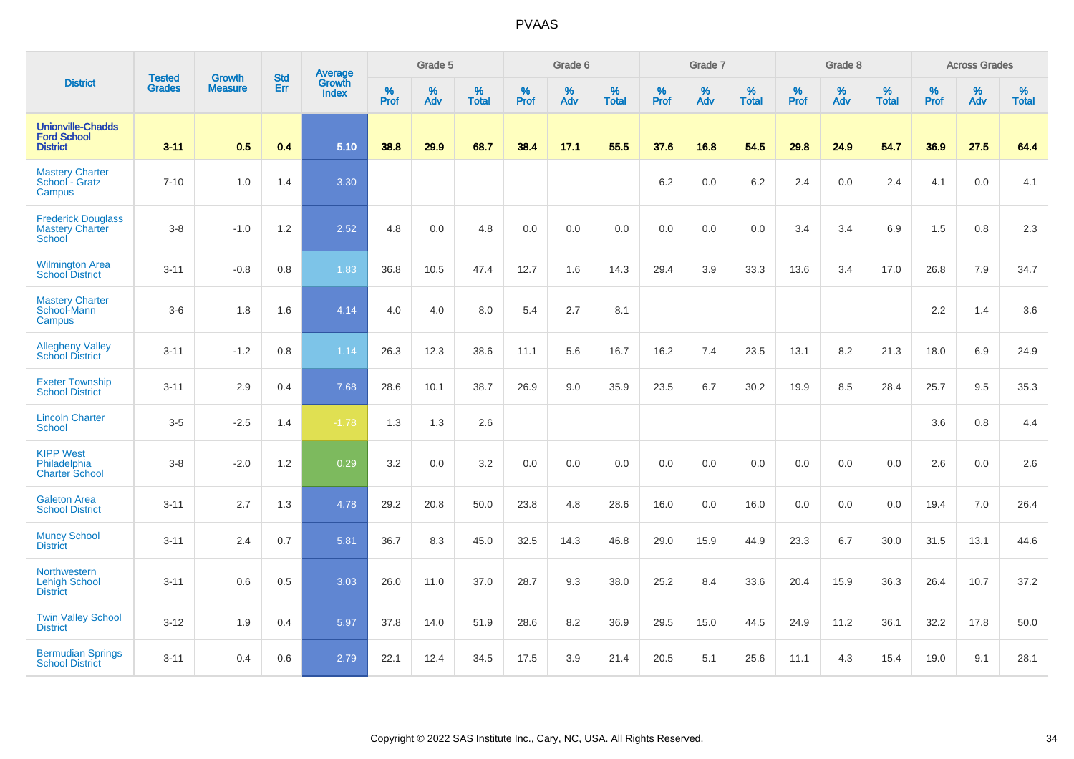|                                                                   |                                |                                 | <b>Std</b> | Average                |              | Grade 5  |                   |           | Grade 6  |                   |           | Grade 7  |                   |           | Grade 8  |                   |           | <b>Across Grades</b> |                   |
|-------------------------------------------------------------------|--------------------------------|---------------------------------|------------|------------------------|--------------|----------|-------------------|-----------|----------|-------------------|-----------|----------|-------------------|-----------|----------|-------------------|-----------|----------------------|-------------------|
| <b>District</b>                                                   | <b>Tested</b><br><b>Grades</b> | <b>Growth</b><br><b>Measure</b> | Err        | Growth<br><b>Index</b> | $\%$<br>Prof | %<br>Adv | %<br><b>Total</b> | %<br>Prof | %<br>Adv | %<br><b>Total</b> | %<br>Prof | %<br>Adv | %<br><b>Total</b> | %<br>Prof | %<br>Adv | %<br><b>Total</b> | %<br>Prof | %<br>Adv             | %<br><b>Total</b> |
| <b>Unionville-Chadds</b><br><b>Ford School</b><br><b>District</b> | $3 - 11$                       | 0.5                             | 0.4        | 5.10                   | 38.8         | 29.9     | 68.7              | 38.4      | 17.1     | 55.5              | 37.6      | 16.8     | 54.5              | 29.8      | 24.9     | 54.7              | 36.9      | 27.5                 | 64.4              |
| <b>Mastery Charter</b><br>School - Gratz<br>Campus                | $7 - 10$                       | 1.0                             | 1.4        | 3.30                   |              |          |                   |           |          |                   | 6.2       | 0.0      | 6.2               | 2.4       | 0.0      | 2.4               | 4.1       | 0.0                  | 4.1               |
| <b>Frederick Douglass</b><br><b>Mastery Charter</b><br>School     | $3-8$                          | $-1.0$                          | 1.2        | 2.52                   | 4.8          | 0.0      | 4.8               | 0.0       | 0.0      | 0.0               | 0.0       | 0.0      | 0.0               | 3.4       | 3.4      | 6.9               | 1.5       | 0.8                  | 2.3               |
| <b>Wilmington Area</b><br><b>School District</b>                  | $3 - 11$                       | $-0.8$                          | 0.8        | 1.83                   | 36.8         | 10.5     | 47.4              | 12.7      | 1.6      | 14.3              | 29.4      | 3.9      | 33.3              | 13.6      | 3.4      | 17.0              | 26.8      | 7.9                  | 34.7              |
| <b>Mastery Charter</b><br>School-Mann<br>Campus                   | $3-6$                          | 1.8                             | 1.6        | 4.14                   | 4.0          | 4.0      | 8.0               | 5.4       | 2.7      | 8.1               |           |          |                   |           |          |                   | 2.2       | 1.4                  | 3.6               |
| <b>Allegheny Valley</b><br><b>School District</b>                 | $3 - 11$                       | $-1.2$                          | 0.8        | 1.14                   | 26.3         | 12.3     | 38.6              | 11.1      | 5.6      | 16.7              | 16.2      | 7.4      | 23.5              | 13.1      | 8.2      | 21.3              | 18.0      | 6.9                  | 24.9              |
| <b>Exeter Township</b><br><b>School District</b>                  | $3 - 11$                       | 2.9                             | 0.4        | 7.68                   | 28.6         | 10.1     | 38.7              | 26.9      | 9.0      | 35.9              | 23.5      | $6.7\,$  | 30.2              | 19.9      | 8.5      | 28.4              | 25.7      | 9.5                  | 35.3              |
| <b>Lincoln Charter</b><br><b>School</b>                           | $3-5$                          | $-2.5$                          | 1.4        | $-1.78$                | 1.3          | 1.3      | 2.6               |           |          |                   |           |          |                   |           |          |                   | 3.6       | 0.8                  | 4.4               |
| <b>KIPP West</b><br>Philadelphia<br><b>Charter School</b>         | $3-8$                          | $-2.0$                          | 1.2        | 0.29                   | 3.2          | 0.0      | 3.2               | 0.0       | 0.0      | 0.0               | 0.0       | 0.0      | 0.0               | 0.0       | 0.0      | 0.0               | 2.6       | 0.0                  | 2.6               |
| <b>Galeton Area</b><br><b>School District</b>                     | $3 - 11$                       | 2.7                             | 1.3        | 4.78                   | 29.2         | 20.8     | 50.0              | 23.8      | 4.8      | 28.6              | 16.0      | 0.0      | 16.0              | 0.0       | 0.0      | 0.0               | 19.4      | 7.0                  | 26.4              |
| <b>Muncy School</b><br><b>District</b>                            | $3 - 11$                       | 2.4                             | 0.7        | 5.81                   | 36.7         | 8.3      | 45.0              | 32.5      | 14.3     | 46.8              | 29.0      | 15.9     | 44.9              | 23.3      | 6.7      | 30.0              | 31.5      | 13.1                 | 44.6              |
| <b>Northwestern</b><br>Lehigh School<br><b>District</b>           | $3 - 11$                       | 0.6                             | 0.5        | 3.03                   | 26.0         | 11.0     | 37.0              | 28.7      | 9.3      | 38.0              | 25.2      | 8.4      | 33.6              | 20.4      | 15.9     | 36.3              | 26.4      | 10.7                 | 37.2              |
| <b>Twin Valley School</b><br><b>District</b>                      | $3 - 12$                       | 1.9                             | 0.4        | 5.97                   | 37.8         | 14.0     | 51.9              | 28.6      | 8.2      | 36.9              | 29.5      | 15.0     | 44.5              | 24.9      | 11.2     | 36.1              | 32.2      | 17.8                 | 50.0              |
| <b>Bermudian Springs</b><br><b>School District</b>                | $3 - 11$                       | 0.4                             | 0.6        | 2.79                   | 22.1         | 12.4     | 34.5              | 17.5      | 3.9      | 21.4              | 20.5      | 5.1      | 25.6              | 11.1      | 4.3      | 15.4              | 19.0      | 9.1                  | 28.1              |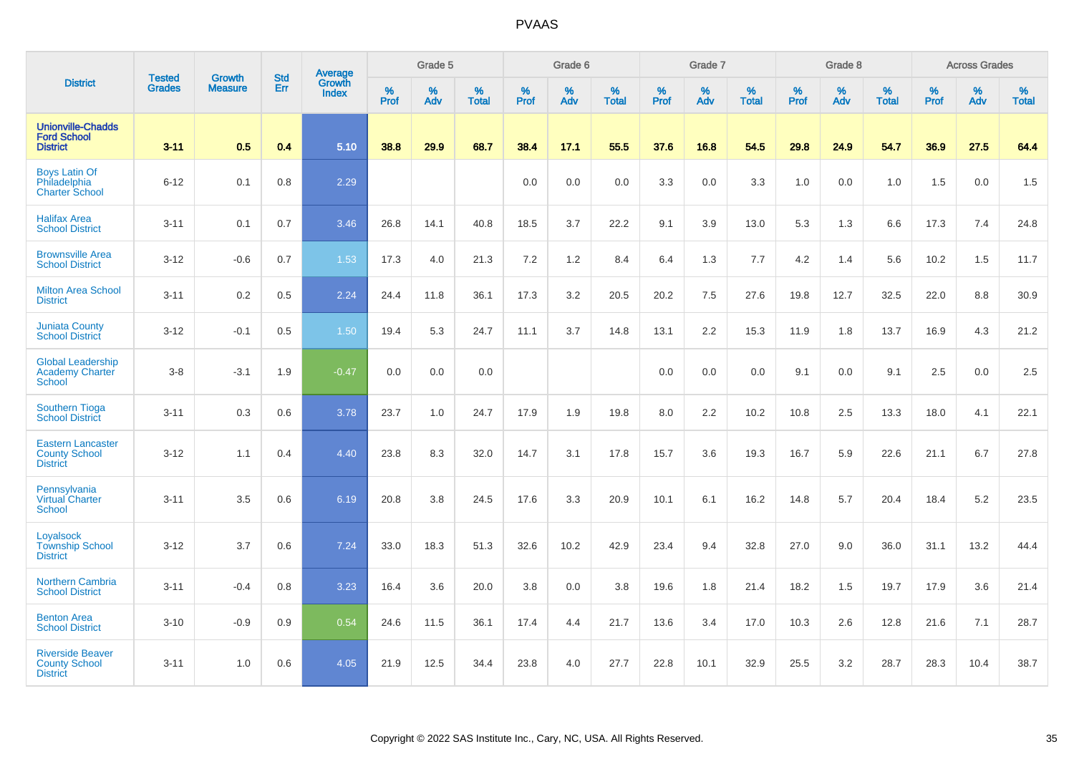|                                                                     |                                |                                 | <b>Std</b> | Average                |              | Grade 5  |                   |           | Grade 6  |                   |           | Grade 7  |                   |           | Grade 8  |                   |           | <b>Across Grades</b> |                   |
|---------------------------------------------------------------------|--------------------------------|---------------------------------|------------|------------------------|--------------|----------|-------------------|-----------|----------|-------------------|-----------|----------|-------------------|-----------|----------|-------------------|-----------|----------------------|-------------------|
| <b>District</b>                                                     | <b>Tested</b><br><b>Grades</b> | <b>Growth</b><br><b>Measure</b> | Err        | Growth<br><b>Index</b> | $\%$<br>Prof | %<br>Adv | %<br><b>Total</b> | %<br>Prof | %<br>Adv | %<br><b>Total</b> | %<br>Prof | %<br>Adv | %<br><b>Total</b> | %<br>Prof | %<br>Adv | %<br><b>Total</b> | %<br>Prof | %<br>Adv             | %<br><b>Total</b> |
| <b>Unionville-Chadds</b><br><b>Ford School</b><br><b>District</b>   | $3 - 11$                       | 0.5                             | 0.4        | 5.10                   | 38.8         | 29.9     | 68.7              | 38.4      | 17.1     | 55.5              | 37.6      | 16.8     | 54.5              | 29.8      | 24.9     | 54.7              | 36.9      | 27.5                 | 64.4              |
| <b>Boys Latin Of</b><br>Philadelphia<br><b>Charter School</b>       | $6 - 12$                       | 0.1                             | 0.8        | 2.29                   |              |          |                   | 0.0       | 0.0      | 0.0               | 3.3       | 0.0      | 3.3               | 1.0       | 0.0      | 1.0               | 1.5       | 0.0                  | 1.5               |
| <b>Halifax Area</b><br><b>School District</b>                       | $3 - 11$                       | 0.1                             | 0.7        | 3.46                   | 26.8         | 14.1     | 40.8              | 18.5      | 3.7      | 22.2              | 9.1       | 3.9      | 13.0              | 5.3       | 1.3      | 6.6               | 17.3      | 7.4                  | 24.8              |
| <b>Brownsville Area</b><br><b>School District</b>                   | $3 - 12$                       | $-0.6$                          | 0.7        | 1.53                   | 17.3         | 4.0      | 21.3              | 7.2       | $1.2$    | 8.4               | 6.4       | 1.3      | 7.7               | 4.2       | 1.4      | 5.6               | 10.2      | 1.5                  | 11.7              |
| <b>Milton Area School</b><br><b>District</b>                        | $3 - 11$                       | 0.2                             | 0.5        | 2.24                   | 24.4         | 11.8     | 36.1              | 17.3      | 3.2      | 20.5              | 20.2      | 7.5      | 27.6              | 19.8      | 12.7     | 32.5              | 22.0      | 8.8                  | 30.9              |
| <b>Juniata County</b><br><b>School District</b>                     | $3 - 12$                       | $-0.1$                          | 0.5        | 1.50                   | 19.4         | 5.3      | 24.7              | 11.1      | 3.7      | 14.8              | 13.1      | 2.2      | 15.3              | 11.9      | 1.8      | 13.7              | 16.9      | 4.3                  | 21.2              |
| <b>Global Leadership</b><br><b>Academy Charter</b><br>School        | $3-8$                          | $-3.1$                          | 1.9        | $-0.47$                | 0.0          | 0.0      | 0.0               |           |          |                   | 0.0       | 0.0      | 0.0               | 9.1       | 0.0      | 9.1               | 2.5       | 0.0                  | 2.5               |
| <b>Southern Tioga</b><br><b>School District</b>                     | $3 - 11$                       | 0.3                             | 0.6        | 3.78                   | 23.7         | 1.0      | 24.7              | 17.9      | 1.9      | 19.8              | 8.0       | 2.2      | 10.2              | 10.8      | 2.5      | 13.3              | 18.0      | 4.1                  | 22.1              |
| <b>Eastern Lancaster</b><br><b>County School</b><br><b>District</b> | $3 - 12$                       | 1.1                             | 0.4        | 4.40                   | 23.8         | 8.3      | 32.0              | 14.7      | 3.1      | 17.8              | 15.7      | 3.6      | 19.3              | 16.7      | 5.9      | 22.6              | 21.1      | 6.7                  | 27.8              |
| Pennsylvania<br><b>Virtual Charter</b><br><b>School</b>             | $3 - 11$                       | 3.5                             | 0.6        | 6.19                   | 20.8         | 3.8      | 24.5              | 17.6      | 3.3      | 20.9              | 10.1      | 6.1      | 16.2              | 14.8      | 5.7      | 20.4              | 18.4      | 5.2                  | 23.5              |
| Loyalsock<br><b>Township School</b><br><b>District</b>              | $3 - 12$                       | 3.7                             | 0.6        | 7.24                   | 33.0         | 18.3     | 51.3              | 32.6      | 10.2     | 42.9              | 23.4      | 9.4      | 32.8              | 27.0      | 9.0      | 36.0              | 31.1      | 13.2                 | 44.4              |
| <b>Northern Cambria</b><br><b>School District</b>                   | $3 - 11$                       | $-0.4$                          | 0.8        | 3.23                   | 16.4         | 3.6      | 20.0              | 3.8       | 0.0      | 3.8               | 19.6      | 1.8      | 21.4              | 18.2      | 1.5      | 19.7              | 17.9      | 3.6                  | 21.4              |
| <b>Benton Area</b><br><b>School District</b>                        | $3 - 10$                       | $-0.9$                          | 0.9        | 0.54                   | 24.6         | 11.5     | 36.1              | 17.4      | 4.4      | 21.7              | 13.6      | 3.4      | 17.0              | 10.3      | 2.6      | 12.8              | 21.6      | 7.1                  | 28.7              |
| <b>Riverside Beaver</b><br><b>County School</b><br><b>District</b>  | $3 - 11$                       | 1.0                             | 0.6        | 4.05                   | 21.9         | 12.5     | 34.4              | 23.8      | 4.0      | 27.7              | 22.8      | 10.1     | 32.9              | 25.5      | 3.2      | 28.7              | 28.3      | 10.4                 | 38.7              |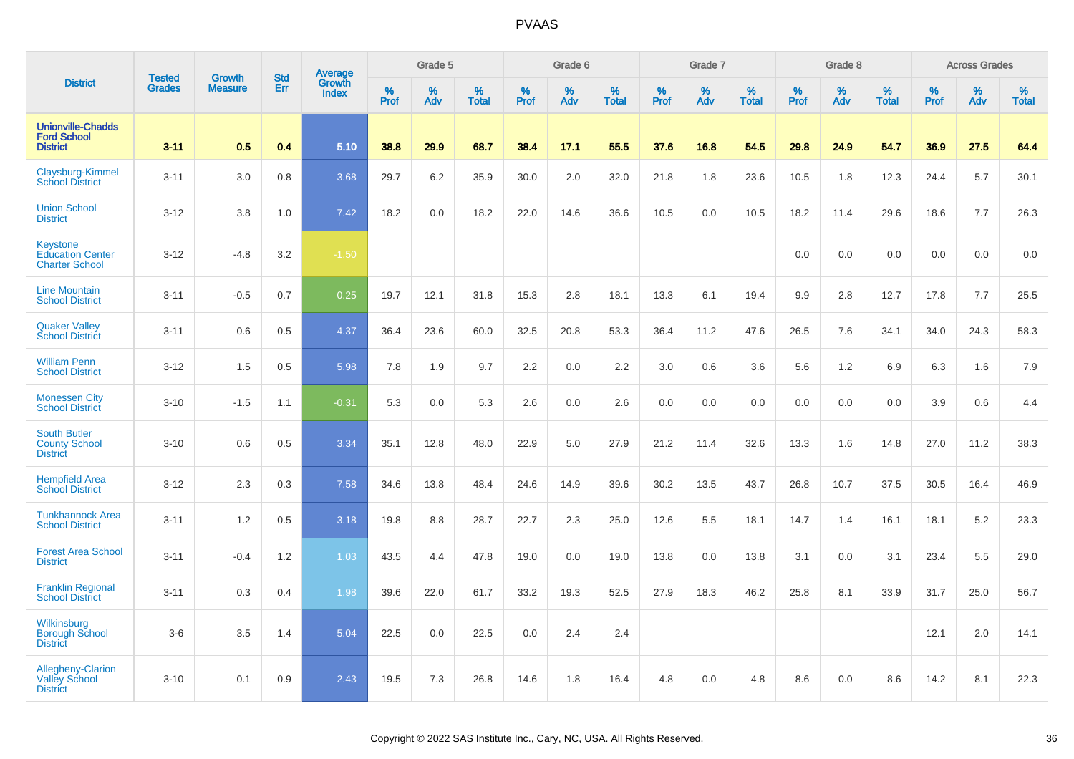|                                                                     |                                |                                 | <b>Std</b> | Average                |              | Grade 5  |                   |           | Grade 6  |                   |           | Grade 7  |                   |           | Grade 8  |                   |              | <b>Across Grades</b> |                   |
|---------------------------------------------------------------------|--------------------------------|---------------------------------|------------|------------------------|--------------|----------|-------------------|-----------|----------|-------------------|-----------|----------|-------------------|-----------|----------|-------------------|--------------|----------------------|-------------------|
| <b>District</b>                                                     | <b>Tested</b><br><b>Grades</b> | <b>Growth</b><br><b>Measure</b> | Err        | Growth<br><b>Index</b> | $\%$<br>Prof | %<br>Adv | %<br><b>Total</b> | %<br>Prof | %<br>Adv | %<br><b>Total</b> | %<br>Prof | %<br>Adv | %<br><b>Total</b> | %<br>Prof | %<br>Adv | %<br><b>Total</b> | $\%$<br>Prof | %<br>Adv             | %<br><b>Total</b> |
| <b>Unionville-Chadds</b><br><b>Ford School</b><br><b>District</b>   | $3 - 11$                       | 0.5                             | 0.4        | 5.10                   | 38.8         | 29.9     | 68.7              | 38.4      | 17.1     | 55.5              | 37.6      | 16.8     | 54.5              | 29.8      | 24.9     | 54.7              | 36.9         | 27.5                 | 64.4              |
| Claysburg-Kimmel<br><b>School District</b>                          | $3 - 11$                       | 3.0                             | 0.8        | 3.68                   | 29.7         | 6.2      | 35.9              | 30.0      | 2.0      | 32.0              | 21.8      | 1.8      | 23.6              | 10.5      | 1.8      | 12.3              | 24.4         | 5.7                  | 30.1              |
| <b>Union School</b><br><b>District</b>                              | $3 - 12$                       | 3.8                             | 1.0        | 7.42                   | 18.2         | 0.0      | 18.2              | 22.0      | 14.6     | 36.6              | 10.5      | 0.0      | 10.5              | 18.2      | 11.4     | 29.6              | 18.6         | 7.7                  | 26.3              |
| <b>Keystone</b><br><b>Education Center</b><br><b>Charter School</b> | $3 - 12$                       | $-4.8$                          | 3.2        | $-1.50$                |              |          |                   |           |          |                   |           |          |                   | 0.0       | 0.0      | 0.0               | 0.0          | 0.0                  | 0.0               |
| <b>Line Mountain</b><br><b>School District</b>                      | $3 - 11$                       | $-0.5$                          | 0.7        | 0.25                   | 19.7         | 12.1     | 31.8              | 15.3      | 2.8      | 18.1              | 13.3      | 6.1      | 19.4              | 9.9       | 2.8      | 12.7              | 17.8         | 7.7                  | 25.5              |
| <b>Quaker Valley</b><br><b>School District</b>                      | $3 - 11$                       | 0.6                             | 0.5        | 4.37                   | 36.4         | 23.6     | 60.0              | 32.5      | 20.8     | 53.3              | 36.4      | 11.2     | 47.6              | 26.5      | 7.6      | 34.1              | 34.0         | 24.3                 | 58.3              |
| <b>William Penn</b><br><b>School District</b>                       | $3 - 12$                       | 1.5                             | 0.5        | 5.98                   | 7.8          | 1.9      | 9.7               | 2.2       | 0.0      | 2.2               | 3.0       | 0.6      | 3.6               | 5.6       | 1.2      | 6.9               | 6.3          | 1.6                  | 7.9               |
| <b>Monessen City</b><br><b>School District</b>                      | $3 - 10$                       | $-1.5$                          | 1.1        | $-0.31$                | 5.3          | 0.0      | 5.3               | 2.6       | 0.0      | 2.6               | 0.0       | 0.0      | 0.0               | 0.0       | 0.0      | 0.0               | 3.9          | 0.6                  | 4.4               |
| <b>South Butler</b><br><b>County School</b><br><b>District</b>      | $3 - 10$                       | 0.6                             | 0.5        | 3.34                   | 35.1         | 12.8     | 48.0              | 22.9      | 5.0      | 27.9              | 21.2      | 11.4     | 32.6              | 13.3      | 1.6      | 14.8              | 27.0         | 11.2                 | 38.3              |
| <b>Hempfield Area</b><br><b>School District</b>                     | $3 - 12$                       | 2.3                             | 0.3        | 7.58                   | 34.6         | 13.8     | 48.4              | 24.6      | 14.9     | 39.6              | 30.2      | 13.5     | 43.7              | 26.8      | 10.7     | 37.5              | 30.5         | 16.4                 | 46.9              |
| <b>Tunkhannock Area</b><br><b>School District</b>                   | $3 - 11$                       | 1.2                             | 0.5        | 3.18                   | 19.8         | 8.8      | 28.7              | 22.7      | 2.3      | 25.0              | 12.6      | 5.5      | 18.1              | 14.7      | 1.4      | 16.1              | 18.1         | 5.2                  | 23.3              |
| <b>Forest Area School</b><br><b>District</b>                        | $3 - 11$                       | $-0.4$                          | 1.2        | 1.03                   | 43.5         | 4.4      | 47.8              | 19.0      | 0.0      | 19.0              | 13.8      | 0.0      | 13.8              | 3.1       | 0.0      | 3.1               | 23.4         | 5.5                  | 29.0              |
| <b>Franklin Regional</b><br><b>School District</b>                  | $3 - 11$                       | 0.3                             | 0.4        | 1.98                   | 39.6         | 22.0     | 61.7              | 33.2      | 19.3     | 52.5              | 27.9      | 18.3     | 46.2              | 25.8      | 8.1      | 33.9              | 31.7         | 25.0                 | 56.7              |
| Wilkinsburg<br><b>Borough School</b><br><b>District</b>             | $3-6$                          | 3.5                             | 1.4        | 5.04                   | 22.5         | 0.0      | 22.5              | 0.0       | 2.4      | 2.4               |           |          |                   |           |          |                   | 12.1         | 2.0                  | 14.1              |
| Allegheny-Clarion<br>Valley School<br><b>District</b>               | $3 - 10$                       | 0.1                             | 0.9        | 2.43                   | 19.5         | 7.3      | 26.8              | 14.6      | 1.8      | 16.4              | 4.8       | 0.0      | 4.8               | 8.6       | 0.0      | 8.6               | 14.2         | 8.1                  | 22.3              |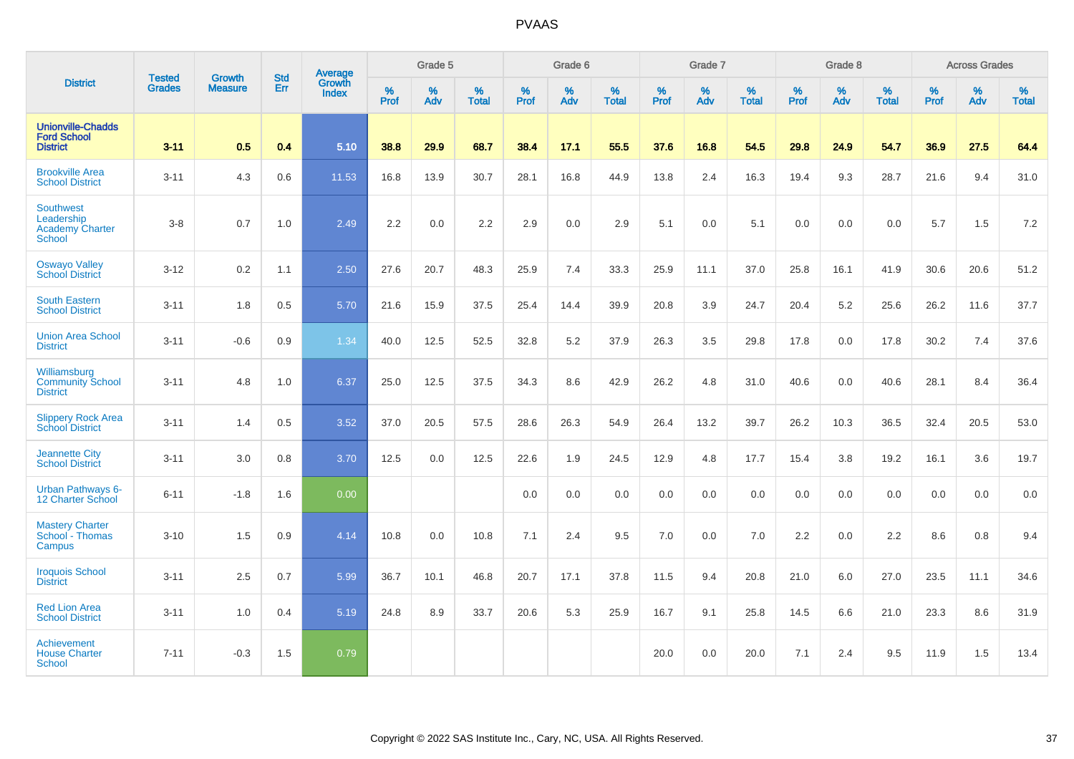|                                                                    |                                |                                 | <b>Std</b> | Average                |              | Grade 5  |                   |           | Grade 6  |                   |           | Grade 7  |                   |           | Grade 8  |                   |           | <b>Across Grades</b> |                   |
|--------------------------------------------------------------------|--------------------------------|---------------------------------|------------|------------------------|--------------|----------|-------------------|-----------|----------|-------------------|-----------|----------|-------------------|-----------|----------|-------------------|-----------|----------------------|-------------------|
| <b>District</b>                                                    | <b>Tested</b><br><b>Grades</b> | <b>Growth</b><br><b>Measure</b> | Err        | Growth<br><b>Index</b> | $\%$<br>Prof | %<br>Adv | %<br><b>Total</b> | %<br>Prof | %<br>Adv | %<br><b>Total</b> | %<br>Prof | %<br>Adv | %<br><b>Total</b> | %<br>Prof | %<br>Adv | %<br><b>Total</b> | %<br>Prof | %<br>Adv             | %<br><b>Total</b> |
| <b>Unionville-Chadds</b><br><b>Ford School</b><br><b>District</b>  | $3 - 11$                       | 0.5                             | 0.4        | 5.10                   | 38.8         | 29.9     | 68.7              | 38.4      | 17.1     | 55.5              | 37.6      | 16.8     | 54.5              | 29.8      | 24.9     | 54.7              | 36.9      | 27.5                 | 64.4              |
| <b>Brookville Area</b><br><b>School District</b>                   | $3 - 11$                       | 4.3                             | 0.6        | 11.53                  | 16.8         | 13.9     | 30.7              | 28.1      | 16.8     | 44.9              | 13.8      | 2.4      | 16.3              | 19.4      | 9.3      | 28.7              | 21.6      | 9.4                  | 31.0              |
| Southwest<br>Leadership<br><b>Academy Charter</b><br><b>School</b> | $3 - 8$                        | 0.7                             | 1.0        | 2.49                   | 2.2          | 0.0      | 2.2               | 2.9       | 0.0      | 2.9               | 5.1       | 0.0      | 5.1               | 0.0       | 0.0      | 0.0               | 5.7       | 1.5                  | 7.2               |
| <b>Oswayo Valley</b><br><b>School District</b>                     | $3 - 12$                       | 0.2                             | 1.1        | 2.50                   | 27.6         | 20.7     | 48.3              | 25.9      | 7.4      | 33.3              | 25.9      | 11.1     | 37.0              | 25.8      | 16.1     | 41.9              | 30.6      | 20.6                 | 51.2              |
| <b>South Eastern</b><br><b>School District</b>                     | $3 - 11$                       | 1.8                             | 0.5        | 5.70                   | 21.6         | 15.9     | 37.5              | 25.4      | 14.4     | 39.9              | 20.8      | 3.9      | 24.7              | 20.4      | 5.2      | 25.6              | 26.2      | 11.6                 | 37.7              |
| <b>Union Area School</b><br><b>District</b>                        | $3 - 11$                       | $-0.6$                          | 0.9        | 1.34                   | 40.0         | 12.5     | 52.5              | 32.8      | 5.2      | 37.9              | 26.3      | 3.5      | 29.8              | 17.8      | 0.0      | 17.8              | 30.2      | 7.4                  | 37.6              |
| Williamsburg<br><b>Community School</b><br><b>District</b>         | $3 - 11$                       | 4.8                             | 1.0        | 6.37                   | 25.0         | 12.5     | 37.5              | 34.3      | 8.6      | 42.9              | 26.2      | 4.8      | 31.0              | 40.6      | 0.0      | 40.6              | 28.1      | 8.4                  | 36.4              |
| <b>Slippery Rock Area</b><br><b>School District</b>                | $3 - 11$                       | 1.4                             | 0.5        | 3.52                   | 37.0         | 20.5     | 57.5              | 28.6      | 26.3     | 54.9              | 26.4      | 13.2     | 39.7              | 26.2      | 10.3     | 36.5              | 32.4      | 20.5                 | 53.0              |
| <b>Jeannette City</b><br><b>School District</b>                    | $3 - 11$                       | 3.0                             | 0.8        | 3.70                   | 12.5         | 0.0      | 12.5              | 22.6      | 1.9      | 24.5              | 12.9      | 4.8      | 17.7              | 15.4      | 3.8      | 19.2              | 16.1      | 3.6                  | 19.7              |
| <b>Urban Pathways 6-</b><br>12 Charter School                      | $6 - 11$                       | $-1.8$                          | 1.6        | 0.00                   |              |          |                   | 0.0       | 0.0      | 0.0               | 0.0       | 0.0      | 0.0               | 0.0       | 0.0      | 0.0               | 0.0       | 0.0                  | 0.0               |
| <b>Mastery Charter</b><br>School - Thomas<br>Campus                | $3 - 10$                       | 1.5                             | 0.9        | 4.14                   | 10.8         | 0.0      | 10.8              | 7.1       | 2.4      | 9.5               | 7.0       | 0.0      | 7.0               | 2.2       | 0.0      | 2.2               | 8.6       | 0.8                  | 9.4               |
| <b>Iroquois School</b><br><b>District</b>                          | $3 - 11$                       | 2.5                             | 0.7        | 5.99                   | 36.7         | 10.1     | 46.8              | 20.7      | 17.1     | 37.8              | 11.5      | 9.4      | 20.8              | 21.0      | 6.0      | 27.0              | 23.5      | 11.1                 | 34.6              |
| <b>Red Lion Area</b><br><b>School District</b>                     | $3 - 11$                       | 1.0                             | 0.4        | 5.19                   | 24.8         | 8.9      | 33.7              | 20.6      | 5.3      | 25.9              | 16.7      | 9.1      | 25.8              | 14.5      | 6.6      | 21.0              | 23.3      | 8.6                  | 31.9              |
| Achievement<br><b>House Charter</b><br>School                      | $7 - 11$                       | $-0.3$                          | 1.5        | 0.79                   |              |          |                   |           |          |                   | 20.0      | 0.0      | 20.0              | 7.1       | 2.4      | 9.5               | 11.9      | 1.5                  | 13.4              |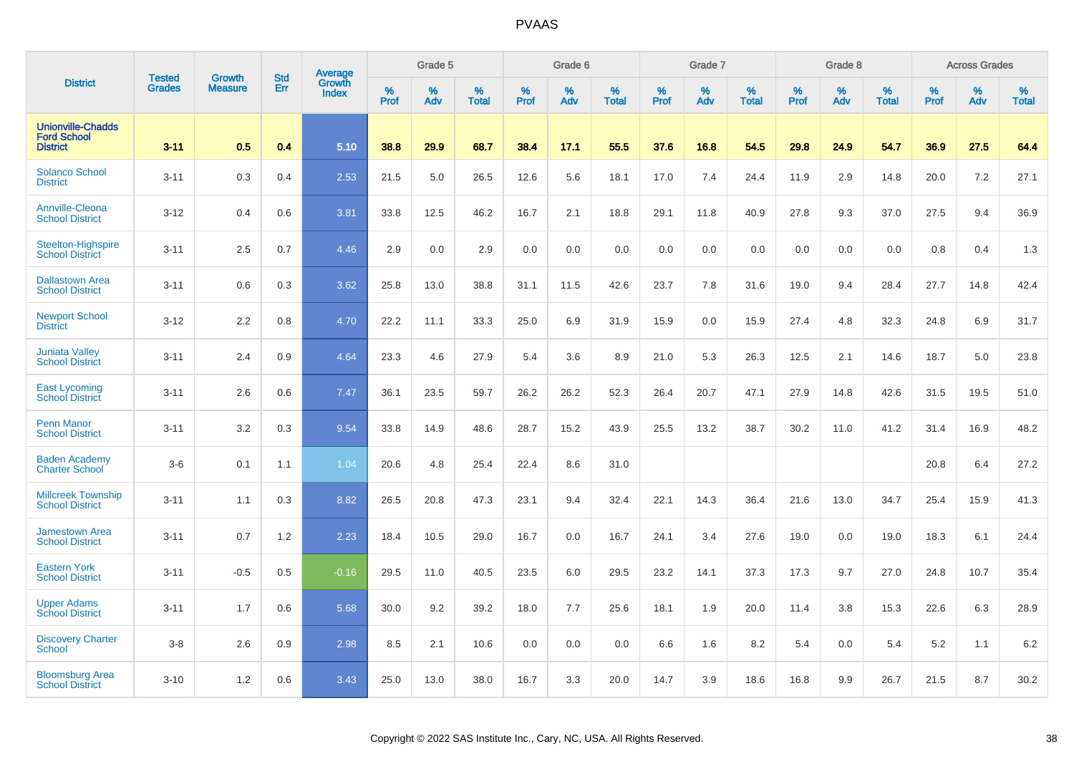|                                                                   |                         | <b>Growth</b>  | <b>Std</b> | Average                |                     | Grade 5  |                      |              | Grade 6  |                      |                     | Grade 7     |                      |                     | Grade 8     |                      |              | <b>Across Grades</b> |                   |
|-------------------------------------------------------------------|-------------------------|----------------|------------|------------------------|---------------------|----------|----------------------|--------------|----------|----------------------|---------------------|-------------|----------------------|---------------------|-------------|----------------------|--------------|----------------------|-------------------|
| <b>District</b>                                                   | <b>Tested</b><br>Grades | <b>Measure</b> | Err        | Growth<br><b>Index</b> | $\%$<br><b>Prof</b> | %<br>Adv | $\%$<br><b>Total</b> | $\%$<br>Prof | %<br>Adv | $\%$<br><b>Total</b> | $\%$<br><b>Prof</b> | $\%$<br>Adv | $\%$<br><b>Total</b> | $\%$<br><b>Prof</b> | $\%$<br>Adv | $\%$<br><b>Total</b> | $\%$<br>Prof | %<br>Adv             | %<br><b>Total</b> |
| <b>Unionville-Chadds</b><br><b>Ford School</b><br><b>District</b> | $3 - 11$                | 0.5            | 0.4        | 5.10                   | 38.8                | 29.9     | 68.7                 | 38.4         | 17.1     | 55.5                 | 37.6                | 16.8        | 54.5                 | 29.8                | 24.9        | 54.7                 | 36.9         | 27.5                 | 64.4              |
| <b>Solanco School</b><br><b>District</b>                          | $3 - 11$                | 0.3            | 0.4        | 2.53                   | 21.5                | 5.0      | 26.5                 | 12.6         | 5.6      | 18.1                 | 17.0                | 7.4         | 24.4                 | 11.9                | 2.9         | 14.8                 | 20.0         | 7.2                  | 27.1              |
| Annville-Cleona<br><b>School District</b>                         | $3 - 12$                | 0.4            | 0.6        | 3.81                   | 33.8                | 12.5     | 46.2                 | 16.7         | 2.1      | 18.8                 | 29.1                | 11.8        | 40.9                 | 27.8                | 9.3         | 37.0                 | 27.5         | 9.4                  | 36.9              |
| Steelton-Highspire<br><b>School District</b>                      | $3 - 11$                | 2.5            | 0.7        | 4.46                   | 2.9                 | 0.0      | 2.9                  | 0.0          | 0.0      | 0.0                  | 0.0                 | 0.0         | 0.0                  | 0.0                 | 0.0         | 0.0                  | 0.8          | 0.4                  | 1.3               |
| <b>Dallastown Area</b><br><b>School District</b>                  | $3 - 11$                | 0.6            | 0.3        | 3.62                   | 25.8                | 13.0     | 38.8                 | 31.1         | 11.5     | 42.6                 | 23.7                | 7.8         | 31.6                 | 19.0                | 9.4         | 28.4                 | 27.7         | 14.8                 | 42.4              |
| <b>Newport School</b><br><b>District</b>                          | $3 - 12$                | 2.2            | 0.8        | 4.70                   | 22.2                | 11.1     | 33.3                 | 25.0         | 6.9      | 31.9                 | 15.9                | 0.0         | 15.9                 | 27.4                | 4.8         | 32.3                 | 24.8         | 6.9                  | 31.7              |
| <b>Juniata Valley</b><br><b>School District</b>                   | $3 - 11$                | 2.4            | 0.9        | 4.64                   | 23.3                | 4.6      | 27.9                 | 5.4          | 3.6      | 8.9                  | 21.0                | 5.3         | 26.3                 | 12.5                | 2.1         | 14.6                 | 18.7         | 5.0                  | 23.8              |
| <b>East Lycoming</b><br><b>School District</b>                    | $3 - 11$                | 2.6            | 0.6        | 7.47                   | 36.1                | 23.5     | 59.7                 | 26.2         | 26.2     | 52.3                 | 26.4                | 20.7        | 47.1                 | 27.9                | 14.8        | 42.6                 | 31.5         | 19.5                 | 51.0              |
| <b>Penn Manor</b><br><b>School District</b>                       | $3 - 11$                | 3.2            | 0.3        | 9.54                   | 33.8                | 14.9     | 48.6                 | 28.7         | 15.2     | 43.9                 | 25.5                | 13.2        | 38.7                 | 30.2                | 11.0        | 41.2                 | 31.4         | 16.9                 | 48.2              |
| <b>Baden Academy</b><br><b>Charter School</b>                     | $3-6$                   | 0.1            | 1.1        | 1.04                   | 20.6                | 4.8      | 25.4                 | 22.4         | 8.6      | 31.0                 |                     |             |                      |                     |             |                      | 20.8         | 6.4                  | 27.2              |
| <b>Millcreek Township</b><br><b>School District</b>               | $3 - 11$                | 1.1            | 0.3        | 8.82                   | 26.5                | 20.8     | 47.3                 | 23.1         | 9.4      | 32.4                 | 22.1                | 14.3        | 36.4                 | 21.6                | 13.0        | 34.7                 | 25.4         | 15.9                 | 41.3              |
| <b>Jamestown Area</b><br><b>School District</b>                   | $3 - 11$                | 0.7            | 1.2        | 2.23                   | 18.4                | 10.5     | 29.0                 | 16.7         | 0.0      | 16.7                 | 24.1                | 3.4         | 27.6                 | 19.0                | 0.0         | 19.0                 | 18.3         | 6.1                  | 24.4              |
| <b>Eastern York</b><br><b>School District</b>                     | $3 - 11$                | $-0.5$         | 0.5        | $-0.16$                | 29.5                | 11.0     | 40.5                 | 23.5         | 6.0      | 29.5                 | 23.2                | 14.1        | 37.3                 | 17.3                | 9.7         | 27.0                 | 24.8         | 10.7                 | 35.4              |
| <b>Upper Adams</b><br><b>School District</b>                      | $3 - 11$                | 1.7            | 0.6        | 5.68                   | 30.0                | 9.2      | 39.2                 | 18.0         | 7.7      | 25.6                 | 18.1                | 1.9         | 20.0                 | 11.4                | 3.8         | 15.3                 | 22.6         | 6.3                  | 28.9              |
| <b>Discovery Charter</b><br><b>School</b>                         | $3-8$                   | 2.6            | 0.9        | 2.98                   | 8.5                 | 2.1      | 10.6                 | 0.0          | 0.0      | 0.0                  | 6.6                 | 1.6         | 8.2                  | 5.4                 | 0.0         | 5.4                  | 5.2          | 1.1                  | 6.2               |
| <b>Bloomsburg Area</b><br><b>School District</b>                  | $3 - 10$                | 1.2            | 0.6        | 3.43                   | 25.0                | 13.0     | 38.0                 | 16.7         | 3.3      | 20.0                 | 14.7                | 3.9         | 18.6                 | 16.8                | 9.9         | 26.7                 | 21.5         | 8.7                  | 30.2              |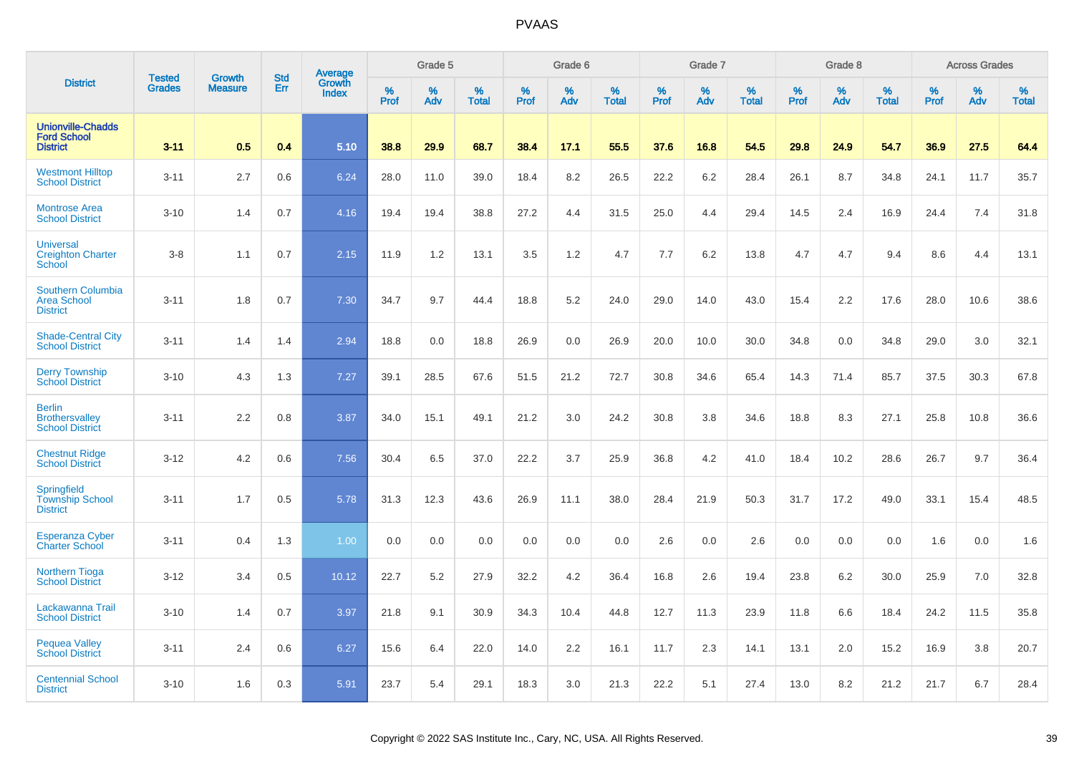|                                                                   | <b>Tested</b> | <b>Growth</b>  | <b>Std</b> | <b>Average</b><br>Growth |              | Grade 5  |                   |           | Grade 6  |                   |           | Grade 7  |                   |                  | Grade 8  |                   |           | <b>Across Grades</b> |                   |
|-------------------------------------------------------------------|---------------|----------------|------------|--------------------------|--------------|----------|-------------------|-----------|----------|-------------------|-----------|----------|-------------------|------------------|----------|-------------------|-----------|----------------------|-------------------|
| <b>District</b>                                                   | <b>Grades</b> | <b>Measure</b> | Err        | <b>Index</b>             | $\%$<br>Prof | %<br>Adv | %<br><b>Total</b> | %<br>Prof | %<br>Adv | %<br><b>Total</b> | %<br>Prof | %<br>Adv | %<br><b>Total</b> | %<br><b>Prof</b> | %<br>Adv | %<br><b>Total</b> | %<br>Prof | %<br>Adv             | %<br><b>Total</b> |
| <b>Unionville-Chadds</b><br><b>Ford School</b><br><b>District</b> | $3 - 11$      | 0.5            | 0.4        | 5.10                     | 38.8         | 29.9     | 68.7              | 38.4      | 17.1     | 55.5              | 37.6      | 16.8     | 54.5              | 29.8             | 24.9     | 54.7              | 36.9      | 27.5                 | 64.4              |
| <b>Westmont Hilltop</b><br><b>School District</b>                 | $3 - 11$      | 2.7            | 0.6        | 6.24                     | 28.0         | 11.0     | 39.0              | 18.4      | 8.2      | 26.5              | 22.2      | 6.2      | 28.4              | 26.1             | 8.7      | 34.8              | 24.1      | 11.7                 | 35.7              |
| <b>Montrose Area</b><br><b>School District</b>                    | $3 - 10$      | 1.4            | 0.7        | 4.16                     | 19.4         | 19.4     | 38.8              | 27.2      | 4.4      | 31.5              | 25.0      | 4.4      | 29.4              | 14.5             | 2.4      | 16.9              | 24.4      | 7.4                  | 31.8              |
| <b>Universal</b><br><b>Creighton Charter</b><br>School            | $3-8$         | 1.1            | 0.7        | 2.15                     | 11.9         | 1.2      | 13.1              | 3.5       | 1.2      | 4.7               | 7.7       | 6.2      | 13.8              | 4.7              | 4.7      | 9.4               | 8.6       | 4.4                  | 13.1              |
| <b>Southern Columbia</b><br><b>Area School</b><br><b>District</b> | $3 - 11$      | 1.8            | 0.7        | 7.30                     | 34.7         | 9.7      | 44.4              | 18.8      | 5.2      | 24.0              | 29.0      | 14.0     | 43.0              | 15.4             | 2.2      | 17.6              | 28.0      | 10.6                 | 38.6              |
| <b>Shade-Central City</b><br><b>School District</b>               | $3 - 11$      | 1.4            | 1.4        | 2.94                     | 18.8         | 0.0      | 18.8              | 26.9      | 0.0      | 26.9              | 20.0      | 10.0     | 30.0              | 34.8             | 0.0      | 34.8              | 29.0      | 3.0                  | 32.1              |
| <b>Derry Township</b><br><b>School District</b>                   | $3 - 10$      | 4.3            | 1.3        | 7.27                     | 39.1         | 28.5     | 67.6              | 51.5      | 21.2     | 72.7              | 30.8      | 34.6     | 65.4              | 14.3             | 71.4     | 85.7              | 37.5      | 30.3                 | 67.8              |
| <b>Berlin</b><br><b>Brothersvalley</b><br><b>School District</b>  | $3 - 11$      | 2.2            | 0.8        | 3.87                     | 34.0         | 15.1     | 49.1              | 21.2      | 3.0      | 24.2              | 30.8      | 3.8      | 34.6              | 18.8             | 8.3      | 27.1              | 25.8      | 10.8                 | 36.6              |
| <b>Chestnut Ridge</b><br><b>School District</b>                   | $3 - 12$      | 4.2            | 0.6        | 7.56                     | 30.4         | 6.5      | 37.0              | 22.2      | 3.7      | 25.9              | 36.8      | 4.2      | 41.0              | 18.4             | 10.2     | 28.6              | 26.7      | 9.7                  | 36.4              |
| Springfield<br><b>Township School</b><br><b>District</b>          | $3 - 11$      | 1.7            | 0.5        | 5.78                     | 31.3         | 12.3     | 43.6              | 26.9      | 11.1     | 38.0              | 28.4      | 21.9     | 50.3              | 31.7             | 17.2     | 49.0              | 33.1      | 15.4                 | 48.5              |
| <b>Esperanza Cyber</b><br><b>Charter School</b>                   | $3 - 11$      | 0.4            | 1.3        | 1.00                     | 0.0          | 0.0      | 0.0               | 0.0       | 0.0      | 0.0               | 2.6       | 0.0      | 2.6               | 0.0              | 0.0      | 0.0               | 1.6       | 0.0                  | 1.6               |
| <b>Northern Tioga</b><br><b>School District</b>                   | $3 - 12$      | 3.4            | 0.5        | 10.12                    | 22.7         | 5.2      | 27.9              | 32.2      | 4.2      | 36.4              | 16.8      | 2.6      | 19.4              | 23.8             | 6.2      | 30.0              | 25.9      | 7.0                  | 32.8              |
| Lackawanna Trail<br><b>School District</b>                        | $3 - 10$      | 1.4            | 0.7        | 3.97                     | 21.8         | 9.1      | 30.9              | 34.3      | 10.4     | 44.8              | 12.7      | 11.3     | 23.9              | 11.8             | 6.6      | 18.4              | 24.2      | 11.5                 | 35.8              |
| <b>Pequea Valley</b><br><b>School District</b>                    | $3 - 11$      | 2.4            | 0.6        | 6.27                     | 15.6         | 6.4      | 22.0              | 14.0      | 2.2      | 16.1              | 11.7      | 2.3      | 14.1              | 13.1             | 2.0      | 15.2              | 16.9      | 3.8                  | 20.7              |
| <b>Centennial School</b><br><b>District</b>                       | $3 - 10$      | 1.6            | 0.3        | 5.91                     | 23.7         | 5.4      | 29.1              | 18.3      | 3.0      | 21.3              | 22.2      | 5.1      | 27.4              | 13.0             | 8.2      | 21.2              | 21.7      | 6.7                  | 28.4              |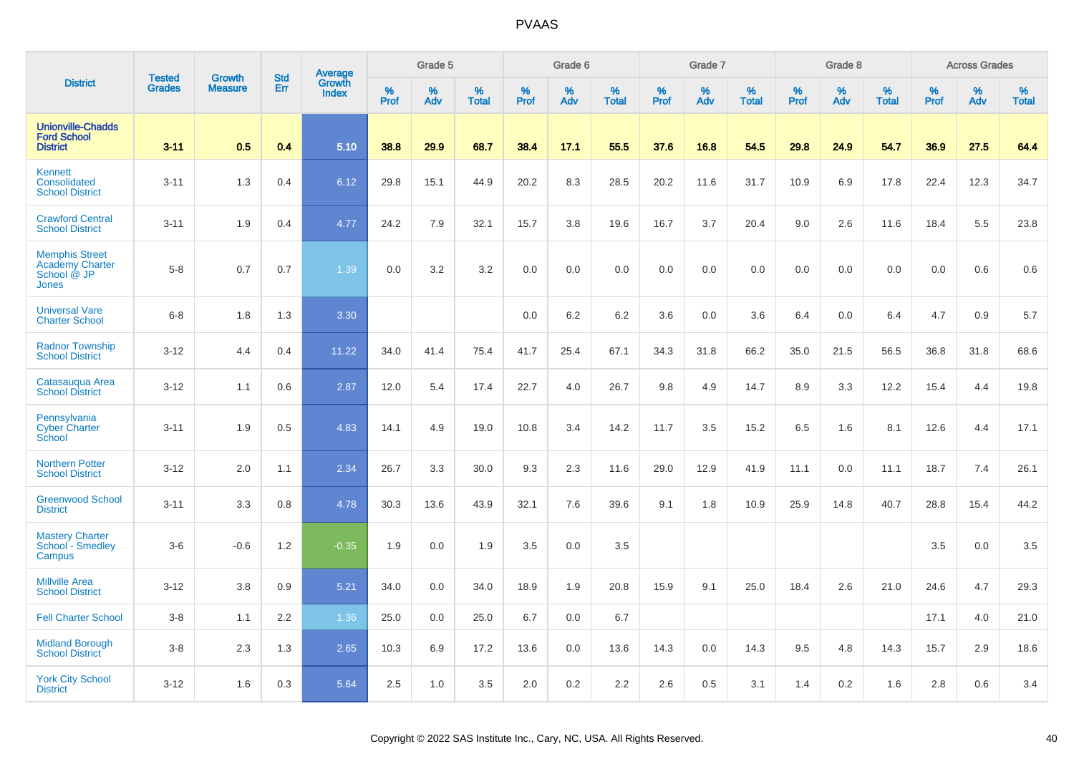|                                                                   | <b>Tested</b> | <b>Growth</b>  | <b>Std</b> | Average                |              | Grade 5  |                   |           | Grade 6  |                   |                  | Grade 7  |                   |           | Grade 8  |                   |           | <b>Across Grades</b> |                   |
|-------------------------------------------------------------------|---------------|----------------|------------|------------------------|--------------|----------|-------------------|-----------|----------|-------------------|------------------|----------|-------------------|-----------|----------|-------------------|-----------|----------------------|-------------------|
| <b>District</b>                                                   | <b>Grades</b> | <b>Measure</b> | Err        | Growth<br><b>Index</b> | $\%$<br>Prof | %<br>Adv | %<br><b>Total</b> | %<br>Prof | %<br>Adv | %<br><b>Total</b> | %<br><b>Prof</b> | %<br>Adv | %<br><b>Total</b> | %<br>Prof | %<br>Adv | %<br><b>Total</b> | %<br>Prof | %<br>Adv             | %<br><b>Total</b> |
| <b>Unionville-Chadds</b><br><b>Ford School</b><br><b>District</b> | $3 - 11$      | 0.5            | 0.4        | 5.10                   | 38.8         | 29.9     | 68.7              | 38.4      | 17.1     | 55.5              | 37.6             | 16.8     | 54.5              | 29.8      | 24.9     | 54.7              | 36.9      | 27.5                 | 64.4              |
| <b>Kennett</b><br>Consolidated<br><b>School District</b>          | $3 - 11$      | 1.3            | 0.4        | 6.12                   | 29.8         | 15.1     | 44.9              | 20.2      | 8.3      | 28.5              | 20.2             | 11.6     | 31.7              | 10.9      | 6.9      | 17.8              | 22.4      | 12.3                 | 34.7              |
| <b>Crawford Central</b><br><b>School District</b>                 | $3 - 11$      | 1.9            | 0.4        | 4.77                   | 24.2         | 7.9      | 32.1              | 15.7      | 3.8      | 19.6              | 16.7             | 3.7      | 20.4              | 9.0       | 2.6      | 11.6              | 18.4      | 5.5                  | 23.8              |
| <b>Memphis Street</b><br>Academy Charter<br>School @ JP<br>Jones  | $5 - 8$       | 0.7            | 0.7        | 1.39                   | 0.0          | 3.2      | 3.2               | 0.0       | 0.0      | 0.0               | 0.0              | 0.0      | 0.0               | 0.0       | 0.0      | 0.0               | 0.0       | 0.6                  | 0.6               |
| <b>Universal Vare</b><br><b>Charter School</b>                    | $6 - 8$       | 1.8            | 1.3        | 3.30                   |              |          |                   | 0.0       | 6.2      | 6.2               | 3.6              | 0.0      | 3.6               | 6.4       | 0.0      | 6.4               | 4.7       | 0.9                  | 5.7               |
| <b>Radnor Township</b><br><b>School District</b>                  | $3 - 12$      | 4.4            | 0.4        | 11.22                  | 34.0         | 41.4     | 75.4              | 41.7      | 25.4     | 67.1              | 34.3             | 31.8     | 66.2              | 35.0      | 21.5     | 56.5              | 36.8      | 31.8                 | 68.6              |
| Catasaugua Area<br><b>School District</b>                         | $3 - 12$      | 1.1            | 0.6        | 2.87                   | 12.0         | 5.4      | 17.4              | 22.7      | 4.0      | 26.7              | 9.8              | 4.9      | 14.7              | 8.9       | 3.3      | 12.2              | 15.4      | 4.4                  | 19.8              |
| Pennsylvania<br><b>Cyber Charter</b><br>School                    | $3 - 11$      | 1.9            | 0.5        | 4.83                   | 14.1         | 4.9      | 19.0              | 10.8      | 3.4      | 14.2              | 11.7             | 3.5      | 15.2              | 6.5       | 1.6      | 8.1               | 12.6      | 4.4                  | 17.1              |
| <b>Northern Potter</b><br><b>School District</b>                  | $3 - 12$      | 2.0            | 1.1        | 2.34                   | 26.7         | 3.3      | 30.0              | 9.3       | 2.3      | 11.6              | 29.0             | 12.9     | 41.9              | 11.1      | 0.0      | 11.1              | 18.7      | 7.4                  | 26.1              |
| <b>Greenwood School</b><br><b>District</b>                        | $3 - 11$      | 3.3            | 0.8        | 4.78                   | 30.3         | 13.6     | 43.9              | 32.1      | 7.6      | 39.6              | 9.1              | 1.8      | 10.9              | 25.9      | 14.8     | 40.7              | 28.8      | 15.4                 | 44.2              |
| <b>Mastery Charter</b><br>School - Smedley<br>Campus              | $3-6$         | $-0.6$         | 1.2        | $-0.35$                | 1.9          | 0.0      | 1.9               | 3.5       | 0.0      | 3.5               |                  |          |                   |           |          |                   | 3.5       | 0.0                  | 3.5               |
| <b>Millville Area</b><br><b>School District</b>                   | $3 - 12$      | 3.8            | 0.9        | 5.21                   | 34.0         | 0.0      | 34.0              | 18.9      | 1.9      | 20.8              | 15.9             | 9.1      | 25.0              | 18.4      | 2.6      | 21.0              | 24.6      | 4.7                  | 29.3              |
| <b>Fell Charter School</b>                                        | $3 - 8$       | 1.1            | 2.2        | 1.36                   | 25.0         | 0.0      | 25.0              | 6.7       | 0.0      | 6.7               |                  |          |                   |           |          |                   | 17.1      | 4.0                  | 21.0              |
| <b>Midland Borough</b><br><b>School District</b>                  | $3 - 8$       | 2.3            | 1.3        | 2.65                   | 10.3         | 6.9      | 17.2              | 13.6      | 0.0      | 13.6              | 14.3             | 0.0      | 14.3              | 9.5       | 4.8      | 14.3              | 15.7      | 2.9                  | 18.6              |
| <b>York City School</b><br><b>District</b>                        | $3 - 12$      | 1.6            | 0.3        | 5.64                   | 2.5          | 1.0      | 3.5               | 2.0       | 0.2      | 2.2               | 2.6              | 0.5      | 3.1               | 1.4       | 0.2      | 1.6               | 2.8       | 0.6                  | 3.4               |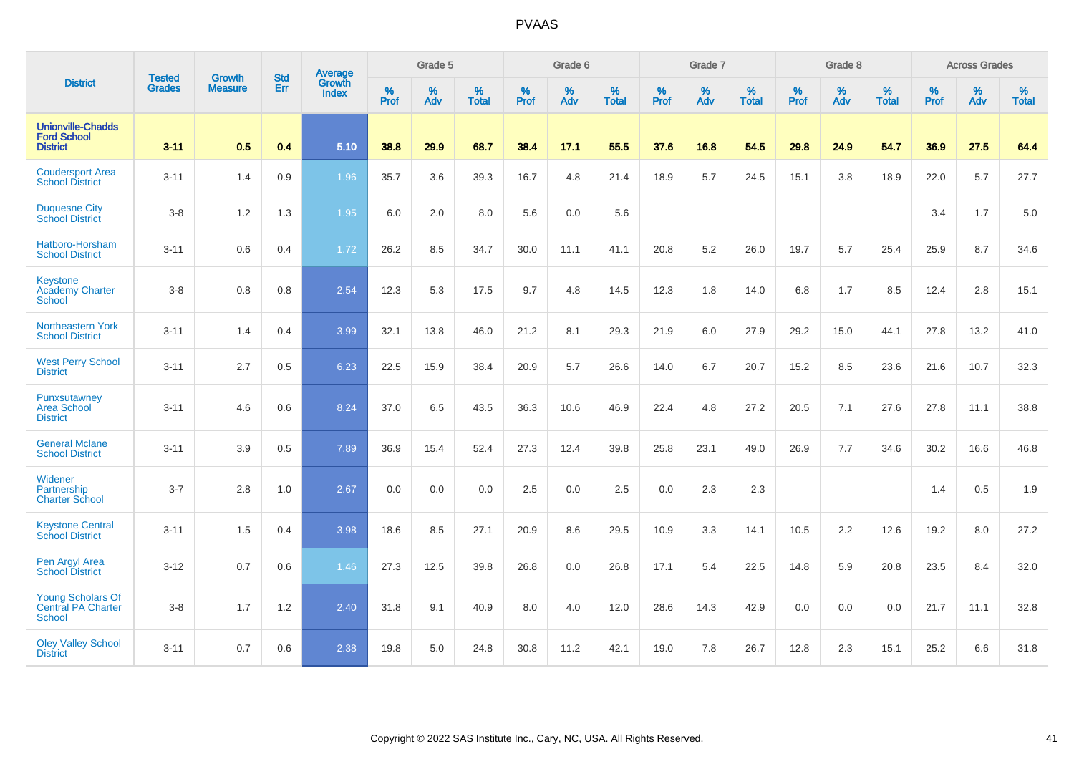|                                                                        |                                |                                 | <b>Std</b> | Average                |                     | Grade 5  |                   |                     | Grade 6  |                   |                     | Grade 7  |                   |                     | Grade 8     |                   |                     | <b>Across Grades</b> |                   |
|------------------------------------------------------------------------|--------------------------------|---------------------------------|------------|------------------------|---------------------|----------|-------------------|---------------------|----------|-------------------|---------------------|----------|-------------------|---------------------|-------------|-------------------|---------------------|----------------------|-------------------|
| <b>District</b>                                                        | <b>Tested</b><br><b>Grades</b> | <b>Growth</b><br><b>Measure</b> | Err        | Growth<br><b>Index</b> | $\%$<br><b>Prof</b> | %<br>Adv | %<br><b>Total</b> | $\%$<br><b>Prof</b> | %<br>Adv | %<br><b>Total</b> | $\%$<br><b>Prof</b> | %<br>Adv | %<br><b>Total</b> | $\%$<br><b>Prof</b> | $\%$<br>Adv | %<br><b>Total</b> | $\%$<br><b>Prof</b> | %<br>Adv             | %<br><b>Total</b> |
| <b>Unionville-Chadds</b><br><b>Ford School</b><br><b>District</b>      | $3 - 11$                       | 0.5                             | 0.4        | 5.10                   | 38.8                | 29.9     | 68.7              | 38.4                | 17.1     | 55.5              | 37.6                | 16.8     | 54.5              | 29.8                | 24.9        | 54.7              | 36.9                | 27.5                 | 64.4              |
| <b>Coudersport Area</b><br><b>School District</b>                      | $3 - 11$                       | 1.4                             | 0.9        | 1.96                   | 35.7                | 3.6      | 39.3              | 16.7                | 4.8      | 21.4              | 18.9                | 5.7      | 24.5              | 15.1                | 3.8         | 18.9              | 22.0                | 5.7                  | 27.7              |
| <b>Duquesne City</b><br><b>School District</b>                         | $3-8$                          | 1.2                             | 1.3        | 1.95                   | 6.0                 | 2.0      | 8.0               | 5.6                 | 0.0      | 5.6               |                     |          |                   |                     |             |                   | 3.4                 | 1.7                  | $5.0\,$           |
| Hatboro-Horsham<br><b>School District</b>                              | $3 - 11$                       | 0.6                             | 0.4        | 1.72                   | 26.2                | 8.5      | 34.7              | 30.0                | 11.1     | 41.1              | 20.8                | 5.2      | 26.0              | 19.7                | 5.7         | 25.4              | 25.9                | 8.7                  | 34.6              |
| Keystone<br><b>Academy Charter</b><br><b>School</b>                    | $3 - 8$                        | 0.8                             | 0.8        | 2.54                   | 12.3                | 5.3      | 17.5              | 9.7                 | 4.8      | 14.5              | 12.3                | 1.8      | 14.0              | 6.8                 | 1.7         | 8.5               | 12.4                | 2.8                  | 15.1              |
| Northeastern York<br><b>School District</b>                            | $3 - 11$                       | 1.4                             | 0.4        | 3.99                   | 32.1                | 13.8     | 46.0              | 21.2                | 8.1      | 29.3              | 21.9                | 6.0      | 27.9              | 29.2                | 15.0        | 44.1              | 27.8                | 13.2                 | 41.0              |
| <b>West Perry School</b><br><b>District</b>                            | $3 - 11$                       | 2.7                             | 0.5        | 6.23                   | 22.5                | 15.9     | 38.4              | 20.9                | 5.7      | 26.6              | 14.0                | 6.7      | 20.7              | 15.2                | 8.5         | 23.6              | 21.6                | 10.7                 | 32.3              |
| <b>Punxsutawney</b><br>Area School<br><b>District</b>                  | $3 - 11$                       | 4.6                             | 0.6        | 8.24                   | 37.0                | 6.5      | 43.5              | 36.3                | 10.6     | 46.9              | 22.4                | 4.8      | 27.2              | 20.5                | 7.1         | 27.6              | 27.8                | 11.1                 | 38.8              |
| <b>General Mclane</b><br><b>School District</b>                        | $3 - 11$                       | 3.9                             | 0.5        | 7.89                   | 36.9                | 15.4     | 52.4              | 27.3                | 12.4     | 39.8              | 25.8                | 23.1     | 49.0              | 26.9                | 7.7         | 34.6              | 30.2                | 16.6                 | 46.8              |
| Widener<br>Partnership<br><b>Charter School</b>                        | $3 - 7$                        | 2.8                             | 1.0        | 2.67                   | 0.0                 | 0.0      | 0.0               | 2.5                 | 0.0      | 2.5               | 0.0                 | 2.3      | 2.3               |                     |             |                   | 1.4                 | 0.5                  | 1.9               |
| <b>Keystone Central</b><br><b>School District</b>                      | $3 - 11$                       | 1.5                             | 0.4        | 3.98                   | 18.6                | 8.5      | 27.1              | 20.9                | 8.6      | 29.5              | 10.9                | 3.3      | 14.1              | 10.5                | 2.2         | 12.6              | 19.2                | 8.0                  | 27.2              |
| Pen Argyl Area<br><b>School District</b>                               | $3 - 12$                       | 0.7                             | 0.6        | 1.46                   | 27.3                | 12.5     | 39.8              | 26.8                | 0.0      | 26.8              | 17.1                | 5.4      | 22.5              | 14.8                | 5.9         | 20.8              | 23.5                | 8.4                  | 32.0              |
| <b>Young Scholars Of</b><br><b>Central PA Charter</b><br><b>School</b> | $3-8$                          | 1.7                             | 1.2        | 2.40                   | 31.8                | 9.1      | 40.9              | 8.0                 | 4.0      | 12.0              | 28.6                | 14.3     | 42.9              | 0.0                 | 0.0         | 0.0               | 21.7                | 11.1                 | 32.8              |
| <b>Oley Valley School</b><br><b>District</b>                           | $3 - 11$                       | 0.7                             | 0.6        | 2.38                   | 19.8                | 5.0      | 24.8              | 30.8                | 11.2     | 42.1              | 19.0                | 7.8      | 26.7              | 12.8                | 2.3         | 15.1              | 25.2                | 6.6                  | 31.8              |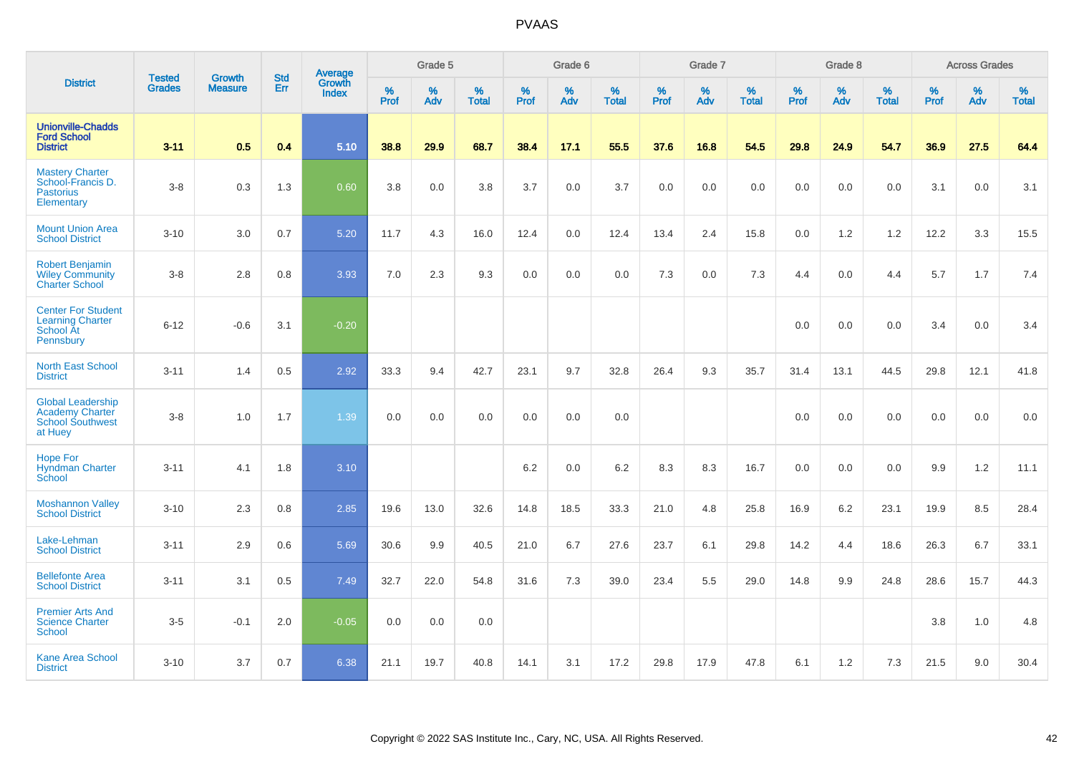|                                                                                          | <b>Tested</b> | <b>Growth</b>  | <b>Std</b> | Average         |              | Grade 5  |                   |           | Grade 6  |                   |           | Grade 7  |                   |           | Grade 8  |                   |           | <b>Across Grades</b> |                   |
|------------------------------------------------------------------------------------------|---------------|----------------|------------|-----------------|--------------|----------|-------------------|-----------|----------|-------------------|-----------|----------|-------------------|-----------|----------|-------------------|-----------|----------------------|-------------------|
| <b>District</b>                                                                          | <b>Grades</b> | <b>Measure</b> | Err        | Growth<br>Index | $\%$<br>Prof | %<br>Adv | %<br><b>Total</b> | %<br>Prof | %<br>Adv | %<br><b>Total</b> | %<br>Prof | %<br>Adv | %<br><b>Total</b> | %<br>Prof | %<br>Adv | %<br><b>Total</b> | %<br>Prof | %<br>Adv             | %<br><b>Total</b> |
| <b>Unionville-Chadds</b><br><b>Ford School</b><br><b>District</b>                        | $3 - 11$      | 0.5            | 0.4        | 5.10            | 38.8         | 29.9     | 68.7              | 38.4      | 17.1     | 55.5              | 37.6      | 16.8     | 54.5              | 29.8      | 24.9     | 54.7              | 36.9      | 27.5                 | 64.4              |
| <b>Mastery Charter</b><br>School-Francis D.<br><b>Pastorius</b><br>Elementary            | $3-8$         | 0.3            | 1.3        | 0.60            | 3.8          | 0.0      | 3.8               | 3.7       | 0.0      | 3.7               | 0.0       | 0.0      | 0.0               | 0.0       | 0.0      | 0.0               | 3.1       | 0.0                  | 3.1               |
| <b>Mount Union Area</b><br><b>School District</b>                                        | $3 - 10$      | 3.0            | 0.7        | 5.20            | 11.7         | 4.3      | 16.0              | 12.4      | 0.0      | 12.4              | 13.4      | 2.4      | 15.8              | 0.0       | 1.2      | 1.2               | 12.2      | 3.3                  | 15.5              |
| <b>Robert Benjamin</b><br><b>Wiley Community</b><br><b>Charter School</b>                | $3 - 8$       | 2.8            | 0.8        | 3.93            | 7.0          | 2.3      | 9.3               | 0.0       | 0.0      | 0.0               | 7.3       | 0.0      | 7.3               | 4.4       | 0.0      | 4.4               | 5.7       | 1.7                  | 7.4               |
| <b>Center For Student</b><br><b>Learning Charter</b><br>School At<br>Pennsbury           | $6 - 12$      | $-0.6$         | 3.1        | $-0.20$         |              |          |                   |           |          |                   |           |          |                   | 0.0       | 0.0      | 0.0               | 3.4       | 0.0                  | 3.4               |
| <b>North East School</b><br><b>District</b>                                              | $3 - 11$      | 1.4            | 0.5        | 2.92            | 33.3         | 9.4      | 42.7              | 23.1      | 9.7      | 32.8              | 26.4      | 9.3      | 35.7              | 31.4      | 13.1     | 44.5              | 29.8      | 12.1                 | 41.8              |
| <b>Global Leadership</b><br><b>Academy Charter</b><br><b>School Southwest</b><br>at Huey | $3 - 8$       | 1.0            | 1.7        | 1.39            | 0.0          | 0.0      | 0.0               | 0.0       | 0.0      | 0.0               |           |          |                   | 0.0       | 0.0      | 0.0               | 0.0       | 0.0                  | 0.0               |
| <b>Hope For</b><br><b>Hyndman Charter</b><br>School                                      | $3 - 11$      | 4.1            | 1.8        | 3.10            |              |          |                   | 6.2       | 0.0      | $6.2\,$           | 8.3       | 8.3      | 16.7              | 0.0       | 0.0      | 0.0               | 9.9       | $1.2$                | 11.1              |
| <b>Moshannon Valley</b><br><b>School District</b>                                        | $3 - 10$      | 2.3            | 0.8        | 2.85            | 19.6         | 13.0     | 32.6              | 14.8      | 18.5     | 33.3              | 21.0      | 4.8      | 25.8              | 16.9      | 6.2      | 23.1              | 19.9      | 8.5                  | 28.4              |
| Lake-Lehman<br><b>School District</b>                                                    | $3 - 11$      | 2.9            | 0.6        | 5.69            | 30.6         | 9.9      | 40.5              | 21.0      | 6.7      | 27.6              | 23.7      | 6.1      | 29.8              | 14.2      | 4.4      | 18.6              | 26.3      | 6.7                  | 33.1              |
| <b>Bellefonte Area</b><br><b>School District</b>                                         | $3 - 11$      | 3.1            | 0.5        | 7.49            | 32.7         | 22.0     | 54.8              | 31.6      | 7.3      | 39.0              | 23.4      | 5.5      | 29.0              | 14.8      | 9.9      | 24.8              | 28.6      | 15.7                 | 44.3              |
| <b>Premier Arts And</b><br><b>Science Charter</b><br><b>School</b>                       | $3-5$         | $-0.1$         | 2.0        | $-0.05$         | 0.0          | 0.0      | 0.0               |           |          |                   |           |          |                   |           |          |                   | 3.8       | $1.0$                | 4.8               |
| <b>Kane Area School</b><br><b>District</b>                                               | $3 - 10$      | 3.7            | 0.7        | 6.38            | 21.1         | 19.7     | 40.8              | 14.1      | 3.1      | 17.2              | 29.8      | 17.9     | 47.8              | 6.1       | 1.2      | 7.3               | 21.5      | 9.0                  | 30.4              |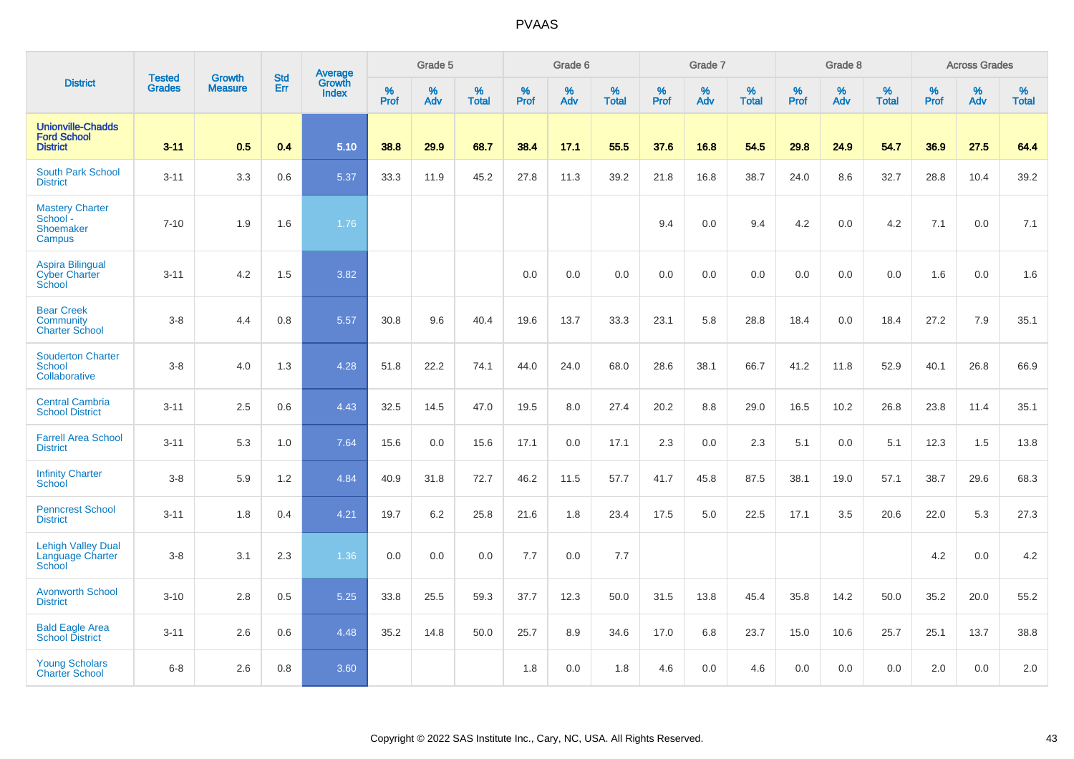|                                                                   |                                |                                 | <b>Std</b> | Average         |           | Grade 5  |                   |           | Grade 6  |                   |           | Grade 7  |                   |           | Grade 8  |                   |                  | <b>Across Grades</b> |                   |
|-------------------------------------------------------------------|--------------------------------|---------------------------------|------------|-----------------|-----------|----------|-------------------|-----------|----------|-------------------|-----------|----------|-------------------|-----------|----------|-------------------|------------------|----------------------|-------------------|
| <b>District</b>                                                   | <b>Tested</b><br><b>Grades</b> | <b>Growth</b><br><b>Measure</b> | Err        | Growth<br>Index | %<br>Prof | %<br>Adv | %<br><b>Total</b> | %<br>Prof | %<br>Adv | %<br><b>Total</b> | %<br>Prof | %<br>Adv | %<br><b>Total</b> | %<br>Prof | %<br>Adv | %<br><b>Total</b> | %<br><b>Prof</b> | %<br>Adv             | %<br><b>Total</b> |
| <b>Unionville-Chadds</b><br><b>Ford School</b><br><b>District</b> | $3 - 11$                       | 0.5                             | 0.4        | 5.10            | 38.8      | 29.9     | 68.7              | 38.4      | 17.1     | 55.5              | 37.6      | 16.8     | 54.5              | 29.8      | 24.9     | 54.7              | 36.9             | 27.5                 | 64.4              |
| South Park School<br><b>District</b>                              | $3 - 11$                       | 3.3                             | 0.6        | 5.37            | 33.3      | 11.9     | 45.2              | 27.8      | 11.3     | 39.2              | 21.8      | 16.8     | 38.7              | 24.0      | 8.6      | 32.7              | 28.8             | 10.4                 | 39.2              |
| <b>Mastery Charter</b><br>School -<br>Shoemaker<br>Campus         | $7 - 10$                       | 1.9                             | 1.6        | 1.76            |           |          |                   |           |          |                   | 9.4       | 0.0      | 9.4               | 4.2       | 0.0      | 4.2               | 7.1              | 0.0                  | 7.1               |
| <b>Aspira Bilingual</b><br><b>Cyber Charter</b><br>School         | $3 - 11$                       | 4.2                             | 1.5        | 3.82            |           |          |                   | 0.0       | 0.0      | 0.0               | 0.0       | 0.0      | 0.0               | 0.0       | 0.0      | 0.0               | 1.6              | 0.0                  | 1.6               |
| <b>Bear Creek</b><br>Community<br><b>Charter School</b>           | $3-8$                          | 4.4                             | 0.8        | 5.57            | 30.8      | 9.6      | 40.4              | 19.6      | 13.7     | 33.3              | 23.1      | 5.8      | 28.8              | 18.4      | 0.0      | 18.4              | 27.2             | 7.9                  | 35.1              |
| <b>Souderton Charter</b><br><b>School</b><br>Collaborative        | $3-8$                          | 4.0                             | 1.3        | 4.28            | 51.8      | 22.2     | 74.1              | 44.0      | 24.0     | 68.0              | 28.6      | 38.1     | 66.7              | 41.2      | 11.8     | 52.9              | 40.1             | 26.8                 | 66.9              |
| <b>Central Cambria</b><br><b>School District</b>                  | $3 - 11$                       | 2.5                             | 0.6        | 4.43            | 32.5      | 14.5     | 47.0              | 19.5      | 8.0      | 27.4              | 20.2      | 8.8      | 29.0              | 16.5      | 10.2     | 26.8              | 23.8             | 11.4                 | 35.1              |
| <b>Farrell Area School</b><br><b>District</b>                     | $3 - 11$                       | 5.3                             | 1.0        | 7.64            | 15.6      | 0.0      | 15.6              | 17.1      | 0.0      | 17.1              | 2.3       | 0.0      | 2.3               | 5.1       | 0.0      | 5.1               | 12.3             | 1.5                  | 13.8              |
| <b>Infinity Charter</b><br>School                                 | $3-8$                          | 5.9                             | 1.2        | 4.84            | 40.9      | 31.8     | 72.7              | 46.2      | 11.5     | 57.7              | 41.7      | 45.8     | 87.5              | 38.1      | 19.0     | 57.1              | 38.7             | 29.6                 | 68.3              |
| <b>Penncrest School</b><br><b>District</b>                        | $3 - 11$                       | 1.8                             | 0.4        | 4.21            | 19.7      | 6.2      | 25.8              | 21.6      | 1.8      | 23.4              | 17.5      | 5.0      | 22.5              | 17.1      | 3.5      | 20.6              | 22.0             | 5.3                  | 27.3              |
| <b>Lehigh Valley Dual</b><br>Language Charter<br>School           | $3-8$                          | 3.1                             | 2.3        | 1.36            | 0.0       | 0.0      | 0.0               | 7.7       | 0.0      | 7.7               |           |          |                   |           |          |                   | 4.2              | 0.0                  | 4.2               |
| <b>Avonworth School</b><br><b>District</b>                        | $3 - 10$                       | 2.8                             | 0.5        | 5.25            | 33.8      | 25.5     | 59.3              | 37.7      | 12.3     | 50.0              | 31.5      | 13.8     | 45.4              | 35.8      | 14.2     | 50.0              | 35.2             | 20.0                 | 55.2              |
| <b>Bald Eagle Area</b><br><b>School District</b>                  | $3 - 11$                       | 2.6                             | 0.6        | 4.48            | 35.2      | 14.8     | 50.0              | 25.7      | 8.9      | 34.6              | 17.0      | 6.8      | 23.7              | 15.0      | 10.6     | 25.7              | 25.1             | 13.7                 | 38.8              |
| <b>Young Scholars</b><br><b>Charter School</b>                    | $6 - 8$                        | 2.6                             | 0.8        | 3.60            |           |          |                   | 1.8       | 0.0      | 1.8               | 4.6       | 0.0      | 4.6               | 0.0       | 0.0      | 0.0               | 2.0              | 0.0                  | 2.0               |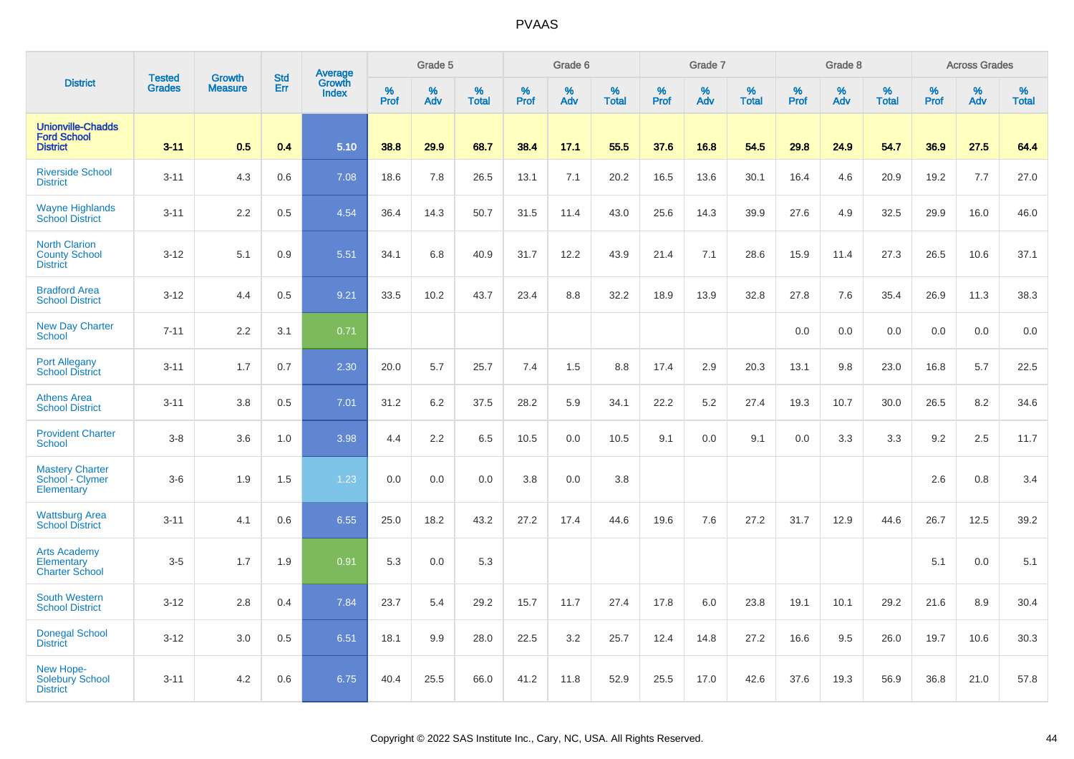|                                                                   |                                |                                 | <b>Std</b> |                                          |                  | Grade 5  |                   |           | Grade 6  |                   |           | Grade 7  |                   |                  | Grade 8  |                   |                  | <b>Across Grades</b> |                   |
|-------------------------------------------------------------------|--------------------------------|---------------------------------|------------|------------------------------------------|------------------|----------|-------------------|-----------|----------|-------------------|-----------|----------|-------------------|------------------|----------|-------------------|------------------|----------------------|-------------------|
| <b>District</b>                                                   | <b>Tested</b><br><b>Grades</b> | <b>Growth</b><br><b>Measure</b> | Err        | <b>Average</b><br>Growth<br><b>Index</b> | %<br><b>Prof</b> | %<br>Adv | %<br><b>Total</b> | %<br>Prof | %<br>Adv | %<br><b>Total</b> | %<br>Prof | %<br>Adv | %<br><b>Total</b> | %<br><b>Prof</b> | %<br>Adv | %<br><b>Total</b> | %<br><b>Prof</b> | %<br>Adv             | %<br><b>Total</b> |
| <b>Unionville-Chadds</b><br><b>Ford School</b><br><b>District</b> | $3 - 11$                       | 0.5                             | 0.4        | 5.10                                     | 38.8             | 29.9     | 68.7              | 38.4      | 17.1     | 55.5              | 37.6      | 16.8     | 54.5              | 29.8             | 24.9     | 54.7              | 36.9             | 27.5                 | 64.4              |
| <b>Riverside School</b><br><b>District</b>                        | $3 - 11$                       | 4.3                             | 0.6        | 7.08                                     | 18.6             | 7.8      | 26.5              | 13.1      | 7.1      | 20.2              | 16.5      | 13.6     | 30.1              | 16.4             | 4.6      | 20.9              | 19.2             | 7.7                  | 27.0              |
| <b>Wayne Highlands</b><br><b>School District</b>                  | $3 - 11$                       | 2.2                             | 0.5        | 4.54                                     | 36.4             | 14.3     | 50.7              | 31.5      | 11.4     | 43.0              | 25.6      | 14.3     | 39.9              | 27.6             | 4.9      | 32.5              | 29.9             | 16.0                 | 46.0              |
| <b>North Clarion</b><br><b>County School</b><br><b>District</b>   | $3 - 12$                       | 5.1                             | 0.9        | 5.51                                     | 34.1             | 6.8      | 40.9              | 31.7      | 12.2     | 43.9              | 21.4      | 7.1      | 28.6              | 15.9             | 11.4     | 27.3              | 26.5             | 10.6                 | 37.1              |
| <b>Bradford Area</b><br><b>School District</b>                    | $3 - 12$                       | 4.4                             | 0.5        | 9.21                                     | 33.5             | 10.2     | 43.7              | 23.4      | 8.8      | 32.2              | 18.9      | 13.9     | 32.8              | 27.8             | 7.6      | 35.4              | 26.9             | 11.3                 | 38.3              |
| <b>New Day Charter</b><br><b>School</b>                           | $7 - 11$                       | 2.2                             | 3.1        | 0.71                                     |                  |          |                   |           |          |                   |           |          |                   | 0.0              | 0.0      | 0.0               | 0.0              | 0.0                  | 0.0               |
| <b>Port Allegany</b><br><b>School District</b>                    | $3 - 11$                       | 1.7                             | 0.7        | 2.30                                     | 20.0             | 5.7      | 25.7              | 7.4       | 1.5      | 8.8               | 17.4      | 2.9      | 20.3              | 13.1             | 9.8      | 23.0              | 16.8             | 5.7                  | 22.5              |
| <b>Athens Area</b><br><b>School District</b>                      | $3 - 11$                       | 3.8                             | 0.5        | 7.01                                     | 31.2             | 6.2      | 37.5              | 28.2      | 5.9      | 34.1              | 22.2      | 5.2      | 27.4              | 19.3             | 10.7     | 30.0              | 26.5             | 8.2                  | 34.6              |
| <b>Provident Charter</b><br><b>School</b>                         | $3-8$                          | 3.6                             | 1.0        | 3.98                                     | 4.4              | 2.2      | 6.5               | 10.5      | 0.0      | 10.5              | 9.1       | 0.0      | 9.1               | 0.0              | 3.3      | 3.3               | 9.2              | 2.5                  | 11.7              |
| <b>Mastery Charter</b><br>School - Clymer<br>Elementary           | $3-6$                          | 1.9                             | 1.5        | 1.23                                     | 0.0              | 0.0      | 0.0               | 3.8       | 0.0      | 3.8               |           |          |                   |                  |          |                   | 2.6              | 0.8                  | 3.4               |
| <b>Wattsburg Area</b><br><b>School District</b>                   | $3 - 11$                       | 4.1                             | 0.6        | 6.55                                     | 25.0             | 18.2     | 43.2              | 27.2      | 17.4     | 44.6              | 19.6      | 7.6      | 27.2              | 31.7             | 12.9     | 44.6              | 26.7             | 12.5                 | 39.2              |
| <b>Arts Academy</b><br>Elementary<br><b>Charter School</b>        | $3-5$                          | 1.7                             | 1.9        | 0.91                                     | 5.3              | 0.0      | 5.3               |           |          |                   |           |          |                   |                  |          |                   | 5.1              | 0.0                  | 5.1               |
| <b>South Western</b><br><b>School District</b>                    | $3 - 12$                       | 2.8                             | 0.4        | 7.84                                     | 23.7             | 5.4      | 29.2              | 15.7      | 11.7     | 27.4              | 17.8      | 6.0      | 23.8              | 19.1             | 10.1     | 29.2              | 21.6             | 8.9                  | 30.4              |
| <b>Donegal School</b><br><b>District</b>                          | $3 - 12$                       | 3.0                             | 0.5        | 6.51                                     | 18.1             | 9.9      | 28.0              | 22.5      | 3.2      | 25.7              | 12.4      | 14.8     | 27.2              | 16.6             | 9.5      | 26.0              | 19.7             | 10.6                 | 30.3              |
| New Hope-<br><b>Solebury School</b><br><b>District</b>            | $3 - 11$                       | 4.2                             | 0.6        | 6.75                                     | 40.4             | 25.5     | 66.0              | 41.2      | 11.8     | 52.9              | 25.5      | 17.0     | 42.6              | 37.6             | 19.3     | 56.9              | 36.8             | 21.0                 | 57.8              |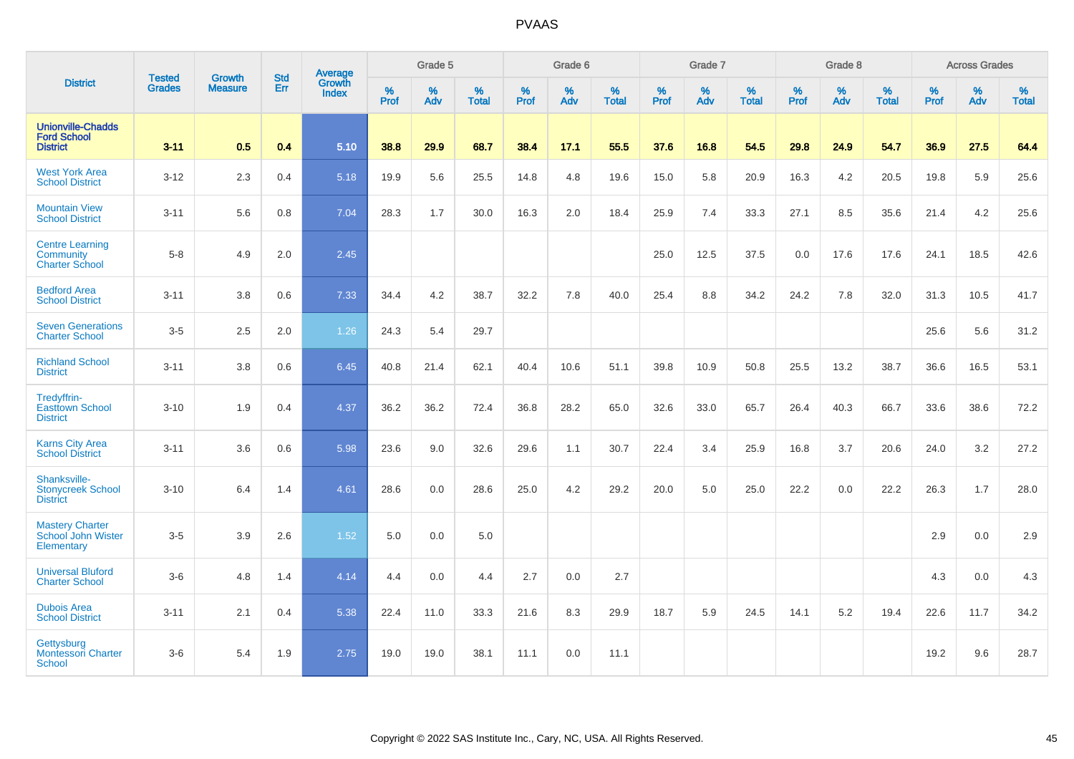|                                                                   | <b>Tested</b> | <b>Growth</b>  | <b>Std</b> | Average                |                     | Grade 5  |                   |           | Grade 6  |                   |           | Grade 7  |                   |           | Grade 8  |                   |                  | <b>Across Grades</b> |                   |
|-------------------------------------------------------------------|---------------|----------------|------------|------------------------|---------------------|----------|-------------------|-----------|----------|-------------------|-----------|----------|-------------------|-----------|----------|-------------------|------------------|----------------------|-------------------|
| <b>District</b>                                                   | <b>Grades</b> | <b>Measure</b> | Err        | Growth<br><b>Index</b> | $\%$<br><b>Prof</b> | %<br>Adv | %<br><b>Total</b> | %<br>Prof | %<br>Adv | %<br><b>Total</b> | %<br>Prof | %<br>Adv | %<br><b>Total</b> | %<br>Prof | %<br>Adv | %<br><b>Total</b> | %<br><b>Prof</b> | %<br>Adv             | %<br><b>Total</b> |
| <b>Unionville-Chadds</b><br><b>Ford School</b><br><b>District</b> | $3 - 11$      | 0.5            | 0.4        | 5.10                   | 38.8                | 29.9     | 68.7              | 38.4      | 17.1     | 55.5              | 37.6      | 16.8     | 54.5              | 29.8      | 24.9     | 54.7              | 36.9             | 27.5                 | 64.4              |
| <b>West York Area</b><br><b>School District</b>                   | $3 - 12$      | 2.3            | 0.4        | 5.18                   | 19.9                | 5.6      | 25.5              | 14.8      | 4.8      | 19.6              | 15.0      | 5.8      | 20.9              | 16.3      | 4.2      | 20.5              | 19.8             | 5.9                  | 25.6              |
| <b>Mountain View</b><br><b>School District</b>                    | $3 - 11$      | 5.6            | 0.8        | 7.04                   | 28.3                | 1.7      | 30.0              | 16.3      | 2.0      | 18.4              | 25.9      | 7.4      | 33.3              | 27.1      | 8.5      | 35.6              | 21.4             | 4.2                  | 25.6              |
| <b>Centre Learning</b><br>Community<br><b>Charter School</b>      | $5-8$         | 4.9            | 2.0        | 2.45                   |                     |          |                   |           |          |                   | 25.0      | 12.5     | 37.5              | 0.0       | 17.6     | 17.6              | 24.1             | 18.5                 | 42.6              |
| <b>Bedford Area</b><br><b>School District</b>                     | $3 - 11$      | 3.8            | 0.6        | 7.33                   | 34.4                | 4.2      | 38.7              | 32.2      | 7.8      | 40.0              | 25.4      | 8.8      | 34.2              | 24.2      | 7.8      | 32.0              | 31.3             | 10.5                 | 41.7              |
| <b>Seven Generations</b><br><b>Charter School</b>                 | $3-5$         | 2.5            | 2.0        | 1.26                   | 24.3                | 5.4      | 29.7              |           |          |                   |           |          |                   |           |          |                   | 25.6             | 5.6                  | 31.2              |
| <b>Richland School</b><br><b>District</b>                         | $3 - 11$      | 3.8            | 0.6        | 6.45                   | 40.8                | 21.4     | 62.1              | 40.4      | 10.6     | 51.1              | 39.8      | 10.9     | 50.8              | 25.5      | 13.2     | 38.7              | 36.6             | 16.5                 | 53.1              |
| Tredyffrin-<br><b>Easttown School</b><br><b>District</b>          | $3 - 10$      | 1.9            | 0.4        | 4.37                   | 36.2                | 36.2     | 72.4              | 36.8      | 28.2     | 65.0              | 32.6      | 33.0     | 65.7              | 26.4      | 40.3     | 66.7              | 33.6             | 38.6                 | 72.2              |
| <b>Karns City Area</b><br><b>School District</b>                  | $3 - 11$      | 3.6            | 0.6        | 5.98                   | 23.6                | 9.0      | 32.6              | 29.6      | 1.1      | 30.7              | 22.4      | 3.4      | 25.9              | 16.8      | 3.7      | 20.6              | 24.0             | 3.2                  | 27.2              |
| Shanksville-<br><b>Stonycreek School</b><br><b>District</b>       | $3 - 10$      | 6.4            | 1.4        | 4.61                   | 28.6                | 0.0      | 28.6              | 25.0      | 4.2      | 29.2              | 20.0      | 5.0      | 25.0              | 22.2      | 0.0      | 22.2              | 26.3             | 1.7                  | 28.0              |
| <b>Mastery Charter</b><br>School John Wister<br>Elementary        | $3-5$         | 3.9            | 2.6        | 1.52                   | 5.0                 | 0.0      | 5.0               |           |          |                   |           |          |                   |           |          |                   | 2.9              | 0.0                  | 2.9               |
| <b>Universal Bluford</b><br><b>Charter School</b>                 | $3-6$         | 4.8            | 1.4        | 4.14                   | 4.4                 | 0.0      | 4.4               | 2.7       | 0.0      | 2.7               |           |          |                   |           |          |                   | 4.3              | 0.0                  | 4.3               |
| <b>Dubois Area</b><br><b>School District</b>                      | $3 - 11$      | 2.1            | 0.4        | 5.38                   | 22.4                | 11.0     | 33.3              | 21.6      | 8.3      | 29.9              | 18.7      | 5.9      | 24.5              | 14.1      | 5.2      | 19.4              | 22.6             | 11.7                 | 34.2              |
| Gettysburg<br><b>Montessori Charter</b><br><b>School</b>          | $3-6$         | 5.4            | 1.9        | 2.75                   | 19.0                | 19.0     | 38.1              | 11.1      | 0.0      | 11.1              |           |          |                   |           |          |                   | 19.2             | 9.6                  | 28.7              |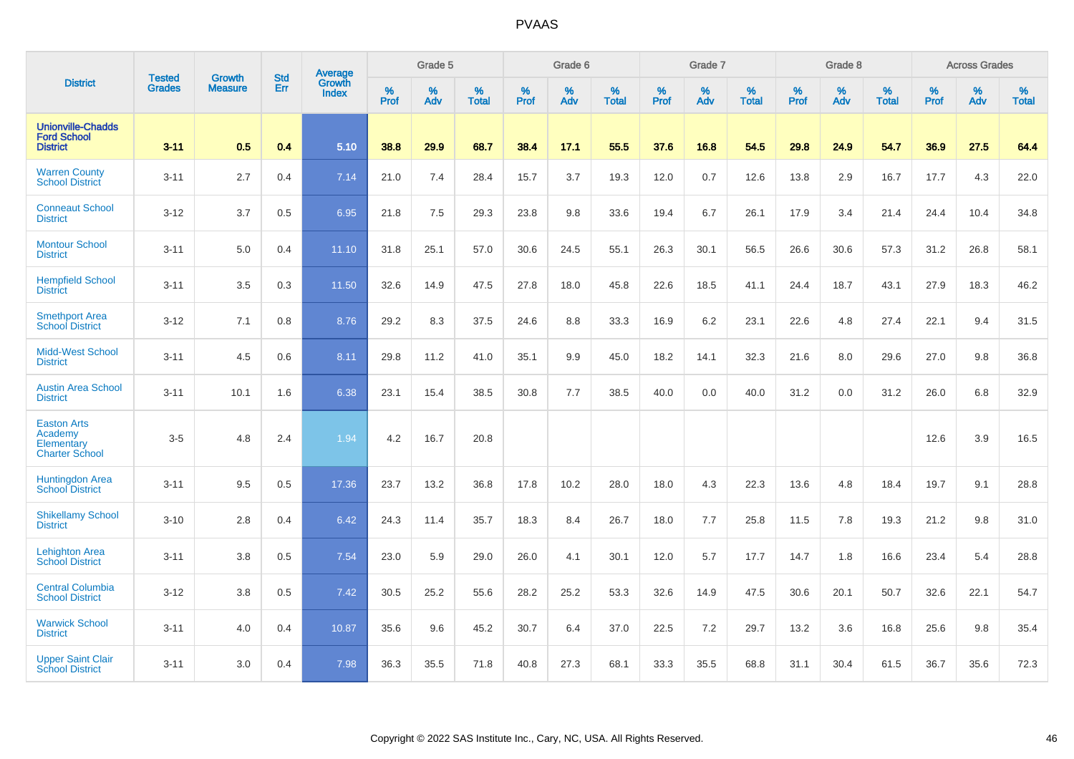|                                                                      | <b>Tested</b> | <b>Growth</b>  | <b>Std</b> | Average                       |              | Grade 5  |                   |           | Grade 6  |                   |           | Grade 7  |                   |           | Grade 8  |                   |           | <b>Across Grades</b> |                   |
|----------------------------------------------------------------------|---------------|----------------|------------|-------------------------------|--------------|----------|-------------------|-----------|----------|-------------------|-----------|----------|-------------------|-----------|----------|-------------------|-----------|----------------------|-------------------|
| <b>District</b>                                                      | <b>Grades</b> | <b>Measure</b> | Err        | <b>Growth</b><br><b>Index</b> | $\%$<br>Prof | %<br>Adv | %<br><b>Total</b> | %<br>Prof | %<br>Adv | %<br><b>Total</b> | %<br>Prof | %<br>Adv | %<br><b>Total</b> | %<br>Prof | %<br>Adv | %<br><b>Total</b> | %<br>Prof | %<br>Adv             | %<br><b>Total</b> |
| <b>Unionville-Chadds</b><br><b>Ford School</b><br><b>District</b>    | $3 - 11$      | 0.5            | 0.4        | 5.10                          | 38.8         | 29.9     | 68.7              | 38.4      | 17.1     | 55.5              | 37.6      | 16.8     | 54.5              | 29.8      | 24.9     | 54.7              | 36.9      | 27.5                 | 64.4              |
| <b>Warren County</b><br><b>School District</b>                       | $3 - 11$      | 2.7            | 0.4        | 7.14                          | 21.0         | 7.4      | 28.4              | 15.7      | 3.7      | 19.3              | 12.0      | 0.7      | 12.6              | 13.8      | 2.9      | 16.7              | 17.7      | 4.3                  | 22.0              |
| <b>Conneaut School</b><br><b>District</b>                            | $3 - 12$      | 3.7            | 0.5        | 6.95                          | 21.8         | 7.5      | 29.3              | 23.8      | 9.8      | 33.6              | 19.4      | 6.7      | 26.1              | 17.9      | 3.4      | 21.4              | 24.4      | 10.4                 | 34.8              |
| <b>Montour School</b><br><b>District</b>                             | $3 - 11$      | 5.0            | 0.4        | 11.10                         | 31.8         | 25.1     | 57.0              | 30.6      | 24.5     | 55.1              | 26.3      | 30.1     | 56.5              | 26.6      | 30.6     | 57.3              | 31.2      | 26.8                 | 58.1              |
| <b>Hempfield School</b><br><b>District</b>                           | $3 - 11$      | 3.5            | 0.3        | 11.50                         | 32.6         | 14.9     | 47.5              | 27.8      | 18.0     | 45.8              | 22.6      | 18.5     | 41.1              | 24.4      | 18.7     | 43.1              | 27.9      | 18.3                 | 46.2              |
| <b>Smethport Area</b><br><b>School District</b>                      | $3 - 12$      | 7.1            | 0.8        | 8.76                          | 29.2         | 8.3      | 37.5              | 24.6      | 8.8      | 33.3              | 16.9      | 6.2      | 23.1              | 22.6      | 4.8      | 27.4              | 22.1      | 9.4                  | 31.5              |
| <b>Midd-West School</b><br><b>District</b>                           | $3 - 11$      | 4.5            | 0.6        | 8.11                          | 29.8         | 11.2     | 41.0              | 35.1      | 9.9      | 45.0              | 18.2      | 14.1     | 32.3              | 21.6      | 8.0      | 29.6              | 27.0      | 9.8                  | 36.8              |
| <b>Austin Area School</b><br><b>District</b>                         | $3 - 11$      | 10.1           | 1.6        | 6.38                          | 23.1         | 15.4     | 38.5              | 30.8      | 7.7      | 38.5              | 40.0      | 0.0      | 40.0              | 31.2      | 0.0      | 31.2              | 26.0      | 6.8                  | 32.9              |
| <b>Easton Arts</b><br>Academy<br>Elementary<br><b>Charter School</b> | $3-5$         | 4.8            | 2.4        | 1.94                          | 4.2          | 16.7     | 20.8              |           |          |                   |           |          |                   |           |          |                   | 12.6      | 3.9                  | 16.5              |
| <b>Huntingdon Area</b><br><b>School District</b>                     | $3 - 11$      | 9.5            | 0.5        | 17.36                         | 23.7         | 13.2     | 36.8              | 17.8      | 10.2     | 28.0              | 18.0      | 4.3      | 22.3              | 13.6      | 4.8      | 18.4              | 19.7      | 9.1                  | 28.8              |
| <b>Shikellamy School</b><br><b>District</b>                          | $3 - 10$      | 2.8            | 0.4        | 6.42                          | 24.3         | 11.4     | 35.7              | 18.3      | 8.4      | 26.7              | 18.0      | 7.7      | 25.8              | 11.5      | 7.8      | 19.3              | 21.2      | 9.8                  | 31.0              |
| <b>Lehighton Area</b><br><b>School District</b>                      | $3 - 11$      | 3.8            | 0.5        | 7.54                          | 23.0         | 5.9      | 29.0              | 26.0      | 4.1      | 30.1              | 12.0      | 5.7      | 17.7              | 14.7      | 1.8      | 16.6              | 23.4      | 5.4                  | 28.8              |
| <b>Central Columbia</b><br><b>School District</b>                    | $3 - 12$      | 3.8            | 0.5        | 7.42                          | 30.5         | 25.2     | 55.6              | 28.2      | 25.2     | 53.3              | 32.6      | 14.9     | 47.5              | 30.6      | 20.1     | 50.7              | 32.6      | 22.1                 | 54.7              |
| <b>Warwick School</b><br><b>District</b>                             | $3 - 11$      | 4.0            | 0.4        | 10.87                         | 35.6         | 9.6      | 45.2              | 30.7      | 6.4      | 37.0              | 22.5      | 7.2      | 29.7              | 13.2      | 3.6      | 16.8              | 25.6      | 9.8                  | 35.4              |
| <b>Upper Saint Clair</b><br><b>School District</b>                   | $3 - 11$      | 3.0            | 0.4        | 7.98                          | 36.3         | 35.5     | 71.8              | 40.8      | 27.3     | 68.1              | 33.3      | 35.5     | 68.8              | 31.1      | 30.4     | 61.5              | 36.7      | 35.6                 | 72.3              |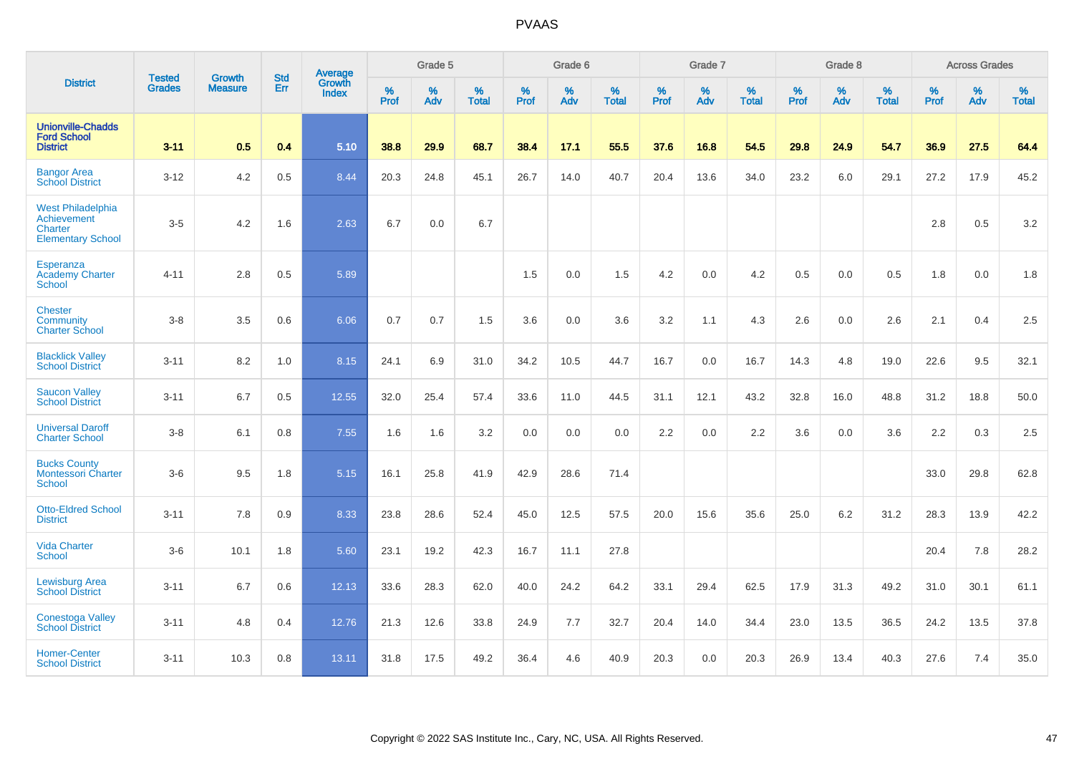|                                                                                |                                |                                 | <b>Std</b> | Average                |           | Grade 5  |                   |           | Grade 6  |                   |           | Grade 7  |                   |           | Grade 8  |                   |           | <b>Across Grades</b> |                   |
|--------------------------------------------------------------------------------|--------------------------------|---------------------------------|------------|------------------------|-----------|----------|-------------------|-----------|----------|-------------------|-----------|----------|-------------------|-----------|----------|-------------------|-----------|----------------------|-------------------|
| <b>District</b>                                                                | <b>Tested</b><br><b>Grades</b> | <b>Growth</b><br><b>Measure</b> | Err        | Growth<br><b>Index</b> | %<br>Prof | %<br>Adv | %<br><b>Total</b> | %<br>Prof | %<br>Adv | %<br><b>Total</b> | %<br>Prof | %<br>Adv | %<br><b>Total</b> | %<br>Prof | %<br>Adv | %<br><b>Total</b> | %<br>Prof | %<br>Adv             | %<br><b>Total</b> |
| <b>Unionville-Chadds</b><br><b>Ford School</b><br><b>District</b>              | $3 - 11$                       | 0.5                             | 0.4        | 5.10                   | 38.8      | 29.9     | 68.7              | 38.4      | 17.1     | 55.5              | 37.6      | 16.8     | 54.5              | 29.8      | 24.9     | 54.7              | 36.9      | 27.5                 | 64.4              |
| <b>Bangor Area</b><br><b>School District</b>                                   | $3 - 12$                       | 4.2                             | 0.5        | 8.44                   | 20.3      | 24.8     | 45.1              | 26.7      | 14.0     | 40.7              | 20.4      | 13.6     | 34.0              | 23.2      | 6.0      | 29.1              | 27.2      | 17.9                 | 45.2              |
| <b>West Philadelphia</b><br>Achievement<br>Charter<br><b>Elementary School</b> | $3-5$                          | 4.2                             | 1.6        | 2.63                   | 6.7       | 0.0      | 6.7               |           |          |                   |           |          |                   |           |          |                   | 2.8       | 0.5                  | 3.2               |
| Esperanza<br><b>Academy Charter</b><br><b>School</b>                           | $4 - 11$                       | 2.8                             | 0.5        | 5.89                   |           |          |                   | 1.5       | 0.0      | 1.5               | 4.2       | 0.0      | 4.2               | 0.5       | 0.0      | 0.5               | 1.8       | 0.0                  | 1.8               |
| <b>Chester</b><br>Community<br><b>Charter School</b>                           | $3 - 8$                        | 3.5                             | 0.6        | 6.06                   | 0.7       | 0.7      | 1.5               | 3.6       | 0.0      | 3.6               | 3.2       | 1.1      | 4.3               | 2.6       | 0.0      | 2.6               | 2.1       | 0.4                  | 2.5               |
| <b>Blacklick Valley</b><br><b>School District</b>                              | $3 - 11$                       | 8.2                             | 1.0        | 8.15                   | 24.1      | 6.9      | 31.0              | 34.2      | 10.5     | 44.7              | 16.7      | 0.0      | 16.7              | 14.3      | 4.8      | 19.0              | 22.6      | 9.5                  | 32.1              |
| <b>Saucon Valley</b><br><b>School District</b>                                 | $3 - 11$                       | 6.7                             | 0.5        | 12.55                  | 32.0      | 25.4     | 57.4              | 33.6      | 11.0     | 44.5              | 31.1      | 12.1     | 43.2              | 32.8      | 16.0     | 48.8              | 31.2      | 18.8                 | 50.0              |
| <b>Universal Daroff</b><br><b>Charter School</b>                               | $3-8$                          | 6.1                             | 0.8        | 7.55                   | 1.6       | 1.6      | 3.2               | 0.0       | 0.0      | 0.0               | 2.2       | 0.0      | 2.2               | 3.6       | 0.0      | 3.6               | 2.2       | 0.3                  | 2.5               |
| <b>Bucks County</b><br><b>Montessori Charter</b><br><b>School</b>              | $3-6$                          | 9.5                             | 1.8        | 5.15                   | 16.1      | 25.8     | 41.9              | 42.9      | 28.6     | 71.4              |           |          |                   |           |          |                   | 33.0      | 29.8                 | 62.8              |
| <b>Otto-Eldred School</b><br><b>District</b>                                   | $3 - 11$                       | 7.8                             | 0.9        | 8.33                   | 23.8      | 28.6     | 52.4              | 45.0      | 12.5     | 57.5              | 20.0      | 15.6     | 35.6              | 25.0      | 6.2      | 31.2              | 28.3      | 13.9                 | 42.2              |
| <b>Vida Charter</b><br><b>School</b>                                           | $3-6$                          | 10.1                            | 1.8        | 5.60                   | 23.1      | 19.2     | 42.3              | 16.7      | 11.1     | 27.8              |           |          |                   |           |          |                   | 20.4      | 7.8                  | 28.2              |
| <b>Lewisburg Area</b><br><b>School District</b>                                | $3 - 11$                       | 6.7                             | 0.6        | 12.13                  | 33.6      | 28.3     | 62.0              | 40.0      | 24.2     | 64.2              | 33.1      | 29.4     | 62.5              | 17.9      | 31.3     | 49.2              | 31.0      | 30.1                 | 61.1              |
| <b>Conestoga Valley</b><br><b>School District</b>                              | $3 - 11$                       | 4.8                             | 0.4        | 12.76                  | 21.3      | 12.6     | 33.8              | 24.9      | 7.7      | 32.7              | 20.4      | 14.0     | 34.4              | 23.0      | 13.5     | 36.5              | 24.2      | 13.5                 | 37.8              |
| <b>Homer-Center</b><br><b>School District</b>                                  | $3 - 11$                       | 10.3                            | 0.8        | 13.11                  | 31.8      | 17.5     | 49.2              | 36.4      | 4.6      | 40.9              | 20.3      | 0.0      | 20.3              | 26.9      | 13.4     | 40.3              | 27.6      | 7.4                  | 35.0              |